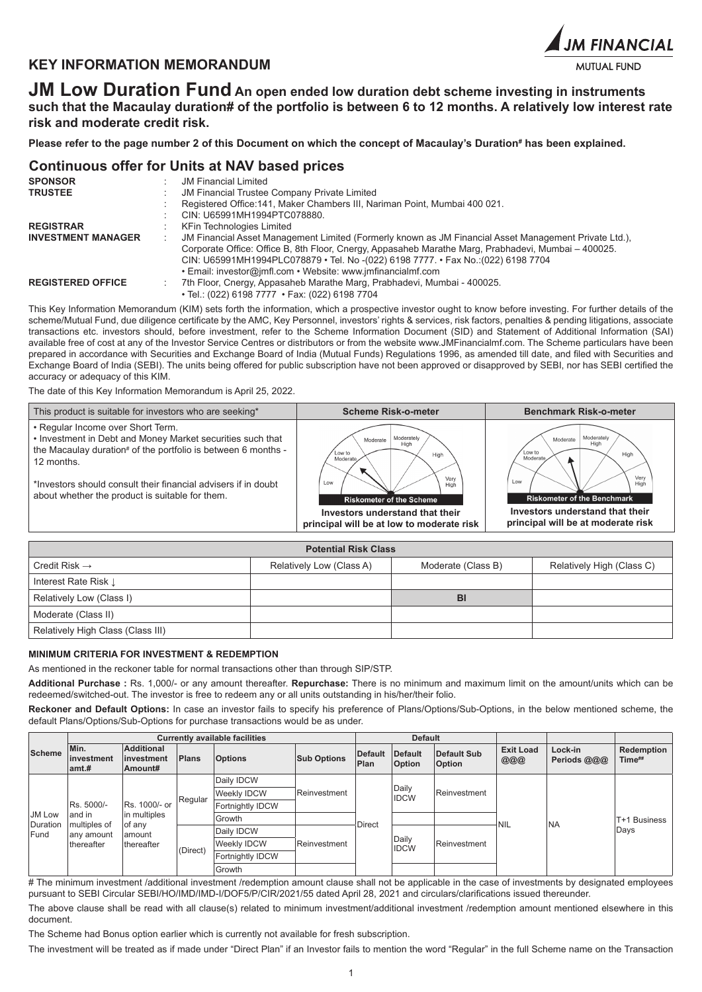# **KEY INFORMATION MEMORANDUM**



**JM Low Duration Fund An open ended low duration debt scheme investing in instruments such that the Macaulay duration# of the portfolio is between 6 to 12 months. A relatively low interest rate risk and moderate credit risk.**

**Please refer to the page number 2 of this Document on which the concept of Macaulay's Duration# has been explained.**

# **Continuous offer for Units at NAV based prices**

| <b>SPONSOR</b>            | <b>JM Financial Limited</b>                                                                                |
|---------------------------|------------------------------------------------------------------------------------------------------------|
| <b>TRUSTEE</b>            | <b>JM Financial Trustee Company Private Limited</b>                                                        |
|                           | Registered Office: 141, Maker Chambers III, Nariman Point, Mumbai 400 021.                                 |
|                           | CIN: U65991MH1994PTC078880.                                                                                |
| <b>REGISTRAR</b>          | KFin Technologies Limited                                                                                  |
| <b>INVESTMENT MANAGER</b> | JM Financial Asset Management Limited (Formerly known as JM Financial Asset Management Private Ltd.),<br>÷ |
|                           | Corporate Office: Office B, 8th Floor, Cnergy, Appasaheb Marathe Marg, Prabhadevi, Mumbai - 400025.        |
|                           | CIN: U65991MH1994PLC078879 • Tel. No -(022) 6198 7777. • Fax No.: (022) 6198 7704                          |
|                           | • Email: investor@jmfl.com • Website: www.jmfinancialmf.com                                                |
| <b>REGISTERED OFFICE</b>  | 7th Floor, Cnergy, Appasaheb Marathe Marg, Prabhadevi, Mumbai - 400025.                                    |
|                           | • Tel.: (022) 6198 7777 • Fax: (022) 6198 7704                                                             |

This Key Information Memorandum (KIM) sets forth the information, which a prospective investor ought to know before investing. For further details of the scheme/Mutual Fund, due diligence certificate by the AMC, Key Personnel, investors' rights & services, risk factors, penalties & pending litigations, associate transactions etc. investors should, before investment, refer to the Scheme Information Document (SID) and Statement of Additional Information (SAI) available free of cost at any of the Investor Service Centres or distributors or from the website www.JMFinancialmf.com. The Scheme particulars have been prepared in accordance with Securities and Exchange Board of India (Mutual Funds) Regulations 1996, as amended till date, and filed with Securities and Exchange Board of India (SEBI). The units being offered for public subscription have not been approved or disapproved by SEBI, nor has SEBI certified the accuracy or adequacy of this KIM.

The date of this Key Information Memorandum is April 25, 2022.

| • Regular Income over Short Term.<br>. Investment in Debt and Money Market securities such that<br>Moderately<br>Moderately<br>Moderate<br>Moderate<br>High<br>High<br>the Macaulay duration# of the portfolio is between 6 months -<br>Low to<br>Low to<br>High<br>High<br>Moderate<br>Moderate<br>12 months.<br>Very<br>Verv<br>Low<br>*Investors should consult their financial advisers if in doubt<br>Low<br>High<br>High<br>about whether the product is suitable for them.<br><b>Riskometer of the Benchmark</b><br><b>Riskometer of the Scheme</b> | This product is suitable for investors who are seeking* | <b>Scheme Risk-o-meter</b>      | <b>Benchmark Risk-o-meter</b>   |
|------------------------------------------------------------------------------------------------------------------------------------------------------------------------------------------------------------------------------------------------------------------------------------------------------------------------------------------------------------------------------------------------------------------------------------------------------------------------------------------------------------------------------------------------------------|---------------------------------------------------------|---------------------------------|---------------------------------|
| principal will be at moderate risk<br>principal will be at low to moderate risk                                                                                                                                                                                                                                                                                                                                                                                                                                                                            |                                                         | Investors understand that their | Investors understand that their |

| <b>Potential Risk Class</b>       |                          |                    |                           |  |  |  |  |  |
|-----------------------------------|--------------------------|--------------------|---------------------------|--|--|--|--|--|
| Credit Risk $\rightarrow$         | Relatively Low (Class A) | Moderate (Class B) | Relatively High (Class C) |  |  |  |  |  |
| Interest Rate Risk L              |                          |                    |                           |  |  |  |  |  |
| Relatively Low (Class I)          |                          | BI                 |                           |  |  |  |  |  |
| Moderate (Class II)               |                          |                    |                           |  |  |  |  |  |
| Relatively High Class (Class III) |                          |                    |                           |  |  |  |  |  |

## **MINIMUM CRITERIA FOR INVESTMENT & REDEMPTION**

As mentioned in the reckoner table for normal transactions other than through SIP/STP.

**Additional Purchase :** Rs. 1,000/- or any amount thereafter. **Repurchase:** There is no minimum and maximum limit on the amount/units which can be redeemed/switched-out. The investor is free to redeem any or all units outstanding in his/her/their folio.

**Reckoner and Default Options:** In case an investor fails to specify his preference of Plans/Options/Sub-Options, in the below mentioned scheme, the default Plans/Options/Sub-Options for purchase transactions would be as under.

|        |                                                                                                                                                   | <b>Currently available facilities</b>              |                  |                  |                    |                 | <b>Default</b>           |                                     |                         |                        |                      |  |  |  |                      |              |  |  |  |
|--------|---------------------------------------------------------------------------------------------------------------------------------------------------|----------------------------------------------------|------------------|------------------|--------------------|-----------------|--------------------------|-------------------------------------|-------------------------|------------------------|----------------------|--|--|--|----------------------|--------------|--|--|--|
| Scheme | Min.<br>investment<br>amt.#                                                                                                                       | <b>Additional</b><br><b>linvestment</b><br>Amount# | Plans            | <b>Options</b>   | <b>Sub Options</b> | Default<br>Plan | Default<br><b>Option</b> | <b>Default Sub</b><br><b>Option</b> | <b>Exit Load</b><br>000 | Lock-in<br>Periods @@@ | Redemption<br>Time## |  |  |  |                      |              |  |  |  |
|        |                                                                                                                                                   |                                                    |                  | Daily IDCW       | Reinvestment       |                 |                          |                                     |                         |                        |                      |  |  |  |                      |              |  |  |  |
|        | Rs. 5000/-<br>Rs. 1000/- or<br>in multiples<br>land in<br>Duration<br>of any<br>multiples of<br>lamount<br>any amount<br>thereafter<br>thereafter | Regular                                            | Weekly IDCW      |                  |                    |                 |                          |                                     |                         |                        |                      |  |  |  | Daily<br><b>IDCW</b> | Reinvestment |  |  |  |
|        |                                                                                                                                                   |                                                    | Fortnightly IDCW |                  |                    |                 |                          |                                     |                         |                        |                      |  |  |  |                      |              |  |  |  |
| JM Low |                                                                                                                                                   |                                                    | Growth           |                  | <b>Direct</b>      |                 |                          | <b>NIL</b>                          | <b>NA</b>               | T+1 Business           |                      |  |  |  |                      |              |  |  |  |
| Fund   |                                                                                                                                                   | Daily IDCW                                         |                  |                  |                    |                 |                          |                                     |                         | Days                   |                      |  |  |  |                      |              |  |  |  |
|        |                                                                                                                                                   | (Direct)                                           |                  | Weekly IDCW      | Reinvestment       |                 |                          |                                     |                         |                        |                      |  |  |  | Daily<br><b>IDCW</b> | Reinvestment |  |  |  |
|        |                                                                                                                                                   |                                                    |                  | Fortnightly IDCW |                    |                 |                          |                                     |                         |                        |                      |  |  |  |                      |              |  |  |  |
|        |                                                                                                                                                   |                                                    |                  | Growth           |                    |                 |                          |                                     |                         |                        |                      |  |  |  |                      |              |  |  |  |

# The minimum investment /additional investment /redemption amount clause shall not be applicable in the case of investments by designated employees pursuant to SEBI Circular SEBI/HO/IMD/IMD-I/DOF5/P/CIR/2021/55 dated April 28, 2021 and circulars/clarifications issued thereunder.

The above clause shall be read with all clause(s) related to minimum investment/additional investment /redemption amount mentioned elsewhere in this document.

The Scheme had Bonus option earlier which is currently not available for fresh subscription.

The investment will be treated as if made under "Direct Plan" if an Investor fails to mention the word "Regular" in the full Scheme name on the Transaction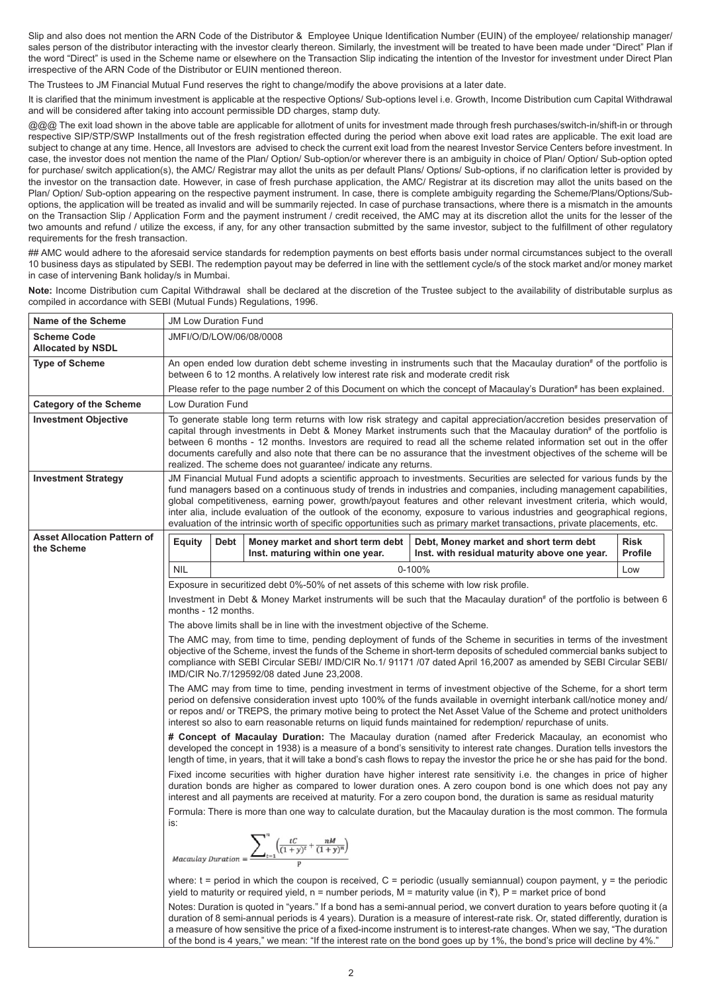Slip and also does not mention the ARN Code of the Distributor & Employee Unique Identification Number (EUIN) of the employee/ relationship manager/ sales person of the distributor interacting with the investor clearly thereon. Similarly, the investment will be treated to have been made under "Direct" Plan if the word "Direct" is used in the Scheme name or elsewhere on the Transaction Slip indicating the intention of the Investor for investment under Direct Plan irrespective of the ARN Code of the Distributor or EUIN mentioned thereon.

The Trustees to JM Financial Mutual Fund reserves the right to change/modify the above provisions at a later date.

It is clarified that the minimum investment is applicable at the respective Options/ Sub-options level i.e. Growth, Income Distribution cum Capital Withdrawal and will be considered after taking into account permissible DD charges, stamp duty.

@@@ The exit load shown in the above table are applicable for allotment of units for investment made through fresh purchases/switch-in/shift-in or through respective SIP/STP/SWP Installments out of the fresh registration effected during the period when above exit load rates are applicable. The exit load are subject to change at any time. Hence, all Investors are advised to check the current exit load from the nearest Investor Service Centers before investment. In case, the investor does not mention the name of the Plan/ Option/ Sub-option/or wherever there is an ambiguity in choice of Plan/ Option/ Sub-option opted for purchase/ switch application(s), the AMC/ Registrar may allot the units as per default Plans/ Options/ Sub-options, if no clarification letter is provided by the investor on the transaction date. However, in case of fresh purchase application, the AMC/ Registrar at its discretion may allot the units based on the Plan/ Option/ Sub-option appearing on the respective payment instrument. In case, there is complete ambiguity regarding the Scheme/Plans/Options/Suboptions, the application will be treated as invalid and will be summarily rejected. In case of purchase transactions, where there is a mismatch in the amounts on the Transaction Slip / Application Form and the payment instrument / credit received, the AMC may at its discretion allot the units for the lesser of the two amounts and refund / utilize the excess, if any, for any other transaction submitted by the same investor, subject to the fulfillment of other regulatory requirements for the fresh transaction.

## AMC would adhere to the aforesaid service standards for redemption payments on best efforts basis under normal circumstances subject to the overall 10 business days as stipulated by SEBI. The redemption payout may be deferred in line with the settlement cycle/s of the stock market and/or money market in case of intervening Bank holiday/s in Mumbai.

Note: Income Distribution cum Capital Withdrawal shall be declared at the discretion of the Trustee subject to the availability of distributable surplus as compiled in accordance with SEBI (Mutual Funds) Regulations, 1996.

| Name of the Scheme                               |                          | <b>JM Low Duration Fund</b> |                                                                                                                                                    |                                                                                                                                                                                                                                                                                                                                                                                                                                                                                                                                                                                                                            |                               |  |  |  |
|--------------------------------------------------|--------------------------|-----------------------------|----------------------------------------------------------------------------------------------------------------------------------------------------|----------------------------------------------------------------------------------------------------------------------------------------------------------------------------------------------------------------------------------------------------------------------------------------------------------------------------------------------------------------------------------------------------------------------------------------------------------------------------------------------------------------------------------------------------------------------------------------------------------------------------|-------------------------------|--|--|--|
| <b>Scheme Code</b><br><b>Allocated by NSDL</b>   | JMFI/O/D/LOW/06/08/0008  |                             |                                                                                                                                                    |                                                                                                                                                                                                                                                                                                                                                                                                                                                                                                                                                                                                                            |                               |  |  |  |
| <b>Type of Scheme</b>                            |                          |                             |                                                                                                                                                    | An open ended low duration debt scheme investing in instruments such that the Macaulay duration# of the portfolio is                                                                                                                                                                                                                                                                                                                                                                                                                                                                                                       |                               |  |  |  |
|                                                  |                          |                             | between 6 to 12 months. A relatively low interest rate risk and moderate credit risk                                                               | Please refer to the page number 2 of this Document on which the concept of Macaulay's Duration# has been explained.                                                                                                                                                                                                                                                                                                                                                                                                                                                                                                        |                               |  |  |  |
| <b>Category of the Scheme</b>                    | <b>Low Duration Fund</b> |                             |                                                                                                                                                    |                                                                                                                                                                                                                                                                                                                                                                                                                                                                                                                                                                                                                            |                               |  |  |  |
| <b>Investment Objective</b>                      |                          |                             |                                                                                                                                                    | To generate stable long term returns with low risk strategy and capital appreciation/accretion besides preservation of                                                                                                                                                                                                                                                                                                                                                                                                                                                                                                     |                               |  |  |  |
|                                                  |                          |                             | realized. The scheme does not quarantee/ indicate any returns.                                                                                     | capital through investments in Debt & Money Market instruments such that the Macaulay duration <sup>#</sup> of the portfolio is<br>between 6 months - 12 months. Investors are required to read all the scheme related information set out in the offer<br>documents carefully and also note that there can be no assurance that the investment objectives of the scheme will be                                                                                                                                                                                                                                           |                               |  |  |  |
| <b>Investment Strategy</b>                       |                          |                             |                                                                                                                                                    | JM Financial Mutual Fund adopts a scientific approach to investments. Securities are selected for various funds by the<br>fund managers based on a continuous study of trends in industries and companies, including management capabilities,<br>global competitiveness, earning power, growth/payout features and other relevant investment criteria, which would,<br>inter alia, include evaluation of the outlook of the economy, exposure to various industries and geographical regions,<br>evaluation of the intrinsic worth of specific opportunities such as primary market transactions, private placements, etc. |                               |  |  |  |
| <b>Asset Allocation Pattern of</b><br>the Scheme | <b>Equity</b>            | Debt                        | Money market and short term debt<br>Inst. maturing within one year.                                                                                | Debt, Money market and short term debt<br>Inst. with residual maturity above one year.                                                                                                                                                                                                                                                                                                                                                                                                                                                                                                                                     | <b>Risk</b><br><b>Profile</b> |  |  |  |
|                                                  | <b>NIL</b>               |                             |                                                                                                                                                    | 0-100%                                                                                                                                                                                                                                                                                                                                                                                                                                                                                                                                                                                                                     | Low                           |  |  |  |
|                                                  |                          |                             | Exposure in securitized debt 0%-50% of net assets of this scheme with low risk profile.                                                            |                                                                                                                                                                                                                                                                                                                                                                                                                                                                                                                                                                                                                            |                               |  |  |  |
|                                                  | months - 12 months.      |                             |                                                                                                                                                    | Investment in Debt & Money Market instruments will be such that the Macaulay duration <sup>#</sup> of the portfolio is between 6                                                                                                                                                                                                                                                                                                                                                                                                                                                                                           |                               |  |  |  |
|                                                  |                          |                             | The above limits shall be in line with the investment objective of the Scheme.                                                                     |                                                                                                                                                                                                                                                                                                                                                                                                                                                                                                                                                                                                                            |                               |  |  |  |
|                                                  |                          |                             | IMD/CIR No.7/129592/08 dated June 23,2008.                                                                                                         | The AMC may, from time to time, pending deployment of funds of the Scheme in securities in terms of the investment<br>objective of the Scheme, invest the funds of the Scheme in short-term deposits of scheduled commercial banks subject to<br>compliance with SEBI Circular SEBI/ IMD/CIR No.1/91171/07 dated April 16,2007 as amended by SEBI Circular SEBI/                                                                                                                                                                                                                                                           |                               |  |  |  |
|                                                  |                          |                             |                                                                                                                                                    | The AMC may from time to time, pending investment in terms of investment objective of the Scheme, for a short term<br>period on defensive consideration invest upto 100% of the funds available in overnight interbank call/notice money and/<br>or repos and/ or TREPS, the primary motive being to protect the Net Asset Value of the Scheme and protect unitholders<br>interest so also to earn reasonable returns on liquid funds maintained for redemption/ repurchase of units.                                                                                                                                      |                               |  |  |  |
|                                                  |                          |                             |                                                                                                                                                    | # Concept of Macaulay Duration: The Macaulay duration (named after Frederick Macaulay, an economist who<br>developed the concept in 1938) is a measure of a bond's sensitivity to interest rate changes. Duration tells investors the<br>length of time, in years, that it will take a bond's cash flows to repay the investor the price he or she has paid for the bond.                                                                                                                                                                                                                                                  |                               |  |  |  |
|                                                  |                          |                             |                                                                                                                                                    | Fixed income securities with higher duration have higher interest rate sensitivity i.e. the changes in price of higher<br>duration bonds are higher as compared to lower duration ones. A zero coupon bond is one which does not pay any<br>interest and all payments are received at maturity. For a zero coupon bond, the duration is same as residual maturity                                                                                                                                                                                                                                                          |                               |  |  |  |
|                                                  |                          |                             |                                                                                                                                                    | Formula: There is more than one way to calculate duration, but the Macaulay duration is the most common. The formula                                                                                                                                                                                                                                                                                                                                                                                                                                                                                                       |                               |  |  |  |
|                                                  | is:                      |                             |                                                                                                                                                    |                                                                                                                                                                                                                                                                                                                                                                                                                                                                                                                                                                                                                            |                               |  |  |  |
|                                                  |                          |                             | $\label{eq:1} \textit{Macaulay Duration} = \underbrace{\displaystyle\sum\nolimits_{t=1}^{n}\Bigl(\frac{tC}{(1+y)^{t}}+\frac{nM}{(1+y)^{n}}\Bigr)}$ |                                                                                                                                                                                                                                                                                                                                                                                                                                                                                                                                                                                                                            |                               |  |  |  |
|                                                  |                          |                             |                                                                                                                                                    | where: $t =$ period in which the coupon is received, $C =$ periodic (usually semiannual) coupon payment, $y =$ the periodic<br>yield to maturity or required yield, n = number periods, M = maturity value (in ₹), P = market price of bond                                                                                                                                                                                                                                                                                                                                                                                |                               |  |  |  |
|                                                  |                          |                             |                                                                                                                                                    | Notes: Duration is quoted in "years." If a bond has a semi-annual period, we convert duration to years before quoting it (a<br>duration of 8 semi-annual periods is 4 years). Duration is a measure of interest-rate risk. Or, stated differently, duration is<br>a measure of how sensitive the price of a fixed-income instrument is to interest-rate changes. When we say, "The duration<br>of the bond is 4 years," we mean: "If the interest rate on the bond goes up by 1%, the bond's price will decline by 4%."                                                                                                    |                               |  |  |  |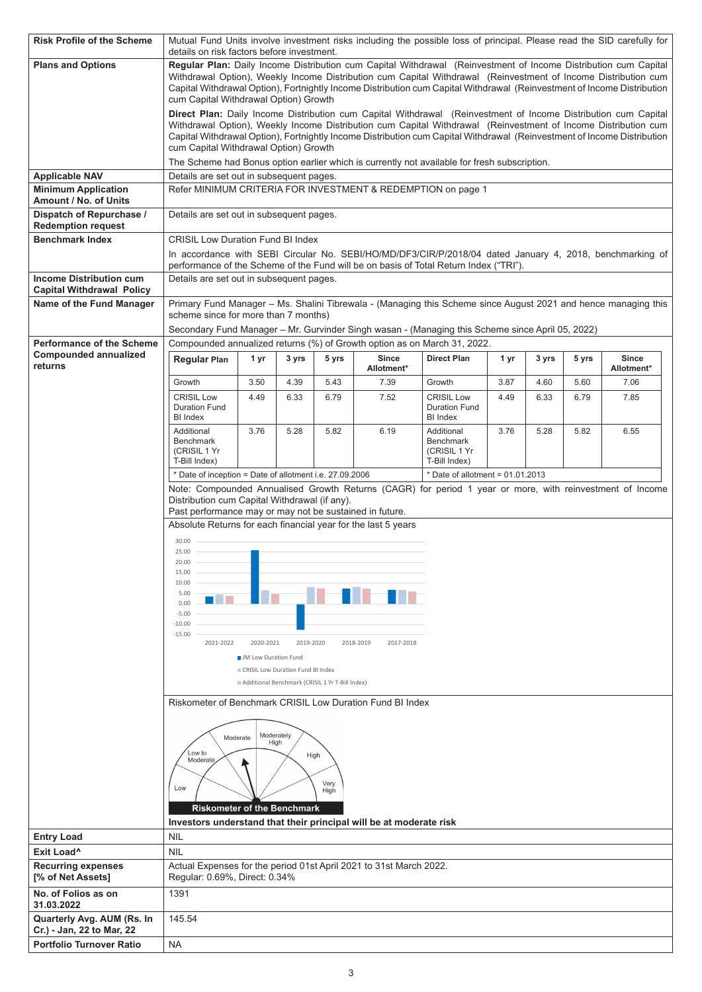| <b>Risk Profile of the Scheme</b>                                  |                                                                                                          | Mutual Fund Units involve investment risks including the possible loss of principal. Please read the SID carefully for<br>details on risk factors before investment.                                                                                                                                                                                         |                                   |                                                 |                        |                                                                                                                                                                                                                                           |      |       |       |                            |
|--------------------------------------------------------------------|----------------------------------------------------------------------------------------------------------|--------------------------------------------------------------------------------------------------------------------------------------------------------------------------------------------------------------------------------------------------------------------------------------------------------------------------------------------------------------|-----------------------------------|-------------------------------------------------|------------------------|-------------------------------------------------------------------------------------------------------------------------------------------------------------------------------------------------------------------------------------------|------|-------|-------|----------------------------|
| <b>Plans and Options</b>                                           |                                                                                                          | Regular Plan: Daily Income Distribution cum Capital Withdrawal (Reinvestment of Income Distribution cum Capital<br>Withdrawal Option), Weekly Income Distribution cum Capital Withdrawal (Reinvestment of Income Distribution cum<br>Capital Withdrawal Option), Fortnightly Income Distribution cum Capital Withdrawal (Reinvestment of Income Distribution |                                   |                                                 |                        |                                                                                                                                                                                                                                           |      |       |       |                            |
|                                                                    | cum Capital Withdrawal Option) Growth                                                                    |                                                                                                                                                                                                                                                                                                                                                              |                                   |                                                 |                        | Direct Plan: Daily Income Distribution cum Capital Withdrawal (Reinvestment of Income Distribution cum Capital                                                                                                                            |      |       |       |                            |
|                                                                    | cum Capital Withdrawal Option) Growth                                                                    |                                                                                                                                                                                                                                                                                                                                                              |                                   |                                                 |                        | Withdrawal Option), Weekly Income Distribution cum Capital Withdrawal (Reinvestment of Income Distribution cum<br>Capital Withdrawal Option), Fortnightly Income Distribution cum Capital Withdrawal (Reinvestment of Income Distribution |      |       |       |                            |
|                                                                    |                                                                                                          |                                                                                                                                                                                                                                                                                                                                                              |                                   |                                                 |                        | The Scheme had Bonus option earlier which is currently not available for fresh subscription.                                                                                                                                              |      |       |       |                            |
| <b>Applicable NAV</b>                                              | Details are set out in subsequent pages.                                                                 |                                                                                                                                                                                                                                                                                                                                                              |                                   |                                                 |                        |                                                                                                                                                                                                                                           |      |       |       |                            |
| <b>Minimum Application</b><br>Amount / No. of Units                |                                                                                                          |                                                                                                                                                                                                                                                                                                                                                              |                                   |                                                 |                        | Refer MINIMUM CRITERIA FOR INVESTMENT & REDEMPTION on page 1                                                                                                                                                                              |      |       |       |                            |
| Dispatch of Repurchase /<br><b>Redemption request</b>              | Details are set out in subsequent pages.                                                                 |                                                                                                                                                                                                                                                                                                                                                              |                                   |                                                 |                        |                                                                                                                                                                                                                                           |      |       |       |                            |
| <b>Benchmark Index</b>                                             | <b>CRISIL Low Duration Fund BI Index</b>                                                                 |                                                                                                                                                                                                                                                                                                                                                              |                                   |                                                 |                        | In accordance with SEBI Circular No. SEBI/HO/MD/DF3/CIR/P/2018/04 dated January 4, 2018, benchmarking of                                                                                                                                  |      |       |       |                            |
|                                                                    |                                                                                                          |                                                                                                                                                                                                                                                                                                                                                              |                                   |                                                 |                        | performance of the Scheme of the Fund will be on basis of Total Return Index ("TRI").                                                                                                                                                     |      |       |       |                            |
| <b>Income Distribution cum</b><br><b>Capital Withdrawal Policy</b> | Details are set out in subsequent pages.                                                                 |                                                                                                                                                                                                                                                                                                                                                              |                                   |                                                 |                        |                                                                                                                                                                                                                                           |      |       |       |                            |
| Name of the Fund Manager                                           | scheme since for more than 7 months)                                                                     |                                                                                                                                                                                                                                                                                                                                                              |                                   |                                                 |                        | Primary Fund Manager - Ms. Shalini Tibrewala - (Managing this Scheme since August 2021 and hence managing this                                                                                                                            |      |       |       |                            |
| <b>Performance of the Scheme</b>                                   |                                                                                                          |                                                                                                                                                                                                                                                                                                                                                              |                                   |                                                 |                        | Secondary Fund Manager - Mr. Gurvinder Singh wasan - (Managing this Scheme since April 05, 2022)<br>Compounded annualized returns (%) of Growth option as on March 31, 2022.                                                              |      |       |       |                            |
| <b>Compounded annualized</b><br>returns                            | <b>Regular Plan</b>                                                                                      | 1 yr                                                                                                                                                                                                                                                                                                                                                         | 3 yrs                             | 5 yrs                                           | Since<br>Allotment*    | <b>Direct Plan</b>                                                                                                                                                                                                                        | 1 yr | 3 yrs | 5 yrs | <b>Since</b><br>Allotment* |
|                                                                    | Growth                                                                                                   | 3.50                                                                                                                                                                                                                                                                                                                                                         | 4.39                              | 5.43                                            | 7.39                   | Growth                                                                                                                                                                                                                                    | 3.87 | 4.60  | 5.60  | 7.06                       |
|                                                                    | <b>CRISIL Low</b><br><b>Duration Fund</b><br><b>BI</b> Index                                             | 4.49                                                                                                                                                                                                                                                                                                                                                         | 6.33                              | 6.79                                            | 7.52                   | <b>CRISIL Low</b><br>Duration Fund<br>BI Index                                                                                                                                                                                            | 4.49 | 6.33  | 6.79  | 7.85                       |
|                                                                    | Additional<br><b>Benchmark</b><br>(CRISIL 1 Yr<br>T-Bill Index)                                          | 3.76                                                                                                                                                                                                                                                                                                                                                         | 5.28                              | 5.82                                            | 6.19                   | Additional<br><b>Benchmark</b><br>(CRISIL 1 Yr<br>T-Bill Index)                                                                                                                                                                           | 3.76 | 5.28  | 5.82  | 6.55                       |
|                                                                    | * Date of inception = Date of allotment i.e. 27.09.2006                                                  |                                                                                                                                                                                                                                                                                                                                                              |                                   |                                                 |                        | $*$ Date of allotment = 01.01.2013                                                                                                                                                                                                        |      |       |       |                            |
|                                                                    |                                                                                                          |                                                                                                                                                                                                                                                                                                                                                              |                                   |                                                 |                        | Note: Compounded Annualised Growth Returns (CAGR) for period 1 year or more, with reinvestment of Income                                                                                                                                  |      |       |       |                            |
|                                                                    | Distribution cum Capital Withdrawal (if any).<br>Past performance may or may not be sustained in future. |                                                                                                                                                                                                                                                                                                                                                              |                                   |                                                 |                        |                                                                                                                                                                                                                                           |      |       |       |                            |
|                                                                    | Absolute Returns for each financial year for the last 5 years                                            |                                                                                                                                                                                                                                                                                                                                                              |                                   |                                                 |                        |                                                                                                                                                                                                                                           |      |       |       |                            |
|                                                                    | 30.00                                                                                                    |                                                                                                                                                                                                                                                                                                                                                              |                                   |                                                 |                        |                                                                                                                                                                                                                                           |      |       |       |                            |
|                                                                    | 25.00<br>20.00                                                                                           |                                                                                                                                                                                                                                                                                                                                                              |                                   |                                                 |                        |                                                                                                                                                                                                                                           |      |       |       |                            |
|                                                                    | 15.00<br>10.00                                                                                           |                                                                                                                                                                                                                                                                                                                                                              |                                   |                                                 |                        |                                                                                                                                                                                                                                           |      |       |       |                            |
|                                                                    | 5.00                                                                                                     |                                                                                                                                                                                                                                                                                                                                                              |                                   |                                                 |                        |                                                                                                                                                                                                                                           |      |       |       |                            |
|                                                                    | 0.00<br>$-5.00$                                                                                          |                                                                                                                                                                                                                                                                                                                                                              |                                   |                                                 |                        |                                                                                                                                                                                                                                           |      |       |       |                            |
|                                                                    | $-10.00$<br>$-15.00$                                                                                     |                                                                                                                                                                                                                                                                                                                                                              |                                   |                                                 |                        |                                                                                                                                                                                                                                           |      |       |       |                            |
|                                                                    | 2021-2022                                                                                                | 2020-2021                                                                                                                                                                                                                                                                                                                                                    | 2019-2020                         |                                                 | 2018-2019<br>2017-2018 |                                                                                                                                                                                                                                           |      |       |       |                            |
|                                                                    |                                                                                                          | <b>JM</b> Low Duration Fund                                                                                                                                                                                                                                                                                                                                  | CRISIL Low Duration Fund BI Index |                                                 |                        |                                                                                                                                                                                                                                           |      |       |       |                            |
|                                                                    |                                                                                                          |                                                                                                                                                                                                                                                                                                                                                              |                                   | Additional Benchmark (CRISIL 1 Yr T-Bill Index) |                        |                                                                                                                                                                                                                                           |      |       |       |                            |
|                                                                    | Riskometer of Benchmark CRISIL Low Duration Fund BI Index                                                |                                                                                                                                                                                                                                                                                                                                                              |                                   |                                                 |                        |                                                                                                                                                                                                                                           |      |       |       |                            |
|                                                                    |                                                                                                          |                                                                                                                                                                                                                                                                                                                                                              |                                   |                                                 |                        |                                                                                                                                                                                                                                           |      |       |       |                            |
|                                                                    | Moderate                                                                                                 |                                                                                                                                                                                                                                                                                                                                                              | Moderately<br>High                |                                                 |                        |                                                                                                                                                                                                                                           |      |       |       |                            |
|                                                                    | Low to<br>Moderate                                                                                       |                                                                                                                                                                                                                                                                                                                                                              |                                   | High                                            |                        |                                                                                                                                                                                                                                           |      |       |       |                            |
|                                                                    |                                                                                                          |                                                                                                                                                                                                                                                                                                                                                              |                                   |                                                 |                        |                                                                                                                                                                                                                                           |      |       |       |                            |
|                                                                    | Low                                                                                                      |                                                                                                                                                                                                                                                                                                                                                              |                                   | Very<br>High                                    |                        |                                                                                                                                                                                                                                           |      |       |       |                            |
|                                                                    | <b>Riskometer of the Benchmark</b>                                                                       |                                                                                                                                                                                                                                                                                                                                                              |                                   |                                                 |                        |                                                                                                                                                                                                                                           |      |       |       |                            |
|                                                                    | Investors understand that their principal will be at moderate risk                                       |                                                                                                                                                                                                                                                                                                                                                              |                                   |                                                 |                        |                                                                                                                                                                                                                                           |      |       |       |                            |
| <b>Entry Load</b>                                                  | <b>NIL</b>                                                                                               |                                                                                                                                                                                                                                                                                                                                                              |                                   |                                                 |                        |                                                                                                                                                                                                                                           |      |       |       |                            |
| Exit Load <sup>^</sup>                                             | <b>NIL</b>                                                                                               |                                                                                                                                                                                                                                                                                                                                                              |                                   |                                                 |                        |                                                                                                                                                                                                                                           |      |       |       |                            |
| <b>Recurring expenses</b><br>[% of Net Assets]                     | Actual Expenses for the period 01st April 2021 to 31st March 2022.<br>Regular: 0.69%, Direct: 0.34%      |                                                                                                                                                                                                                                                                                                                                                              |                                   |                                                 |                        |                                                                                                                                                                                                                                           |      |       |       |                            |
| No. of Folios as on<br>31.03.2022                                  | 1391                                                                                                     |                                                                                                                                                                                                                                                                                                                                                              |                                   |                                                 |                        |                                                                                                                                                                                                                                           |      |       |       |                            |
| Quarterly Avg. AUM (Rs. In<br>Cr.) - Jan, 22 to Mar, 22            | 145.54                                                                                                   |                                                                                                                                                                                                                                                                                                                                                              |                                   |                                                 |                        |                                                                                                                                                                                                                                           |      |       |       |                            |
| <b>Portfolio Turnover Ratio</b>                                    | <b>NA</b>                                                                                                |                                                                                                                                                                                                                                                                                                                                                              |                                   |                                                 |                        |                                                                                                                                                                                                                                           |      |       |       |                            |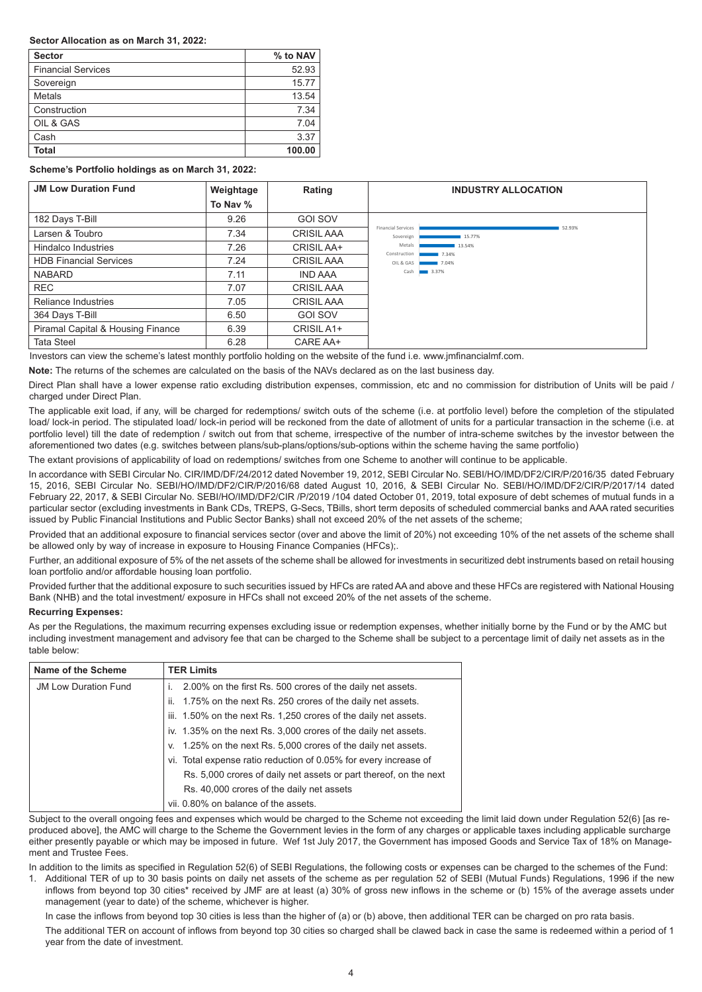### **Sector Allocation as on March 31, 2022:**

| <b>Sector</b>             | % to NAV |
|---------------------------|----------|
| <b>Financial Services</b> | 52.93    |
| Sovereign                 | 15.77    |
| <b>Metals</b>             | 13.54    |
| Construction              | 7.34     |
| OIL & GAS                 | 7.04     |
| Cash                      | 3.37     |
| <b>Total</b>              | 100.00   |

### **Scheme's Portfolio holdings as on March 31, 2022:**

| <b>JM Low Duration Fund</b>       | Weightage | Rating            | <b>INDUSTRY ALLOCATION</b>                                 |
|-----------------------------------|-----------|-------------------|------------------------------------------------------------|
|                                   | To Nav %  |                   |                                                            |
| 182 Days T-Bill                   | 9.26      | <b>GOI SOV</b>    |                                                            |
| Larsen & Toubro                   | 7.34      | <b>CRISIL AAA</b> | <b>Financial Services</b><br>52.93%<br>15.77%<br>Sovereign |
| Hindalco Industries               | 7.26      | CRISIL AA+        | 13.54%<br>Metals<br>Construction<br>7.34%                  |
| <b>HDB Financial Services</b>     | 7.24      | <b>CRISIL AAA</b> | OIL & GAS<br>7.04%                                         |
| <b>NABARD</b>                     | 7.11      | <b>IND AAA</b>    | Cash <b>1988</b> 3.37%                                     |
| <b>REC</b>                        | 7.07      | <b>CRISIL AAA</b> |                                                            |
| Reliance Industries               | 7.05      | <b>CRISIL AAA</b> |                                                            |
| 364 Days T-Bill                   | 6.50      | GOI SOV           |                                                            |
| Piramal Capital & Housing Finance | 6.39      | CRISIL A1+        |                                                            |
| <b>Tata Steel</b>                 | 6.28      | CARE AA+          |                                                            |

Investors can view the scheme's latest monthly portfolio holding on the website of the fund i.e. www.jmfinancialmf.com.

**Note:** The returns of the schemes are calculated on the basis of the NAVs declared as on the last business day.

Direct Plan shall have a lower expense ratio excluding distribution expenses, commission, etc and no commission for distribution of Units will be paid / charged under Direct Plan.

The applicable exit load, if any, will be charged for redemptions/ switch outs of the scheme (i.e. at portfolio level) before the completion of the stipulated load/ lock-in period. The stipulated load/ lock-in period will be reckoned from the date of allotment of units for a particular transaction in the scheme (i.e. at portfolio level) till the date of redemption / switch out from that scheme, irrespective of the number of intra-scheme switches by the investor between the aforementioned two dates (e.g. switches between plans/sub-plans/options/sub-options within the scheme having the same portfolio)

The extant provisions of applicability of load on redemptions/ switches from one Scheme to another will continue to be applicable.

In accordance with SEBI Circular No. CIR/IMD/DF/24/2012 dated November 19, 2012, SEBI Circular No. SEBI/HO/IMD/DF2/CIR/P/2016/35 dated February 15, 2016, SEBI Circular No. SEBI/HO/IMD/DF2/CIR/P/2016/68 dated August 10, 2016, & SEBI Circular No. SEBI/HO/IMD/DF2/CIR/P/2017/14 dated February 22, 2017, & SEBI Circular No. SEBI/HO/IMD/DF2/CIR /P/2019 /104 dated October 01, 2019, total exposure of debt schemes of mutual funds in a particular sector (excluding investments in Bank CDs, TREPS, G-Secs, TBills, short term deposits of scheduled commercial banks and AAA rated securities issued by Public Financial Institutions and Public Sector Banks) shall not exceed 20% of the net assets of the scheme;

Provided that an additional exposure to financial services sector (over and above the limit of 20%) not exceeding 10% of the net assets of the scheme shall be allowed only by way of increase in exposure to Housing Finance Companies (HFCs);.

Further, an additional exposure of 5% of the net assets of the scheme shall be allowed for investments in securitized debt instruments based on retail housing loan portfolio and/or affordable housing loan portfolio.

Provided further that the additional exposure to such securities issued by HFCs are rated AA and above and these HFCs are registered with National Housing Bank (NHB) and the total investment/ exposure in HFCs shall not exceed 20% of the net assets of the scheme.

## **Recurring Expenses:**

As per the Regulations, the maximum recurring expenses excluding issue or redemption expenses, whether initially borne by the Fund or by the AMC but including investment management and advisory fee that can be charged to the Scheme shall be subject to a percentage limit of daily net assets as in the table below:

| Name of the Scheme          | <b>TER Limits</b>                                                 |
|-----------------------------|-------------------------------------------------------------------|
| <b>JM Low Duration Fund</b> | 2.00% on the first Rs. 500 crores of the daily net assets.        |
|                             | 1.75% on the next Rs. 250 crores of the daily net assets.<br>ii.  |
|                             | iii. 1.50% on the next Rs. 1,250 crores of the daily net assets.  |
|                             | iv. 1.35% on the next Rs. 3,000 crores of the daily net assets.   |
|                             | v. 1.25% on the next Rs. 5,000 crores of the daily net assets.    |
|                             | vi. Total expense ratio reduction of 0.05% for every increase of  |
|                             | Rs. 5,000 crores of daily net assets or part thereof, on the next |
|                             | Rs. 40,000 crores of the daily net assets                         |
|                             | vii. 0.80% on balance of the assets.                              |

Subject to the overall ongoing fees and expenses which would be charged to the Scheme not exceeding the limit laid down under Regulation 52(6) [as reproduced above], the AMC will charge to the Scheme the Government levies in the form of any charges or applicable taxes including applicable surcharge either presently payable or which may be imposed in future. Wef 1st July 2017, the Government has imposed Goods and Service Tax of 18% on Management and Trustee Fees.

In addition to the limits as specified in Regulation 52(6) of SEBI Regulations, the following costs or expenses can be charged to the schemes of the Fund:

1. Additional TER of up to 30 basis points on daily net assets of the scheme as per regulation 52 of SEBI (Mutual Funds) Regulations, 1996 if the new inflows from beyond top 30 cities\* received by JMF are at least (a) 30% of gross new inflows in the scheme or (b) 15% of the average assets under management (year to date) of the scheme, whichever is higher.

In case the inflows from beyond top 30 cities is less than the higher of (a) or (b) above, then additional TER can be charged on pro rata basis. The additional TER on account of inflows from beyond top 30 cities so charged shall be clawed back in case the same is redeemed within a period of 1 year from the date of investment.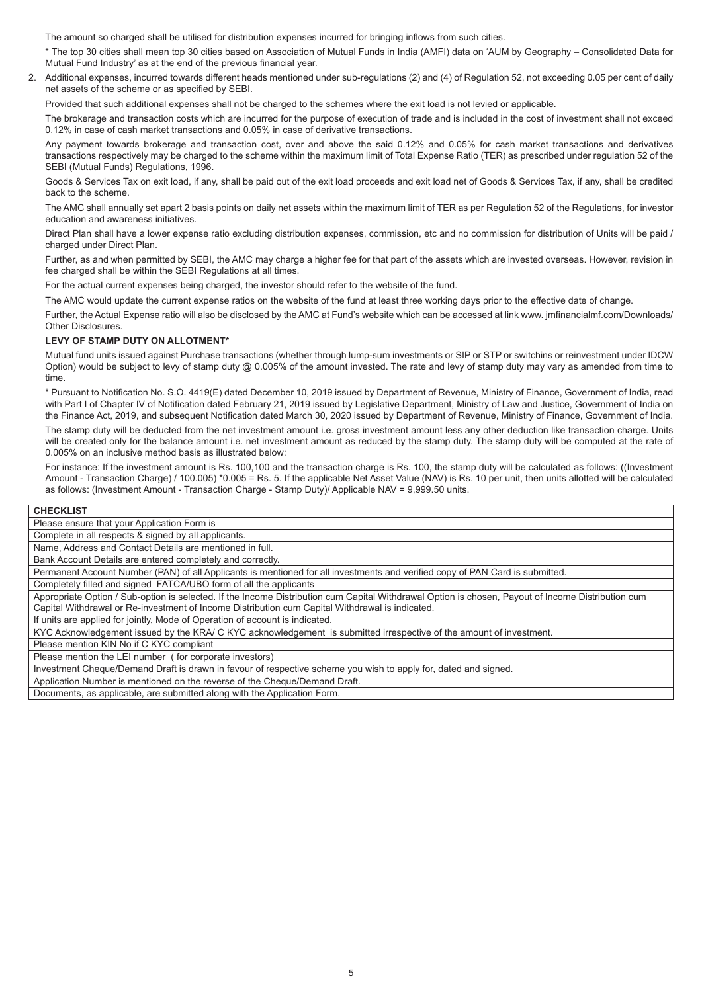The amount so charged shall be utilised for distribution expenses incurred for bringing inflows from such cities.

\* The top 30 cities shall mean top 30 cities based on Association of Mutual Funds in India (AMFI) data on 'AUM by Geography – Consolidated Data for Mutual Fund Industry' as at the end of the previous financial year.

2. Additional expenses, incurred towards different heads mentioned under sub-regulations (2) and (4) of Regulation 52, not exceeding 0.05 per cent of daily net assets of the scheme or as specified by SEBI.

Provided that such additional expenses shall not be charged to the schemes where the exit load is not levied or applicable.

The brokerage and transaction costs which are incurred for the purpose of execution of trade and is included in the cost of investment shall not exceed 0.12% in case of cash market transactions and 0.05% in case of derivative transactions.

Any payment towards brokerage and transaction cost, over and above the said 0.12% and 0.05% for cash market transactions and derivatives transactions respectively may be charged to the scheme within the maximum limit of Total Expense Ratio (TER) as prescribed under regulation 52 of the SEBI (Mutual Funds) Regulations, 1996.

Goods & Services Tax on exit load, if any, shall be paid out of the exit load proceeds and exit load net of Goods & Services Tax, if any, shall be credited back to the scheme.

The AMC shall annually set apart 2 basis points on daily net assets within the maximum limit of TER as per Regulation 52 of the Regulations, for investor education and awareness initiatives.

Direct Plan shall have a lower expense ratio excluding distribution expenses, commission, etc and no commission for distribution of Units will be paid / charged under Direct Plan.

Further, as and when permitted by SEBI, the AMC may charge a higher fee for that part of the assets which are invested overseas. However, revision in fee charged shall be within the SEBI Regulations at all times.

For the actual current expenses being charged, the investor should refer to the website of the fund.

The AMC would update the current expense ratios on the website of the fund at least three working days prior to the effective date of change.

Further, the Actual Expense ratio will also be disclosed by the AMC at Fund's website which can be accessed at link www. jmfinancialmf.com/Downloads/ Other Disclosures.

## **LEVY OF STAMP DUTY ON ALLOTMENT\***

Mutual fund units issued against Purchase transactions (whether through lump-sum investments or SIP or STP or switchins or reinvestment under IDCW Option) would be subject to levy of stamp duty  $@0.005\%$  of the amount invested. The rate and levy of stamp duty may vary as amended from time to time.

\* Pursuant to Notification No. S.O. 4419(E) dated December 10, 2019 issued by Department of Revenue, Ministry of Finance, Government of India, read with Part I of Chapter IV of Notification dated February 21, 2019 issued by Legislative Department, Ministry of Law and Justice, Government of India on the Finance Act, 2019, and subsequent Notification dated March 30, 2020 issued by Department of Revenue, Ministry of Finance, Government of India.

The stamp duty will be deducted from the net investment amount i.e. gross investment amount less any other deduction like transaction charge. Units will be created only for the balance amount i.e. net investment amount as reduced by the stamp duty. The stamp duty will be computed at the rate of 0.005% on an inclusive method basis as illustrated below:

For instance: If the investment amount is Rs. 100,100 and the transaction charge is Rs. 100, the stamp duty will be calculated as follows: ((Investment Amount - Transaction Charge) / 100.005) \*0.005 = Rs. 5. If the applicable Net Asset Value (NAV) is Rs. 10 per unit, then units allotted will be calculated as follows: (Investment Amount - Transaction Charge - Stamp Duty)/ Applicable NAV = 9,999.50 units.

## **CHECKLIST**

Please ensure that your Application Form is

Complete in all respects & signed by all applicants.

Name, Address and Contact Details are mentioned in full.

Bank Account Details are entered completely and correctly.

Permanent Account Number (PAN) of all Applicants is mentioned for all investments and verified copy of PAN Card is submitted.

Completely filled and signed FATCA/UBO form of all the applicants

Appropriate Option / Sub-option is selected. If the Income Distribution cum Capital Withdrawal Option is chosen, Payout of Income Distribution cum Capital Withdrawal or Re-investment of Income Distribution cum Capital Withdrawal is indicated.

If units are applied for jointly, Mode of Operation of account is indicated.

KYC Acknowledgement issued by the KRA/ C KYC acknowledgement is submitted irrespective of the amount of investment.

Please mention KIN No if C KYC compliant

Please mention the LEI number ( for corporate investors)

Investment Cheque/Demand Draft is drawn in favour of respective scheme you wish to apply for, dated and signed.

Application Number is mentioned on the reverse of the Cheque/Demand Draft.

Documents, as applicable, are submitted along with the Application Form.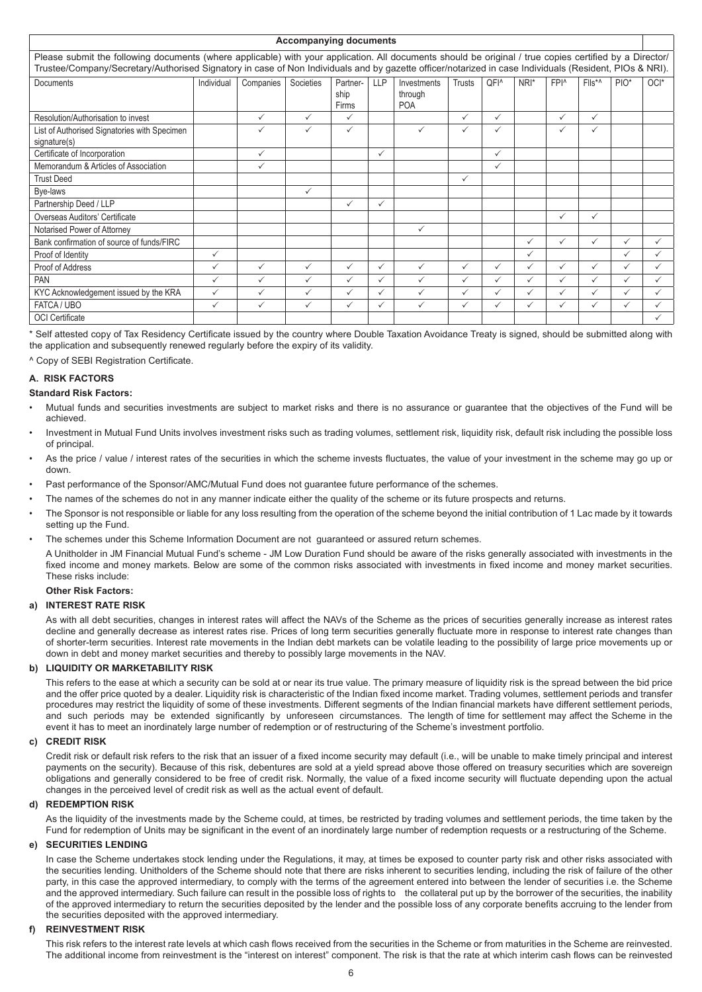| <b>Accompanying documents</b>                                                                                                                                                                                                                                                                                     |              |              |              |                           |            |                                      |               |                  |              |                  |                |              |      |
|-------------------------------------------------------------------------------------------------------------------------------------------------------------------------------------------------------------------------------------------------------------------------------------------------------------------|--------------|--------------|--------------|---------------------------|------------|--------------------------------------|---------------|------------------|--------------|------------------|----------------|--------------|------|
| Please submit the following documents (where applicable) with your application. All documents should be original / true copies certified by a Director/<br>Trustee/Company/Secretary/Authorised Signatory in case of Non Individuals and by gazette officer/notarized in case Individuals (Resident, PIOs & NRI). |              |              |              |                           |            |                                      |               |                  |              |                  |                |              |      |
| Documents                                                                                                                                                                                                                                                                                                         | Individual   | Companies    | Societies    | Partner-<br>ship<br>Firms | <b>LLP</b> | Investments<br>through<br><b>POA</b> | <b>Trusts</b> | QFI <sup>^</sup> | NRI*         | FPI <sup>^</sup> | $Flls^{\star}$ | $PIO^*$      | OCI* |
| Resolution/Authorisation to invest                                                                                                                                                                                                                                                                                |              | ✓            | ✓            | $\checkmark$              |            |                                      | ✓             | ✓                |              | ✓                | ✓              |              |      |
| List of Authorised Signatories with Specimen<br>signature(s)                                                                                                                                                                                                                                                      |              | $\checkmark$ | ✓            | $\checkmark$              |            | $\checkmark$                         | ✓             | ✓                |              | ✓                | ✓              |              |      |
| Certificate of Incorporation                                                                                                                                                                                                                                                                                      |              | $\checkmark$ |              |                           | ✓          |                                      |               | $\checkmark$     |              |                  |                |              |      |
| Memorandum & Articles of Association                                                                                                                                                                                                                                                                              |              | $\checkmark$ |              |                           |            |                                      |               | $\checkmark$     |              |                  |                |              |      |
| <b>Trust Deed</b>                                                                                                                                                                                                                                                                                                 |              |              |              |                           |            |                                      | ✓             |                  |              |                  |                |              |      |
| Bye-laws                                                                                                                                                                                                                                                                                                          |              |              | ✓            |                           |            |                                      |               |                  |              |                  |                |              |      |
| Partnership Deed / LLP                                                                                                                                                                                                                                                                                            |              |              |              | $\checkmark$              | ✓          |                                      |               |                  |              |                  |                |              |      |
| Overseas Auditors' Certificate                                                                                                                                                                                                                                                                                    |              |              |              |                           |            |                                      |               |                  |              | ✓                | ✓              |              |      |
| Notarised Power of Attorney                                                                                                                                                                                                                                                                                       |              |              |              |                           |            | ✓                                    |               |                  |              |                  |                |              |      |
| Bank confirmation of source of funds/FIRC                                                                                                                                                                                                                                                                         |              |              |              |                           |            |                                      |               |                  | $\checkmark$ | $\checkmark$     | ✓              | $\checkmark$ |      |
| Proof of Identity                                                                                                                                                                                                                                                                                                 | ✓            |              |              |                           |            |                                      |               |                  | $\checkmark$ |                  |                | $\checkmark$ |      |
| Proof of Address                                                                                                                                                                                                                                                                                                  | ✓            | $\checkmark$ | ✓            | $\checkmark$              | ✓          | $\checkmark$                         | ✓             | ✓                | $\checkmark$ | ✓                | ✓              | ✓            |      |
| <b>PAN</b>                                                                                                                                                                                                                                                                                                        | ✓            | $\checkmark$ | ✓            | $\checkmark$              |            | ✓                                    | ✓             | $\checkmark$     | $\checkmark$ | $\checkmark$     | ✓              | ✓            |      |
| KYC Acknowledgement issued by the KRA                                                                                                                                                                                                                                                                             | ✓            | $\checkmark$ | $\checkmark$ | $\checkmark$              | ✓          | ✓                                    | ✓             | $\checkmark$     | $\checkmark$ | ✓                | ✓              | ✓            |      |
| FATCA / UBO                                                                                                                                                                                                                                                                                                       | $\checkmark$ | $\checkmark$ | $\checkmark$ | $\checkmark$              | ✓          | $\checkmark$                         | ✓             | $\checkmark$     | $\checkmark$ | ✓                | ✓              | ✓            |      |
| <b>OCI</b> Certificate                                                                                                                                                                                                                                                                                            |              |              |              |                           |            |                                      |               |                  |              |                  |                |              |      |

\* Self attested copy of Tax Residency Certificate issued by the country where Double Taxation Avoidance Treaty is signed, should be submitted along with the application and subsequently renewed regularly before the expiry of its validity.

^ Copy of SEBI Registration Certificate.

## **A. RISK FACTORS**

## **Standard Risk Factors:**

- Mutual funds and securities investments are subject to market risks and there is no assurance or guarantee that the objectives of the Fund will be achieved.
- Investment in Mutual Fund Units involves investment risks such as trading volumes, settlement risk, liquidity risk, default risk including the possible loss of principal.
- As the price / value / interest rates of the securities in which the scheme invests fluctuates, the value of your investment in the scheme may go up or down.
- Past performance of the Sponsor/AMC/Mutual Fund does not guarantee future performance of the schemes.
- The names of the schemes do not in any manner indicate either the quality of the scheme or its future prospects and returns.
- The Sponsor is not responsible or liable for any loss resulting from the operation of the scheme beyond the initial contribution of 1 Lac made by it towards setting up the Fund.
- The schemes under this Scheme Information Document are not guaranteed or assured return schemes.

A Unitholder in JM Financial Mutual Fund's scheme - JM Low Duration Fund should be aware of the risks generally associated with investments in the fixed income and money markets. Below are some of the common risks associated with investments in fixed income and money market securities. These risks include:

## **Other Risk Factors:**

## **a) INTEREST RATE RISK**

As with all debt securities, changes in interest rates will affect the NAVs of the Scheme as the prices of securities generally increase as interest rates decline and generally decrease as interest rates rise. Prices of long term securities generally fluctuate more in response to interest rate changes than of shorter-term securities. Interest rate movements in the Indian debt markets can be volatile leading to the possibility of large price movements up or down in debt and money market securities and thereby to possibly large movements in the NAV.

## **b) LIQUIDITY OR MARKETABILITY RISK**

This refers to the ease at which a security can be sold at or near its true value. The primary measure of liquidity risk is the spread between the bid price and the offer price quoted by a dealer. Liquidity risk is characteristic of the Indian fixed income market. Trading volumes, settlement periods and transfer procedures may restrict the liquidity of some of these investments. Different segments of the Indian financial markets have different settlement periods, and such periods may be extended significantly by unforeseen circumstances. The length of time for settlement may affect the Scheme in the event it has to meet an inordinately large number of redemption or of restructuring of the Scheme's investment portfolio.

## **c) CREDIT RISK**

Credit risk or default risk refers to the risk that an issuer of a fixed income security may default (i.e., will be unable to make timely principal and interest payments on the security). Because of this risk, debentures are sold at a yield spread above those offered on treasury securities which are sovereign obligations and generally considered to be free of credit risk. Normally, the value of a fixed income security will fluctuate depending upon the actual changes in the perceived level of credit risk as well as the actual event of default.

## **d) REDEMPTION RISK**

As the liquidity of the investments made by the Scheme could, at times, be restricted by trading volumes and settlement periods, the time taken by the Fund for redemption of Units may be significant in the event of an inordinately large number of redemption requests or a restructuring of the Scheme.

## **e) SECURITIES LENDING**

In case the Scheme undertakes stock lending under the Regulations, it may, at times be exposed to counter party risk and other risks associated with the securities lending. Unitholders of the Scheme should note that there are risks inherent to securities lending, including the risk of failure of the other party, in this case the approved intermediary, to comply with the terms of the agreement entered into between the lender of securities i.e. the Scheme and the approved intermediary. Such failure can result in the possible loss of rights to the collateral put up by the borrower of the securities, the inability of the approved intermediary to return the securities deposited by the lender and the possible loss of any corporate benefits accruing to the lender from the securities deposited with the approved intermediary.

## **f) REINVESTMENT RISK**

This risk refers to the interest rate levels at which cash flows received from the securities in the Scheme or from maturities in the Scheme are reinvested. The additional income from reinvestment is the "interest on interest" component. The risk is that the rate at which interim cash flows can be reinvested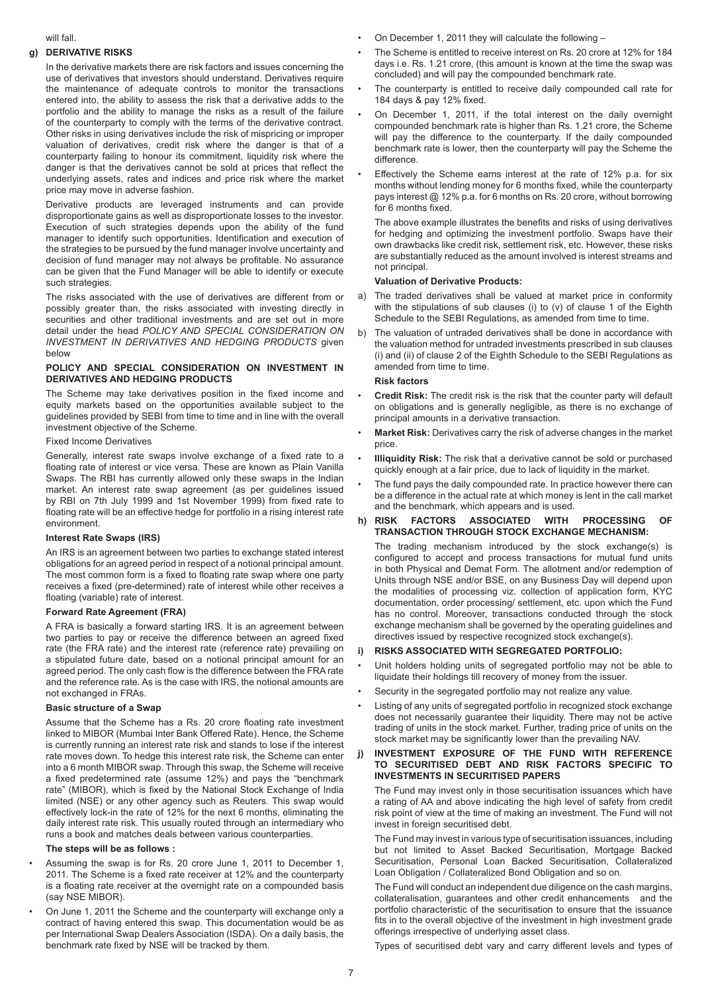#### will fall.

## **g) DERIVATIVE RISKS**

In the derivative markets there are risk factors and issues concerning the use of derivatives that investors should understand. Derivatives require the maintenance of adequate controls to monitor the transactions entered into, the ability to assess the risk that a derivative adds to the portfolio and the ability to manage the risks as a result of the failure of the counterparty to comply with the terms of the derivative contract. Other risks in using derivatives include the risk of mispricing or improper valuation of derivatives, credit risk where the danger is that of a counterparty failing to honour its commitment, liquidity risk where the danger is that the derivatives cannot be sold at prices that reflect the underlying assets, rates and indices and price risk where the market price may move in adverse fashion.

Derivative products are leveraged instruments and can provide disproportionate gains as well as disproportionate losses to the investor. Execution of such strategies depends upon the ability of the fund manager to identify such opportunities. Identification and execution of the strategies to be pursued by the fund manager involve uncertainty and decision of fund manager may not always be profitable. No assurance can be given that the Fund Manager will be able to identify or execute such strategies.

The risks associated with the use of derivatives are different from or possibly greater than, the risks associated with investing directly in securities and other traditional investments and are set out in more detail under the head *POLICY AND SPECIAL CONSIDERATION ON INVESTMENT IN DERIVATIVES AND HEDGING PRODUCTS* given below

## **POLICY AND SPECIAL CONSIDERATION ON INVESTMENT IN DERIVATIVES AND HEDGING PRODUCTS**

The Scheme may take derivatives position in the fixed income and equity markets based on the opportunities available subject to the guidelines provided by SEBI from time to time and in line with the overall investment objective of the Scheme.

### Fixed Income Derivatives

Generally, interest rate swaps involve exchange of a fixed rate to a floating rate of interest or vice versa. These are known as Plain Vanilla Swaps. The RBI has currently allowed only these swaps in the Indian market. An interest rate swap agreement (as per guidelines issued by RBI on 7th July 1999 and 1st November 1999) from fixed rate to floating rate will be an effective hedge for portfolio in a rising interest rate environment.

#### **Interest Rate Swaps (IRS)**

An IRS is an agreement between two parties to exchange stated interest obligations for an agreed period in respect of a notional principal amount. The most common form is a fixed to floating rate swap where one party receives a fixed (pre-determined) rate of interest while other receives a floating (variable) rate of interest.

## **Forward Rate Agreement (FRA)**

A FRA is basically a forward starting IRS. It is an agreement between two parties to pay or receive the difference between an agreed fixed rate (the FRA rate) and the interest rate (reference rate) prevailing on a stipulated future date, based on a notional principal amount for an agreed period. The only cash flow is the difference between the FRA rate and the reference rate. As is the case with IRS, the notional amounts are not exchanged in FRAs.

#### **Basic structure of a Swap**

Assume that the Scheme has a Rs. 20 crore floating rate investment linked to MIBOR (Mumbai Inter Bank Offered Rate). Hence, the Scheme is currently running an interest rate risk and stands to lose if the interest rate moves down. To hedge this interest rate risk, the Scheme can enter into a 6 month MIBOR swap. Through this swap, the Scheme will receive a fixed predetermined rate (assume 12%) and pays the "benchmark rate" (MIBOR), which is fixed by the National Stock Exchange of India limited (NSE) or any other agency such as Reuters. This swap would effectively lock-in the rate of 12% for the next 6 months, eliminating the daily interest rate risk. This usually routed through an intermediary who runs a book and matches deals between various counterparties.

## **The steps will be as follows :**

- Assuming the swap is for Rs. 20 crore June 1, 2011 to December 1, 2011. The Scheme is a fixed rate receiver at 12% and the counterparty is a floating rate receiver at the overnight rate on a compounded basis (say NSE MIBOR).
- On June 1, 2011 the Scheme and the counterparty will exchange only a contract of having entered this swap. This documentation would be as per International Swap Dealers Association (ISDA). On a daily basis, the benchmark rate fixed by NSE will be tracked by them.
- On December 1, 2011 they will calculate the following –
- The Scheme is entitled to receive interest on Rs. 20 crore at 12% for 184 days i.e. Rs. 1.21 crore, (this amount is known at the time the swap was concluded) and will pay the compounded benchmark rate.
- The counterparty is entitled to receive daily compounded call rate for 184 days & pay 12% fixed.
- On December 1, 2011, if the total interest on the daily overnight compounded benchmark rate is higher than Rs. 1.21 crore, the Scheme will pay the difference to the counterparty. If the daily compounded benchmark rate is lower, then the counterparty will pay the Scheme the difference.
- Effectively the Scheme earns interest at the rate of 12% p.a. for six months without lending money for 6 months fixed, while the counterparty pays interest @ 12% p.a. for 6 months on Rs. 20 crore, without borrowing for 6 months fixed.

The above example illustrates the benefits and risks of using derivatives for hedging and optimizing the investment portfolio. Swaps have their own drawbacks like credit risk, settlement risk, etc. However, these risks are substantially reduced as the amount involved is interest streams and not principal.

#### **Valuation of Derivative Products:**

- a) The traded derivatives shall be valued at market price in conformity with the stipulations of sub clauses (i) to (v) of clause 1 of the Eighth Schedule to the SEBI Regulations, as amended from time to time.
- b) The valuation of untraded derivatives shall be done in accordance with the valuation method for untraded investments prescribed in sub clauses (i) and (ii) of clause 2 of the Eighth Schedule to the SEBI Regulations as amended from time to time.

## **Risk factors**

- **Credit Risk:** The credit risk is the risk that the counter party will default on obligations and is generally negligible, as there is no exchange of principal amounts in a derivative transaction.
- **Market Risk:** Derivatives carry the risk of adverse changes in the market price.
- **Illiquidity Risk:** The risk that a derivative cannot be sold or purchased quickly enough at a fair price, due to lack of liquidity in the market.
- The fund pays the daily compounded rate. In practice however there can be a difference in the actual rate at which money is lent in the call market and the benchmark, which appears and is used.

#### **h) RISK FACTORS ASSOCIATED WITH PROCESSING OF TRANSACTION THROUGH STOCK EXCHANGE MECHANISM:**

The trading mechanism introduced by the stock exchange(s) is configured to accept and process transactions for mutual fund units in both Physical and Demat Form. The allotment and/or redemption of Units through NSE and/or BSE, on any Business Day will depend upon the modalities of processing viz. collection of application form, KYC documentation, order processing/ settlement, etc. upon which the Fund has no control. Moreover, transactions conducted through the stock exchange mechanism shall be governed by the operating guidelines and directives issued by respective recognized stock exchange(s).

## **i) RISKS ASSOCIATED WITH SEGREGATED PORTFOLIO:**

- Unit holders holding units of segregated portfolio may not be able to liquidate their holdings till recovery of money from the issuer.
- Security in the segregated portfolio may not realize any value.
- Listing of any units of segregated portfolio in recognized stock exchange does not necessarily guarantee their liquidity. There may not be active trading of units in the stock market. Further, trading price of units on the stock market may be significantly lower than the prevailing NAV.

## **j) INVESTMENT EXPOSURE OF THE FUND WITH REFERENCE TO SECURITISED DEBT AND RISK FACTORS SPECIFIC TO INVESTMENTS IN SECURITISED PAPERS**

The Fund may invest only in those securitisation issuances which have a rating of AA and above indicating the high level of safety from credit risk point of view at the time of making an investment. The Fund will not invest in foreign securitised debt.

The Fund may invest in various type of securitisation issuances, including but not limited to Asset Backed Securitisation, Mortgage Backed Securitisation, Personal Loan Backed Securitisation, Collateralized Loan Obligation / Collateralized Bond Obligation and so on.

The Fund will conduct an independent due diligence on the cash margins, collateralisation, guarantees and other credit enhancements and the portfolio characteristic of the securitisation to ensure that the issuance fits in to the overall objective of the investment in high investment grade offerings irrespective of underlying asset class.

Types of securitised debt vary and carry different levels and types of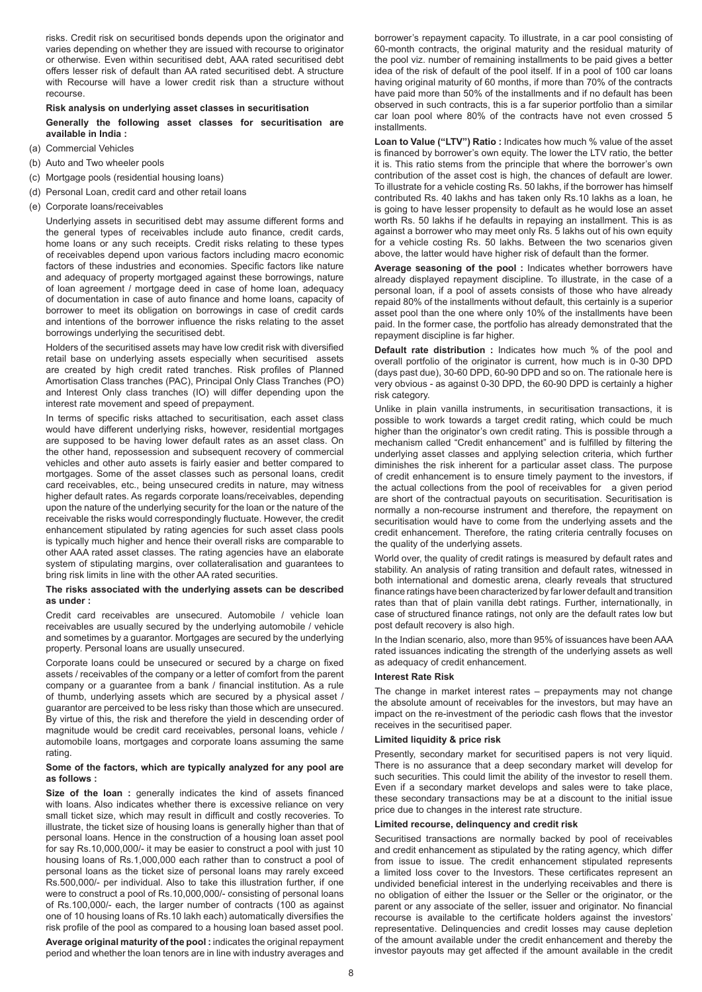risks. Credit risk on securitised bonds depends upon the originator and varies depending on whether they are issued with recourse to originator or otherwise. Even within securitised debt, AAA rated securitised debt offers lesser risk of default than AA rated securitised debt. A structure with Recourse will have a lower credit risk than a structure without recourse.

#### **Risk analysis on underlying asset classes in securitisation**

**Generally the following asset classes for securitisation are available in India :**

- (a) Commercial Vehicles
- (b) Auto and Two wheeler pools
- (c) Mortgage pools (residential housing loans)
- (d) Personal Loan, credit card and other retail loans
- (e) Corporate loans/receivables

Underlying assets in securitised debt may assume different forms and the general types of receivables include auto finance, credit cards, home loans or any such receipts. Credit risks relating to these types of receivables depend upon various factors including macro economic factors of these industries and economies. Specific factors like nature and adequacy of property mortgaged against these borrowings, nature of loan agreement / mortgage deed in case of home loan, adequacy of documentation in case of auto finance and home loans, capacity of borrower to meet its obligation on borrowings in case of credit cards and intentions of the borrower influence the risks relating to the asset borrowings underlying the securitised debt.

Holders of the securitised assets may have low credit risk with diversified retail base on underlying assets especially when securitised assets are created by high credit rated tranches. Risk profiles of Planned Amortisation Class tranches (PAC), Principal Only Class Tranches (PO) and Interest Only class tranches (IO) will differ depending upon the interest rate movement and speed of prepayment.

In terms of specific risks attached to securitisation, each asset class would have different underlying risks, however, residential mortgages are supposed to be having lower default rates as an asset class. On the other hand, repossession and subsequent recovery of commercial vehicles and other auto assets is fairly easier and better compared to mortgages. Some of the asset classes such as personal loans, credit card receivables, etc., being unsecured credits in nature, may witness higher default rates. As regards corporate loans/receivables, depending upon the nature of the underlying security for the loan or the nature of the receivable the risks would correspondingly fluctuate. However, the credit enhancement stipulated by rating agencies for such asset class pools is typically much higher and hence their overall risks are comparable to other AAA rated asset classes. The rating agencies have an elaborate system of stipulating margins, over collateralisation and guarantees to bring risk limits in line with the other AA rated securities.

#### **The risks associated with the underlying assets can be described as under :**

Credit card receivables are unsecured. Automobile / vehicle loan receivables are usually secured by the underlying automobile / vehicle and sometimes by a guarantor. Mortgages are secured by the underlying property. Personal loans are usually unsecured.

Corporate loans could be unsecured or secured by a charge on fixed assets / receivables of the company or a letter of comfort from the parent company or a guarantee from a bank / financial institution. As a rule of thumb, underlying assets which are secured by a physical asset / guarantor are perceived to be less risky than those which are unsecured. By virtue of this, the risk and therefore the yield in descending order of magnitude would be credit card receivables, personal loans, vehicle / automobile loans, mortgages and corporate loans assuming the same rating.

## **Some of the factors, which are typically analyzed for any pool are as follows :**

**Size of the loan :** generally indicates the kind of assets financed with loans. Also indicates whether there is excessive reliance on very small ticket size, which may result in difficult and costly recoveries. To illustrate, the ticket size of housing loans is generally higher than that of personal loans. Hence in the construction of a housing loan asset pool for say Rs.10,000,000/- it may be easier to construct a pool with just 10 housing loans of Rs.1,000,000 each rather than to construct a pool of personal loans as the ticket size of personal loans may rarely exceed Rs.500,000/- per individual. Also to take this illustration further, if one were to construct a pool of Rs.10,000,000/- consisting of personal loans of Rs.100,000/- each, the larger number of contracts (100 as against one of 10 housing loans of Rs.10 lakh each) automatically diversifies the risk profile of the pool as compared to a housing loan based asset pool.

**Average original maturity of the pool :** indicates the original repayment period and whether the loan tenors are in line with industry averages and borrower's repayment capacity. To illustrate, in a car pool consisting of 60-month contracts, the original maturity and the residual maturity of the pool viz. number of remaining installments to be paid gives a better idea of the risk of default of the pool itself. If in a pool of 100 car loans having original maturity of 60 months, if more than 70% of the contracts have paid more than 50% of the installments and if no default has been observed in such contracts, this is a far superior portfolio than a similar car loan pool where 80% of the contracts have not even crossed 5 installments.

**Loan to Value ("LTV") Ratio :** Indicates how much % value of the asset is financed by borrower's own equity. The lower the LTV ratio, the better it is. This ratio stems from the principle that where the borrower's own contribution of the asset cost is high, the chances of default are lower. To illustrate for a vehicle costing Rs. 50 lakhs, if the borrower has himself contributed Rs. 40 lakhs and has taken only Rs.10 lakhs as a loan, he is going to have lesser propensity to default as he would lose an asset worth Rs. 50 lakhs if he defaults in repaying an installment. This is as against a borrower who may meet only Rs. 5 lakhs out of his own equity for a vehicle costing Rs. 50 lakhs. Between the two scenarios given above, the latter would have higher risk of default than the former.

**Average seasoning of the pool :** Indicates whether borrowers have already displayed repayment discipline. To illustrate, in the case of a personal loan, if a pool of assets consists of those who have already repaid 80% of the installments without default, this certainly is a superior asset pool than the one where only 10% of the installments have been paid. In the former case, the portfolio has already demonstrated that the repayment discipline is far higher.

**Default rate distribution :** Indicates how much % of the pool and overall portfolio of the originator is current, how much is in 0-30 DPD (days past due), 30-60 DPD, 60-90 DPD and so on. The rationale here is very obvious - as against 0-30 DPD, the 60-90 DPD is certainly a higher risk category.

Unlike in plain vanilla instruments, in securitisation transactions, it is possible to work towards a target credit rating, which could be much higher than the originator's own credit rating. This is possible through a mechanism called "Credit enhancement" and is fulfilled by filtering the underlying asset classes and applying selection criteria, which further diminishes the risk inherent for a particular asset class. The purpose of credit enhancement is to ensure timely payment to the investors, if the actual collections from the pool of receivables for a given period are short of the contractual payouts on securitisation. Securitisation is normally a non-recourse instrument and therefore, the repayment on securitisation would have to come from the underlying assets and the credit enhancement. Therefore, the rating criteria centrally focuses on the quality of the underlying assets.

World over, the quality of credit ratings is measured by default rates and stability. An analysis of rating transition and default rates, witnessed in both international and domestic arena, clearly reveals that structured finance ratings have been characterized by far lower default and transition rates than that of plain vanilla debt ratings. Further, internationally, in case of structured finance ratings, not only are the default rates low but post default recovery is also high.

In the Indian scenario, also, more than 95% of issuances have been AAA rated issuances indicating the strength of the underlying assets as well as adequacy of credit enhancement.

## **Interest Rate Risk**

The change in market interest rates – prepayments may not change the absolute amount of receivables for the investors, but may have an impact on the re-investment of the periodic cash flows that the investor receives in the securitised paper.

## **Limited liquidity & price risk**

Presently, secondary market for securitised papers is not very liquid. There is no assurance that a deep secondary market will develop for such securities. This could limit the ability of the investor to resell them. Even if a secondary market develops and sales were to take place, these secondary transactions may be at a discount to the initial issue price due to changes in the interest rate structure.

## **Limited recourse, delinquency and credit risk**

Securitised transactions are normally backed by pool of receivables and credit enhancement as stipulated by the rating agency, which differ from issue to issue. The credit enhancement stipulated represents a limited loss cover to the Investors. These certificates represent an undivided beneficial interest in the underlying receivables and there is no obligation of either the Issuer or the Seller or the originator, or the parent or any associate of the seller, issuer and originator. No financial recourse is available to the certificate holders against the investors' representative. Delinquencies and credit losses may cause depletion of the amount available under the credit enhancement and thereby the investor payouts may get affected if the amount available in the credit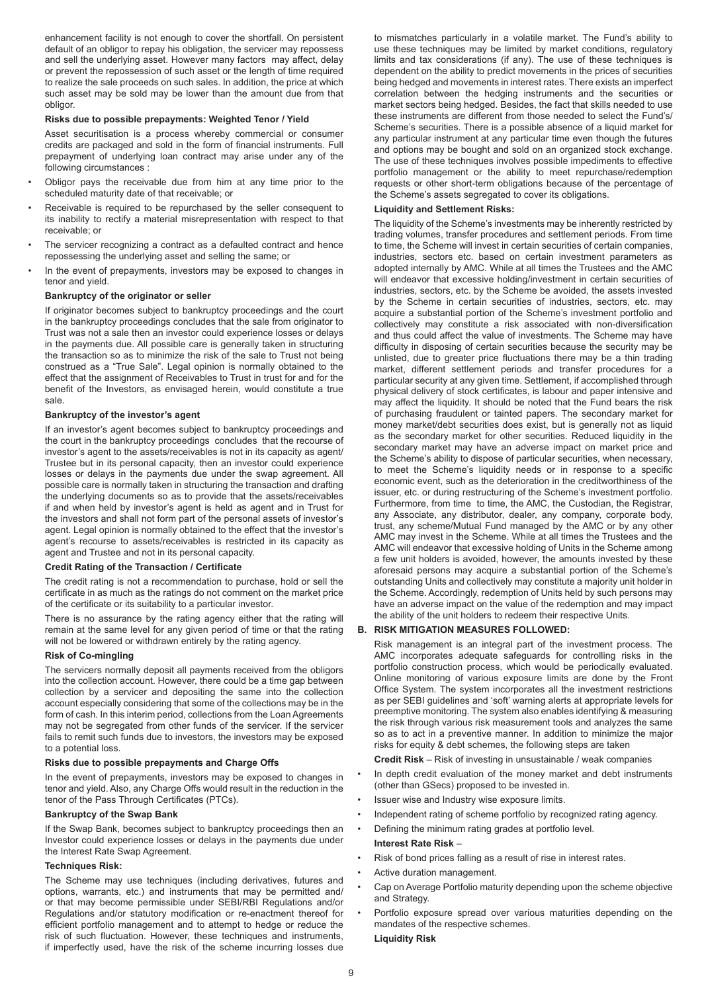enhancement facility is not enough to cover the shortfall. On persistent default of an obligor to repay his obligation, the servicer may repossess and sell the underlying asset. However many factors may affect, delay or prevent the repossession of such asset or the length of time required to realize the sale proceeds on such sales. In addition, the price at which such asset may be sold may be lower than the amount due from that obligor.

### **Risks due to possible prepayments: Weighted Tenor / Yield**

Asset securitisation is a process whereby commercial or consumer credits are packaged and sold in the form of financial instruments. Full prepayment of underlying loan contract may arise under any of the following circumstances :

- Obligor pays the receivable due from him at any time prior to the scheduled maturity date of that receivable; or
- Receivable is required to be repurchased by the seller consequent to its inability to rectify a material misrepresentation with respect to that receivable; or
- The servicer recognizing a contract as a defaulted contract and hence repossessing the underlying asset and selling the same; or
- In the event of prepayments, investors may be exposed to changes in tenor and yield.

#### **Bankruptcy of the originator or seller**

If originator becomes subject to bankruptcy proceedings and the court in the bankruptcy proceedings concludes that the sale from originator to Trust was not a sale then an investor could experience losses or delays in the payments due. All possible care is generally taken in structuring the transaction so as to minimize the risk of the sale to Trust not being construed as a "True Sale". Legal opinion is normally obtained to the effect that the assignment of Receivables to Trust in trust for and for the benefit of the Investors, as envisaged herein, would constitute a true sale.

## **Bankruptcy of the investor's agent**

If an investor's agent becomes subject to bankruptcy proceedings and the court in the bankruptcy proceedings concludes that the recourse of investor's agent to the assets/receivables is not in its capacity as agent/ Trustee but in its personal capacity, then an investor could experience losses or delays in the payments due under the swap agreement. All possible care is normally taken in structuring the transaction and drafting the underlying documents so as to provide that the assets/receivables if and when held by investor's agent is held as agent and in Trust for the investors and shall not form part of the personal assets of investor's agent. Legal opinion is normally obtained to the effect that the investor's agent's recourse to assets/receivables is restricted in its capacity as agent and Trustee and not in its personal capacity.

#### **Credit Rating of the Transaction / Certificate**

The credit rating is not a recommendation to purchase, hold or sell the certificate in as much as the ratings do not comment on the market price of the certificate or its suitability to a particular investor.

There is no assurance by the rating agency either that the rating will remain at the same level for any given period of time or that the rating will not be lowered or withdrawn entirely by the rating agency.

#### **Risk of Co-mingling**

The servicers normally deposit all payments received from the obligors into the collection account. However, there could be a time gap between collection by a servicer and depositing the same into the collection account especially considering that some of the collections may be in the form of cash. In this interim period, collections from the Loan Agreements may not be segregated from other funds of the servicer. If the servicer fails to remit such funds due to investors, the investors may be exposed to a potential loss.

#### **Risks due to possible prepayments and Charge Offs**

In the event of prepayments, investors may be exposed to changes in tenor and yield. Also, any Charge Offs would result in the reduction in the tenor of the Pass Through Certificates (PTCs).

#### **Bankruptcy of the Swap Bank**

If the Swap Bank, becomes subject to bankruptcy proceedings then an Investor could experience losses or delays in the payments due under the Interest Rate Swap Agreement.

#### **Techniques Risk:**

The Scheme may use techniques (including derivatives, futures and options, warrants, etc.) and instruments that may be permitted and/ or that may become permissible under SEBI/RBI Regulations and/or Regulations and/or statutory modification or re-enactment thereof for efficient portfolio management and to attempt to hedge or reduce the risk of such fluctuation. However, these techniques and instruments, if imperfectly used, have the risk of the scheme incurring losses due

to mismatches particularly in a volatile market. The Fund's ability to use these techniques may be limited by market conditions, regulatory limits and tax considerations (if any). The use of these techniques is dependent on the ability to predict movements in the prices of securities being hedged and movements in interest rates. There exists an imperfect correlation between the hedging instruments and the securities or market sectors being hedged. Besides, the fact that skills needed to use these instruments are different from those needed to select the Fund's/ Scheme's securities. There is a possible absence of a liquid market for any particular instrument at any particular time even though the futures and options may be bought and sold on an organized stock exchange. The use of these techniques involves possible impediments to effective portfolio management or the ability to meet repurchase/redemption requests or other short-term obligations because of the percentage of the Scheme's assets segregated to cover its obligations.

### **Liquidity and Settlement Risks:**

The liquidity of the Scheme's investments may be inherently restricted by trading volumes, transfer procedures and settlement periods. From time to time, the Scheme will invest in certain securities of certain companies, industries, sectors etc. based on certain investment parameters as adopted internally by AMC. While at all times the Trustees and the AMC will endeavor that excessive holding/investment in certain securities of industries, sectors, etc. by the Scheme be avoided, the assets invested by the Scheme in certain securities of industries, sectors, etc. may acquire a substantial portion of the Scheme's investment portfolio and collectively may constitute a risk associated with non-diversification and thus could affect the value of investments. The Scheme may have difficulty in disposing of certain securities because the security may be unlisted, due to greater price fluctuations there may be a thin trading market, different settlement periods and transfer procedures for a particular security at any given time. Settlement, if accomplished through physical delivery of stock certificates, is labour and paper intensive and may affect the liquidity. It should be noted that the Fund bears the risk of purchasing fraudulent or tainted papers. The secondary market for money market/debt securities does exist, but is generally not as liquid as the secondary market for other securities. Reduced liquidity in the secondary market may have an adverse impact on market price and the Scheme's ability to dispose of particular securities, when necessary, to meet the Scheme's liquidity needs or in response to a specific economic event, such as the deterioration in the creditworthiness of the issuer, etc. or during restructuring of the Scheme's investment portfolio. Furthermore, from time to time, the AMC, the Custodian, the Registrar, any Associate, any distributor, dealer, any company, corporate body, trust, any scheme/Mutual Fund managed by the AMC or by any other AMC may invest in the Scheme. While at all times the Trustees and the AMC will endeavor that excessive holding of Units in the Scheme among a few unit holders is avoided, however, the amounts invested by these aforesaid persons may acquire a substantial portion of the Scheme's outstanding Units and collectively may constitute a majority unit holder in the Scheme. Accordingly, redemption of Units held by such persons may have an adverse impact on the value of the redemption and may impact the ability of the unit holders to redeem their respective Units.

#### **B. RISK MITIGATION MEASURES FOLLOWED:**

Risk management is an integral part of the investment process. The AMC incorporates adequate safeguards for controlling risks in the portfolio construction process, which would be periodically evaluated. Online monitoring of various exposure limits are done by the Front Office System. The system incorporates all the investment restrictions as per SEBI guidelines and 'soft' warning alerts at appropriate levels for preemptive monitoring. The system also enables identifying & measuring the risk through various risk measurement tools and analyzes the same so as to act in a preventive manner. In addition to minimize the major risks for equity & debt schemes, the following steps are taken

**Credit Risk** – Risk of investing in unsustainable / weak companies

- In depth credit evaluation of the money market and debt instruments (other than GSecs) proposed to be invested in.
- Issuer wise and Industry wise exposure limits.
- Independent rating of scheme portfolio by recognized rating agency.
- Defining the minimum rating grades at portfolio level.

#### **Interest Rate Risk** –

- Risk of bond prices falling as a result of rise in interest rates.
- Active duration management.
- Cap on Average Portfolio maturity depending upon the scheme objective and Strategy.
- Portfolio exposure spread over various maturities depending on the mandates of the respective schemes. **Liquidity Risk**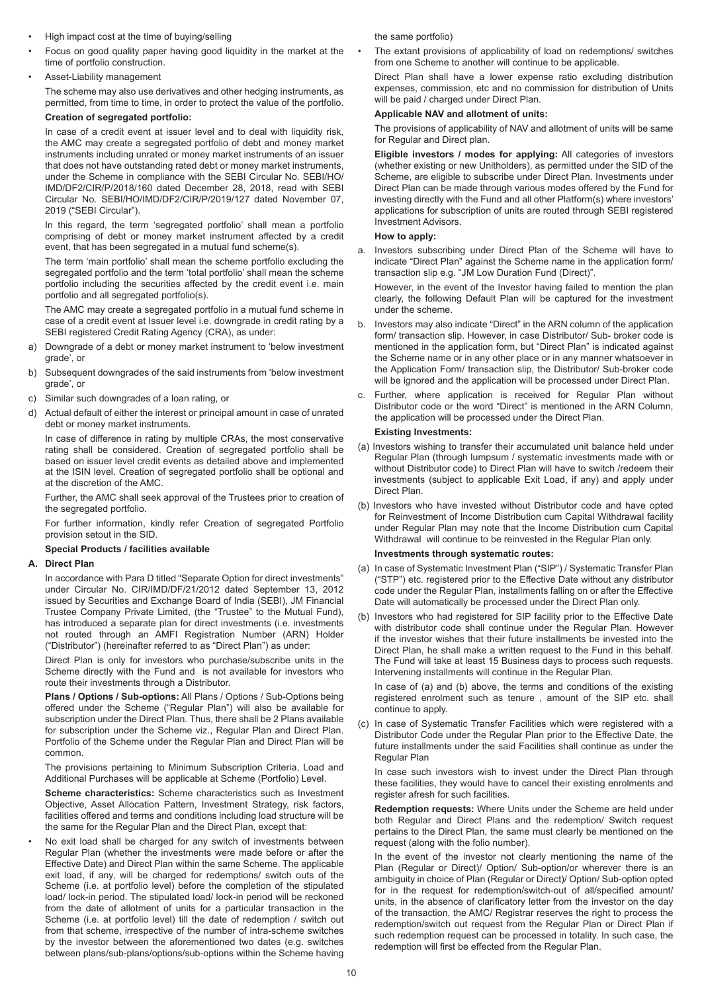- High impact cost at the time of buying/selling
- Focus on good quality paper having good liquidity in the market at the time of portfolio construction.
- Asset-Liability management

The scheme may also use derivatives and other hedging instruments, as permitted, from time to time, in order to protect the value of the portfolio.

## **Creation of segregated portfolio:**

In case of a credit event at issuer level and to deal with liquidity risk, the AMC may create a segregated portfolio of debt and money market instruments including unrated or money market instruments of an issuer that does not have outstanding rated debt or money market instruments, under the Scheme in compliance with the SEBI Circular No. SEBI/HO/ IMD/DF2/CIR/P/2018/160 dated December 28, 2018, read with SEBI Circular No. SEBI/HO/IMD/DF2/CIR/P/2019/127 dated November 07, 2019 ("SEBI Circular").

In this regard, the term 'segregated portfolio' shall mean a portfolio comprising of debt or money market instrument affected by a credit event, that has been segregated in a mutual fund scheme(s).

The term 'main portfolio' shall mean the scheme portfolio excluding the segregated portfolio and the term 'total portfolio' shall mean the scheme portfolio including the securities affected by the credit event i.e. main portfolio and all segregated portfolio(s).

The AMC may create a segregated portfolio in a mutual fund scheme in case of a credit event at Issuer level i.e. downgrade in credit rating by a SEBI registered Credit Rating Agency (CRA), as under:

- a) Downgrade of a debt or money market instrument to 'below investment grade', or
- b) Subsequent downgrades of the said instruments from 'below investment grade', or
- c) Similar such downgrades of a loan rating, or
- d) Actual default of either the interest or principal amount in case of unrated debt or money market instruments.

In case of difference in rating by multiple CRAs, the most conservative rating shall be considered. Creation of segregated portfolio shall be based on issuer level credit events as detailed above and implemented at the ISIN level. Creation of segregated portfolio shall be optional and at the discretion of the AMC.

Further, the AMC shall seek approval of the Trustees prior to creation of the segregated portfolio.

For further information, kindly refer Creation of segregated Portfolio provision setout in the SID.

## **Special Products / facilities available**

## **A. Direct Plan**

In accordance with Para D titled "Separate Option for direct investments" under Circular No. CIR/IMD/DF/21/2012 dated September 13, 2012 issued by Securities and Exchange Board of India (SEBI), JM Financial Trustee Company Private Limited, (the "Trustee" to the Mutual Fund), has introduced a separate plan for direct investments (i.e. investments not routed through an AMFI Registration Number (ARN) Holder ("Distributor") (hereinafter referred to as "Direct Plan") as under:

Direct Plan is only for investors who purchase/subscribe units in the Scheme directly with the Fund and is not available for investors who route their investments through a Distributor.

**Plans / Options / Sub-options:** All Plans / Options / Sub-Options being offered under the Scheme ("Regular Plan") will also be available for subscription under the Direct Plan. Thus, there shall be 2 Plans available for subscription under the Scheme viz., Regular Plan and Direct Plan. Portfolio of the Scheme under the Regular Plan and Direct Plan will be common.

The provisions pertaining to Minimum Subscription Criteria, Load and Additional Purchases will be applicable at Scheme (Portfolio) Level.

**Scheme characteristics:** Scheme characteristics such as Investment Objective, Asset Allocation Pattern, Investment Strategy, risk factors, facilities offered and terms and conditions including load structure will be the same for the Regular Plan and the Direct Plan, except that:

• No exit load shall be charged for any switch of investments between Regular Plan (whether the investments were made before or after the Effective Date) and Direct Plan within the same Scheme. The applicable exit load, if any, will be charged for redemptions/ switch outs of the Scheme (i.e. at portfolio level) before the completion of the stipulated load/ lock-in period. The stipulated load/ lock-in period will be reckoned from the date of allotment of units for a particular transaction in the Scheme (i.e. at portfolio level) till the date of redemption / switch out from that scheme, irrespective of the number of intra-scheme switches by the investor between the aforementioned two dates (e.g. switches between plans/sub-plans/options/sub-options within the Scheme having the same portfolio)

The extant provisions of applicability of load on redemptions/ switches from one Scheme to another will continue to be applicable.

Direct Plan shall have a lower expense ratio excluding distribution expenses, commission, etc and no commission for distribution of Units will be paid / charged under Direct Plan.

## **Applicable NAV and allotment of units:**

The provisions of applicability of NAV and allotment of units will be same for Regular and Direct plan.

**Eligible investors / modes for applying:** All categories of investors (whether existing or new Unitholders), as permitted under the SID of the Scheme, are eligible to subscribe under Direct Plan. Investments under Direct Plan can be made through various modes offered by the Fund for investing directly with the Fund and all other Platform(s) where investors' applications for subscription of units are routed through SEBI registered Investment Advisors.

## **How to apply:**

a. Investors subscribing under Direct Plan of the Scheme will have to indicate "Direct Plan" against the Scheme name in the application form/ transaction slip e.g. "JM Low Duration Fund (Direct)".

However, in the event of the Investor having failed to mention the plan clearly, the following Default Plan will be captured for the investment under the scheme.

- b. Investors may also indicate "Direct" in the ARN column of the application form/ transaction slip. However, in case Distributor/ Sub- broker code is mentioned in the application form, but "Direct Plan" is indicated against the Scheme name or in any other place or in any manner whatsoever in the Application Form/ transaction slip, the Distributor/ Sub-broker code will be ignored and the application will be processed under Direct Plan.
- c. Further, where application is received for Regular Plan without Distributor code or the word "Direct" is mentioned in the ARN Column, the application will be processed under the Direct Plan.

## **Existing Investments:**

- (a) Investors wishing to transfer their accumulated unit balance held under Regular Plan (through lumpsum / systematic investments made with or without Distributor code) to Direct Plan will have to switch /redeem their investments (subject to applicable Exit Load, if any) and apply under Direct Plan.
- (b) Investors who have invested without Distributor code and have opted for Reinvestment of Income Distribution cum Capital Withdrawal facility under Regular Plan may note that the Income Distribution cum Capital Withdrawal will continue to be reinvested in the Regular Plan only.

## **Investments through systematic routes:**

- (a) In case of Systematic Investment Plan ("SIP") / Systematic Transfer Plan ("STP") etc. registered prior to the Effective Date without any distributor code under the Regular Plan, installments falling on or after the Effective Date will automatically be processed under the Direct Plan only.
- (b) Investors who had registered for SIP facility prior to the Effective Date with distributor code shall continue under the Regular Plan. However if the investor wishes that their future installments be invested into the Direct Plan, he shall make a written request to the Fund in this behalf. The Fund will take at least 15 Business days to process such requests. Intervening installments will continue in the Regular Plan.

In case of (a) and (b) above, the terms and conditions of the existing registered enrolment such as tenure , amount of the SIP etc. shall continue to apply.

(c) In case of Systematic Transfer Facilities which were registered with a Distributor Code under the Regular Plan prior to the Effective Date, the future installments under the said Facilities shall continue as under the Regular Plan

In case such investors wish to invest under the Direct Plan through these facilities, they would have to cancel their existing enrolments and register afresh for such facilities.

**Redemption requests:** Where Units under the Scheme are held under both Regular and Direct Plans and the redemption/ Switch request pertains to the Direct Plan, the same must clearly be mentioned on the request (along with the folio number).

In the event of the investor not clearly mentioning the name of the Plan (Regular or Direct)/ Option/ Sub-option/or wherever there is an ambiguity in choice of Plan (Regular or Direct)/ Option/ Sub-option opted for in the request for redemption/switch-out of all/specified amount/ units, in the absence of clarificatory letter from the investor on the day of the transaction, the AMC/ Registrar reserves the right to process the redemption/switch out request from the Regular Plan or Direct Plan if such redemption request can be processed in totality. In such case, the redemption will first be effected from the Regular Plan.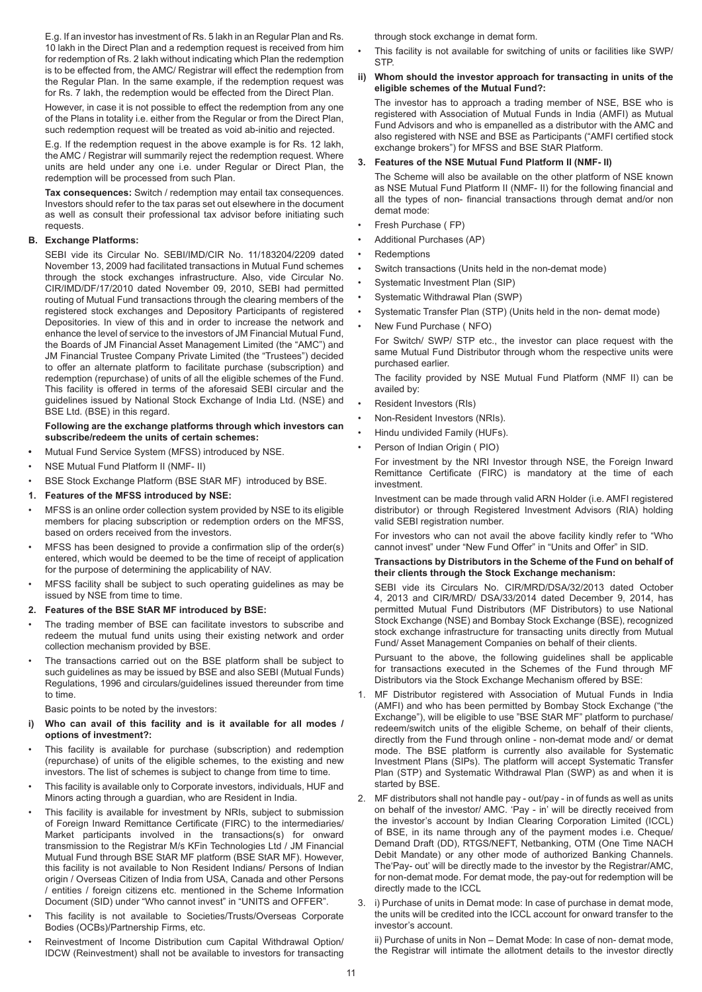E.g. If an investor has investment of Rs. 5 lakh in an Regular Plan and Rs. 10 lakh in the Direct Plan and a redemption request is received from him for redemption of Rs. 2 lakh without indicating which Plan the redemption is to be effected from, the AMC/ Registrar will effect the redemption from the Regular Plan. In the same example, if the redemption request was for Rs. 7 lakh, the redemption would be effected from the Direct Plan.

However, in case it is not possible to effect the redemption from any one of the Plans in totality i.e. either from the Regular or from the Direct Plan, such redemption request will be treated as void ab-initio and rejected.

E.g. If the redemption request in the above example is for Rs. 12 lakh, the AMC / Registrar will summarily reject the redemption request. Where units are held under any one i.e. under Regular or Direct Plan, the redemption will be processed from such Plan.

**Tax consequences:** Switch / redemption may entail tax consequences. Investors should refer to the tax paras set out elsewhere in the document as well as consult their professional tax advisor before initiating such requests.

## **B. Exchange Platforms:**

SEBI vide its Circular No. SEBI/IMD/CIR No. 11/183204/2209 dated November 13, 2009 had facilitated transactions in Mutual Fund schemes through the stock exchanges infrastructure. Also, vide Circular No. CIR/IMD/DF/17/2010 dated November 09, 2010, SEBI had permitted routing of Mutual Fund transactions through the clearing members of the registered stock exchanges and Depository Participants of registered Depositories. In view of this and in order to increase the network and enhance the level of service to the investors of JM Financial Mutual Fund, the Boards of JM Financial Asset Management Limited (the "AMC") and JM Financial Trustee Company Private Limited (the "Trustees") decided to offer an alternate platform to facilitate purchase (subscription) and redemption (repurchase) of units of all the eligible schemes of the Fund. This facility is offered in terms of the aforesaid SEBI circular and the guidelines issued by National Stock Exchange of India Ltd. (NSE) and BSE Ltd. (BSE) in this regard.

#### **Following are the exchange platforms through which investors can subscribe/redeem the units of certain schemes:**

- **•** Mutual Fund Service System (MFSS) introduced by NSE.
- NSE Mutual Fund Platform II (NMF- II)
- BSE Stock Exchange Platform (BSE StAR MF) introduced by BSE.
- **1. Features of the MFSS introduced by NSE:**
- MFSS is an online order collection system provided by NSE to its eligible members for placing subscription or redemption orders on the MFSS, based on orders received from the investors.
- MFSS has been designed to provide a confirmation slip of the order(s) entered, which would be deemed to be the time of receipt of application for the purpose of determining the applicability of NAV.
- MFSS facility shall be subject to such operating guidelines as may be issued by NSE from time to time.

## **2. Features of the BSE StAR MF introduced by BSE:**

- The trading member of BSE can facilitate investors to subscribe and redeem the mutual fund units using their existing network and order collection mechanism provided by BSE.
- The transactions carried out on the BSE platform shall be subject to such guidelines as may be issued by BSE and also SEBI (Mutual Funds) Regulations, 1996 and circulars/guidelines issued thereunder from time to time.

Basic points to be noted by the investors:

## **i) Who can avail of this facility and is it available for all modes / options of investment?:**

- This facility is available for purchase (subscription) and redemption (repurchase) of units of the eligible schemes, to the existing and new investors. The list of schemes is subject to change from time to time.
- This facility is available only to Corporate investors, individuals, HUF and Minors acting through a guardian, who are Resident in India.
- This facility is available for investment by NRIs, subject to submission of Foreign Inward Remittance Certificate (FIRC) to the intermediaries/ Market participants involved in the transactions(s) for onward transmission to the Registrar M/s KFin Technologies Ltd / JM Financial Mutual Fund through BSE StAR MF platform (BSE StAR MF). However, this facility is not available to Non Resident Indians/ Persons of Indian origin / Overseas Citizen of India from USA, Canada and other Persons / entities / foreign citizens etc. mentioned in the Scheme Information Document (SID) under "Who cannot invest" in "UNITS and OFFER".
- This facility is not available to Societies/Trusts/Overseas Corporate Bodies (OCBs)/Partnership Firms, etc.
- Reinvestment of Income Distribution cum Capital Withdrawal Option/ IDCW (Reinvestment) shall not be available to investors for transacting

through stock exchange in demat form.

- This facility is not available for switching of units or facilities like SWP/ **STP.**
- **ii) Whom should the investor approach for transacting in units of the eligible schemes of the Mutual Fund?:**

The investor has to approach a trading member of NSE, BSE who is registered with Association of Mutual Funds in India (AMFI) as Mutual Fund Advisors and who is empanelled as a distributor with the AMC and also registered with NSE and BSE as Participants ("AMFI certified stock exchange brokers") for MFSS and BSE StAR Platform.

### **3. Features of the NSE Mutual Fund Platform II (NMF- II)**

The Scheme will also be available on the other platform of NSE known as NSE Mutual Fund Platform II (NMF- II) for the following financial and all the types of non- financial transactions through demat and/or non demat mode:

- Fresh Purchase ( FP)
- Additional Purchases (AP)
- Redemptions
- Switch transactions (Units held in the non-demat mode)
- Systematic Investment Plan (SIP)
- Systematic Withdrawal Plan (SWP)
- Systematic Transfer Plan (STP) (Units held in the non- demat mode)
- New Fund Purchase ( NFO)

For Switch/ SWP/ STP etc., the investor can place request with the same Mutual Fund Distributor through whom the respective units were purchased earlier.

The facility provided by NSE Mutual Fund Platform (NMF II) can be availed by:

- Resident Investors (RIs)
- Non-Resident Investors (NRIs).
- Hindu undivided Family (HUFs).
- Person of Indian Origin ( PIO)

For investment by the NRI Investor through NSE, the Foreign Inward Remittance Certificate (FIRC) is mandatory at the time of each investment.

Investment can be made through valid ARN Holder (i.e. AMFI registered distributor) or through Registered Investment Advisors (RIA) holding valid SEBI registration number.

For investors who can not avail the above facility kindly refer to "Who cannot invest" under "New Fund Offer" in "Units and Offer" in SID.

### **Transactions by Distributors in the Scheme of the Fund on behalf of their clients through the Stock Exchange mechanism:**

SEBI vide its Circulars No. CIR/MRD/DSA/32/2013 dated October 4, 2013 and CIR/MRD/ DSA/33/2014 dated December 9, 2014, has permitted Mutual Fund Distributors (MF Distributors) to use National Stock Exchange (NSE) and Bombay Stock Exchange (BSE), recognized stock exchange infrastructure for transacting units directly from Mutual Fund/ Asset Management Companies on behalf of their clients.

Pursuant to the above, the following guidelines shall be applicable for transactions executed in the Schemes of the Fund through MF Distributors via the Stock Exchange Mechanism offered by BSE:

- 1. MF Distributor registered with Association of Mutual Funds in India (AMFI) and who has been permitted by Bombay Stock Exchange ("the Exchange"), will be eligible to use "BSE StAR MF" platform to purchase/ redeem/switch units of the eligible Scheme, on behalf of their clients, directly from the Fund through online - non-demat mode and/ or demat mode. The BSE platform is currently also available for Systematic Investment Plans (SIPs). The platform will accept Systematic Transfer Plan (STP) and Systematic Withdrawal Plan (SWP) as and when it is started by BSE.
- 2. MF distributors shall not handle pay out/pay in of funds as well as units on behalf of the investor/ AMC. 'Pay - in' will be directly received from the investor's account by Indian Clearing Corporation Limited (ICCL) of BSE, in its name through any of the payment modes i.e. Cheque/ Demand Draft (DD), RTGS/NEFT, Netbanking, OTM (One Time NACH Debit Mandate) or any other mode of authorized Banking Channels. The'Pay- out' will be directly made to the investor by the Registrar/AMC, for non-demat mode. For demat mode, the pay-out for redemption will be directly made to the ICCL
- 3. i) Purchase of units in Demat mode: In case of purchase in demat mode, the units will be credited into the ICCL account for onward transfer to the investor's account.

ii) Purchase of units in Non – Demat Mode: In case of non- demat mode, the Registrar will intimate the allotment details to the investor directly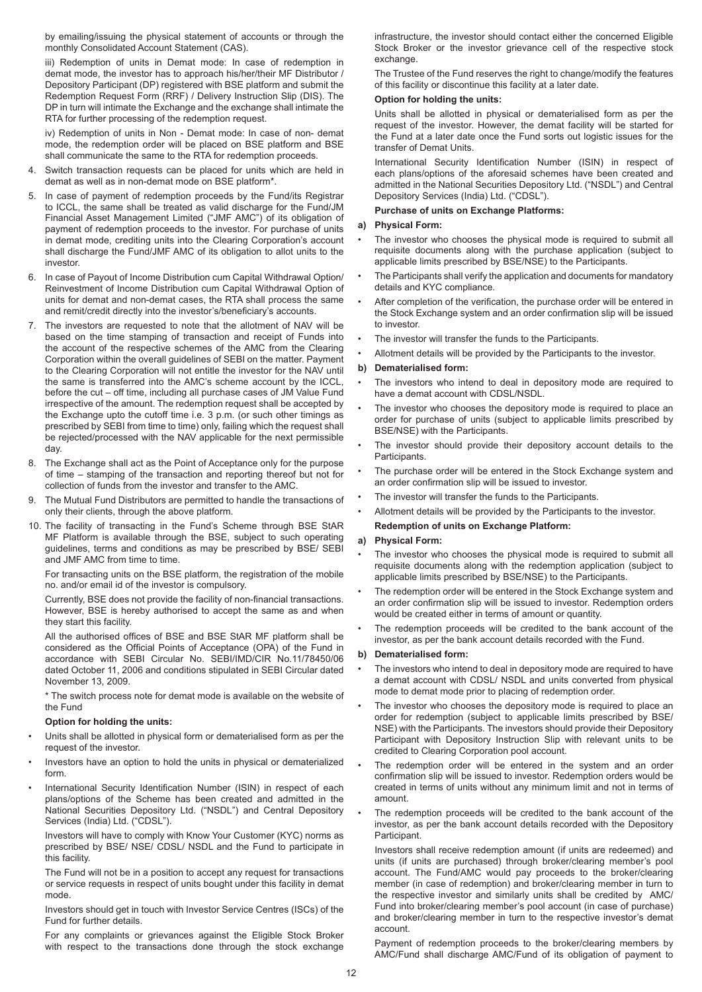by emailing/issuing the physical statement of accounts or through the monthly Consolidated Account Statement (CAS).

iii) Redemption of units in Demat mode: In case of redemption in demat mode, the investor has to approach his/her/their MF Distributor / Depository Participant (DP) registered with BSE platform and submit the Redemption Request Form (RRF) / Delivery Instruction Slip (DIS). The DP in turn will intimate the Exchange and the exchange shall intimate the RTA for further processing of the redemption request.

iv) Redemption of units in Non - Demat mode: In case of non- demat mode, the redemption order will be placed on BSE platform and BSE shall communicate the same to the RTA for redemption proceeds.

- Switch transaction requests can be placed for units which are held in demat as well as in non-demat mode on BSE platform\*.
- 5. In case of payment of redemption proceeds by the Fund/its Registrar to ICCL, the same shall be treated as valid discharge for the Fund/JM Financial Asset Management Limited ("JMF AMC") of its obligation of payment of redemption proceeds to the investor. For purchase of units in demat mode, crediting units into the Clearing Corporation's account shall discharge the Fund/JMF AMC of its obligation to allot units to the investor.
- 6. In case of Payout of Income Distribution cum Capital Withdrawal Option/ Reinvestment of Income Distribution cum Capital Withdrawal Option of units for demat and non-demat cases, the RTA shall process the same and remit/credit directly into the investor's/beneficiary's accounts.
- 7. The investors are requested to note that the allotment of NAV will be based on the time stamping of transaction and receipt of Funds into the account of the respective schemes of the AMC from the Clearing Corporation within the overall guidelines of SEBI on the matter. Payment to the Clearing Corporation will not entitle the investor for the NAV until the same is transferred into the AMC's scheme account by the ICCL, before the cut – off time, including all purchase cases of JM Value Fund irrespective of the amount. The redemption request shall be accepted by the Exchange upto the cutoff time i.e. 3 p.m. (or such other timings as prescribed by SEBI from time to time) only, failing which the request shall be rejected/processed with the NAV applicable for the next permissible day.
- 8. The Exchange shall act as the Point of Acceptance only for the purpose of time – stamping of the transaction and reporting thereof but not for collection of funds from the investor and transfer to the AMC.
- 9. The Mutual Fund Distributors are permitted to handle the transactions of only their clients, through the above platform.
- 10. The facility of transacting in the Fund's Scheme through BSE StAR MF Platform is available through the BSE, subject to such operating guidelines, terms and conditions as may be prescribed by BSE/ SEBI and JMF AMC from time to time.

For transacting units on the BSE platform, the registration of the mobile no. and/or email id of the investor is compulsory.

Currently, BSE does not provide the facility of non-financial transactions. However, BSE is hereby authorised to accept the same as and when they start this facility.

All the authorised offices of BSE and BSE StAR MF platform shall be considered as the Official Points of Acceptance (OPA) of the Fund in accordance with SEBI Circular No. SEBI/IMD/CIR No.11/78450/06 dated October 11, 2006 and conditions stipulated in SEBI Circular dated November 13, 2009.

\* The switch process note for demat mode is available on the website of the Fund

## **Option for holding the units:**

- Units shall be allotted in physical form or dematerialised form as per the request of the investor.
- Investors have an option to hold the units in physical or dematerialized form.
- International Security Identification Number (ISIN) in respect of each plans/options of the Scheme has been created and admitted in the National Securities Depository Ltd. ("NSDL") and Central Depository Services (India) Ltd. ("CDSL").

Investors will have to comply with Know Your Customer (KYC) norms as prescribed by BSE/ NSE/ CDSL/ NSDL and the Fund to participate in this facility.

The Fund will not be in a position to accept any request for transactions or service requests in respect of units bought under this facility in demat mode.

Investors should get in touch with Investor Service Centres (ISCs) of the Fund for further details.

For any complaints or grievances against the Eligible Stock Broker with respect to the transactions done through the stock exchange

infrastructure, the investor should contact either the concerned Eligible Stock Broker or the investor grievance cell of the respective stock exchange.

The Trustee of the Fund reserves the right to change/modify the features of this facility or discontinue this facility at a later date.

## **Option for holding the units:**

Units shall be allotted in physical or dematerialised form as per the request of the investor. However, the demat facility will be started for the Fund at a later date once the Fund sorts out logistic issues for the transfer of Demat Units.

International Security Identification Number (ISIN) in respect of each plans/options of the aforesaid schemes have been created and admitted in the National Securities Depository Ltd. ("NSDL") and Central Depository Services (India) Ltd. ("CDSL").

## **Purchase of units on Exchange Platforms:**

## **a) Physical Form:**

- The investor who chooses the physical mode is required to submit all requisite documents along with the purchase application (subject to applicable limits prescribed by BSE/NSE) to the Participants.
- The Participants shall verify the application and documents for mandatory details and KYC compliance.
- After completion of the verification, the purchase order will be entered in the Stock Exchange system and an order confirmation slip will be issued to investor.
- The investor will transfer the funds to the Participants.
- Allotment details will be provided by the Participants to the investor.

## **b) Dematerialised form:**

- The investors who intend to deal in depository mode are required to have a demat account with CDSL/NSDL.
- The investor who chooses the depository mode is required to place an order for purchase of units (subject to applicable limits prescribed by BSE/NSE) with the Participants.
- The investor should provide their depository account details to the Participants.
- The purchase order will be entered in the Stock Exchange system and an order confirmation slip will be issued to investor.
- The investor will transfer the funds to the Participants.
- Allotment details will be provided by the Participants to the investor. **Redemption of units on Exchange Platform:**

## **a) Physical Form:**

- The investor who chooses the physical mode is required to submit all requisite documents along with the redemption application (subject to applicable limits prescribed by BSE/NSE) to the Participants.
- The redemption order will be entered in the Stock Exchange system and an order confirmation slip will be issued to investor. Redemption orders would be created either in terms of amount or quantity.
- The redemption proceeds will be credited to the bank account of the investor, as per the bank account details recorded with the Fund.

## **b) Dematerialised form:**

- The investors who intend to deal in depository mode are required to have a demat account with CDSL/ NSDL and units converted from physical mode to demat mode prior to placing of redemption order.
- The investor who chooses the depository mode is required to place an order for redemption (subject to applicable limits prescribed by BSE/ NSE) with the Participants. The investors should provide their Depository Participant with Depository Instruction Slip with relevant units to be credited to Clearing Corporation pool account.
- The redemption order will be entered in the system and an order confirmation slip will be issued to investor. Redemption orders would be created in terms of units without any minimum limit and not in terms of amount.
- The redemption proceeds will be credited to the bank account of the investor, as per the bank account details recorded with the Depository Participant.

Investors shall receive redemption amount (if units are redeemed) and units (if units are purchased) through broker/clearing member's pool account. The Fund/AMC would pay proceeds to the broker/clearing member (in case of redemption) and broker/clearing member in turn to the respective investor and similarly units shall be credited by AMC/ Fund into broker/clearing member's pool account (in case of purchase) and broker/clearing member in turn to the respective investor's demat account.

Payment of redemption proceeds to the broker/clearing members by AMC/Fund shall discharge AMC/Fund of its obligation of payment to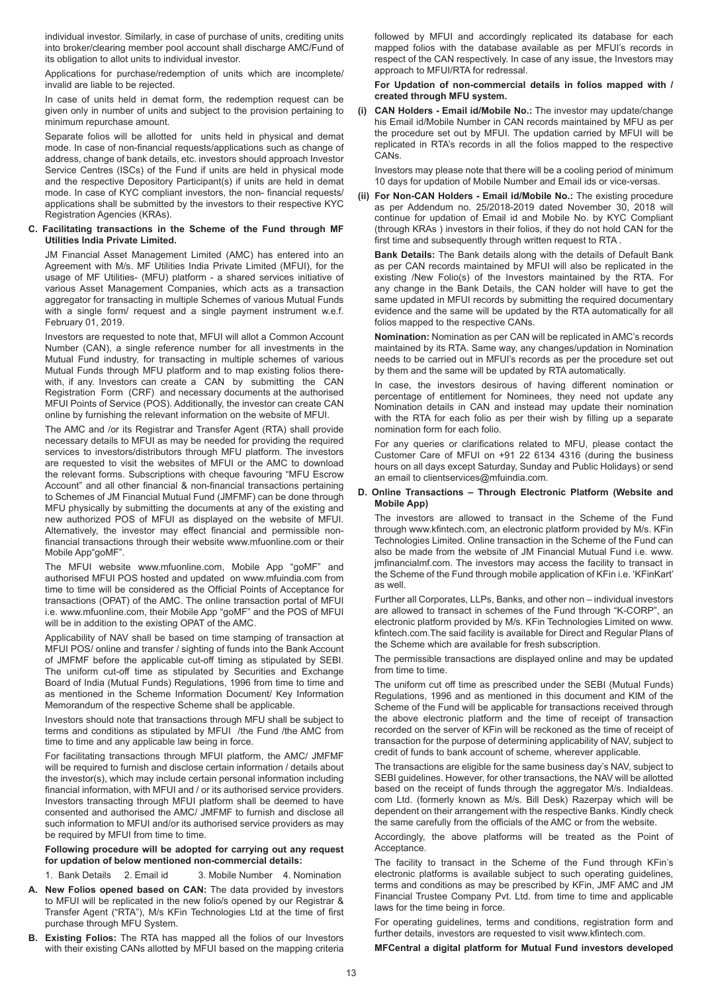individual investor. Similarly, in case of purchase of units, crediting units into broker/clearing member pool account shall discharge AMC/Fund of its obligation to allot units to individual investor.

Applications for purchase/redemption of units which are incomplete/ invalid are liable to be rejected.

In case of units held in demat form, the redemption request can be given only in number of units and subject to the provision pertaining to minimum repurchase amount.

Separate folios will be allotted for units held in physical and demat mode. In case of non-financial requests/applications such as change of address, change of bank details, etc. investors should approach Investor Service Centres (ISCs) of the Fund if units are held in physical mode and the respective Depository Participant(s) if units are held in demat mode. In case of KYC compliant investors, the non- financial requests/ applications shall be submitted by the investors to their respective KYC Registration Agencies (KRAs).

### **C. Facilitating transactions in the Scheme of the Fund through MF Utilities India Private Limited.**

JM Financial Asset Management Limited (AMC) has entered into an Agreement with M/s. MF Utilities India Private Limited (MFUI), for the usage of MF Utilities- (MFU) platform - a shared services initiative of various Asset Management Companies, which acts as a transaction aggregator for transacting in multiple Schemes of various Mutual Funds with a single form/ request and a single payment instrument w.e.f. February 01, 2019.

Investors are requested to note that, MFUI will allot a Common Account Number (CAN), a single reference number for all investments in the Mutual Fund industry, for transacting in multiple schemes of various Mutual Funds through MFU platform and to map existing folios therewith, if any. Investors can create a CAN by submitting the CAN Registration Form (CRF) and necessary documents at the authorised MFUI Points of Service (POS). Additionally, the investor can create CAN online by furnishing the relevant information on the website of MFUI.

The AMC and /or its Registrar and Transfer Agent (RTA) shall provide necessary details to MFUI as may be needed for providing the required services to investors/distributors through MFU platform. The investors are requested to visit the websites of MFUI or the AMC to download the relevant forms. Subscriptions with cheque favouring "MFU Escrow Account" and all other financial & non-financial transactions pertaining to Schemes of JM Financial Mutual Fund (JMFMF) can be done through MFU physically by submitting the documents at any of the existing and new authorized POS of MFUI as displayed on the website of MFUI. Alternatively, the investor may effect financial and permissible nonfinancial transactions through their website www.mfuonline.com or their Mobile App"goMF".

The MFUI website www.mfuonline.com, Mobile App "goMF" and authorised MFUI POS hosted and updated on www.mfuindia.com from time to time will be considered as the Official Points of Acceptance for transactions (OPAT) of the AMC. The online transaction portal of MFUI i.e. www.mfuonline.com, their Mobile App "goMF" and the POS of MFUI will be in addition to the existing OPAT of the AMC.

Applicability of NAV shall be based on time stamping of transaction at MFUI POS/ online and transfer / sighting of funds into the Bank Account of JMFMF before the applicable cut-off timing as stipulated by SEBI. The uniform cut-off time as stipulated by Securities and Exchange Board of India (Mutual Funds) Regulations, 1996 from time to time and as mentioned in the Scheme Information Document/ Key Information Memorandum of the respective Scheme shall be applicable.

Investors should note that transactions through MFU shall be subject to terms and conditions as stipulated by MFUI /the Fund /the AMC from time to time and any applicable law being in force.

For facilitating transactions through MFUI platform, the AMC/ JMFMF will be required to furnish and disclose certain information / details about the investor(s), which may include certain personal information including financial information, with MFUI and / or its authorised service providers. Investors transacting through MFUI platform shall be deemed to have consented and authorised the AMC/ JMFMF to furnish and disclose all such information to MFUI and/or its authorised service providers as may be required by MFUI from time to time.

**Following procedure will be adopted for carrying out any request for updation of below mentioned non-commercial details:**

1. Bank Details 2. Email id 3. Mobile Number 4. Nomination

- **A. New Folios opened based on CAN:** The data provided by investors to MFUI will be replicated in the new folio/s opened by our Registrar & Transfer Agent ("RTA"), M/s KFin Technologies Ltd at the time of first purchase through MFU System.
- **B. Existing Folios:** The RTA has mapped all the folios of our Investors with their existing CANs allotted by MFUI based on the mapping criteria

followed by MFUI and accordingly replicated its database for each mapped folios with the database available as per MFUI's records in respect of the CAN respectively. In case of any issue, the Investors may approach to MFUI/RTA for redressal.

## **For Updation of non-commercial details in folios mapped with / created through MFU system.**

**(i) CAN Holders - Email id/Mobile No.:** The investor may update/change his Email id/Mobile Number in CAN records maintained by MFU as per the procedure set out by MFUI. The updation carried by MFUI will be replicated in RTA's records in all the folios mapped to the respective CANs.

Investors may please note that there will be a cooling period of minimum 10 days for updation of Mobile Number and Email ids or vice-versas.

**(ii) For Non-CAN Holders - Email id/Mobile No.:** The existing procedure as per Addendum no. 25/2018-2019 dated November 30, 2018 will continue for updation of Email id and Mobile No. by KYC Compliant (through KRAs ) investors in their folios, if they do not hold CAN for the first time and subsequently through written request to RTA .

**Bank Details:** The Bank details along with the details of Default Bank as per CAN records maintained by MFUI will also be replicated in the existing /New Folio(s) of the Investors maintained by the RTA. For any change in the Bank Details, the CAN holder will have to get the same updated in MFUI records by submitting the required documentary evidence and the same will be updated by the RTA automatically for all folios mapped to the respective CANs.

**Nomination:** Nomination as per CAN will be replicated in AMC's records maintained by its RTA. Same way, any changes/updation in Nomination needs to be carried out in MFUI's records as per the procedure set out by them and the same will be updated by RTA automatically.

In case, the investors desirous of having different nomination or percentage of entitlement for Nominees, they need not update any Nomination details in CAN and instead may update their nomination with the RTA for each folio as per their wish by filling up a separate nomination form for each folio.

For any queries or clarifications related to MFU, please contact the Customer Care of MFUI on +91 22 6134 4316 (during the business hours on all days except Saturday, Sunday and Public Holidays) or send an email to clientservices@mfuindia.com.

### **D. Online Transactions – Through Electronic Platform (Website and Mobile App)**

The investors are allowed to transact in the Scheme of the Fund through www.kfintech.com, an electronic platform provided by M/s. KFin Technologies Limited. Online transaction in the Scheme of the Fund can also be made from the website of JM Financial Mutual Fund i.e. www. jmfinancialmf.com. The investors may access the facility to transact in the Scheme of the Fund through mobile application of KFin i.e. 'KFinKart' as well.

Further all Corporates, LLPs, Banks, and other non – individual investors are allowed to transact in schemes of the Fund through "K-CORP", an electronic platform provided by M/s. KFin Technologies Limited on www. kfintech.com.The said facility is available for Direct and Regular Plans of the Scheme which are available for fresh subscription.

The permissible transactions are displayed online and may be updated from time to time.

The uniform cut off time as prescribed under the SEBI (Mutual Funds) Regulations, 1996 and as mentioned in this document and KIM of the Scheme of the Fund will be applicable for transactions received through the above electronic platform and the time of receipt of transaction recorded on the server of KFin will be reckoned as the time of receipt of transaction for the purpose of determining applicability of NAV, subject to credit of funds to bank account of scheme, wherever applicable.

The transactions are eligible for the same business day's NAV, subject to SEBI guidelines. However, for other transactions, the NAV will be allotted based on the receipt of funds through the aggregator M/s. IndiaIdeas. com Ltd. (formerly known as M/s. Bill Desk) Razerpay which will be dependent on their arrangement with the respective Banks. Kindly check the same carefully from the officials of the AMC or from the website.

Accordingly, the above platforms will be treated as the Point of Acceptance.

The facility to transact in the Scheme of the Fund through KFin's electronic platforms is available subject to such operating guidelines, terms and conditions as may be prescribed by KFin, JMF AMC and JM Financial Trustee Company Pvt. Ltd. from time to time and applicable laws for the time being in force.

For operating guidelines, terms and conditions, registration form and further details, investors are requested to visit www.kfintech.com.

**MFCentral a digital platform for Mutual Fund investors developed**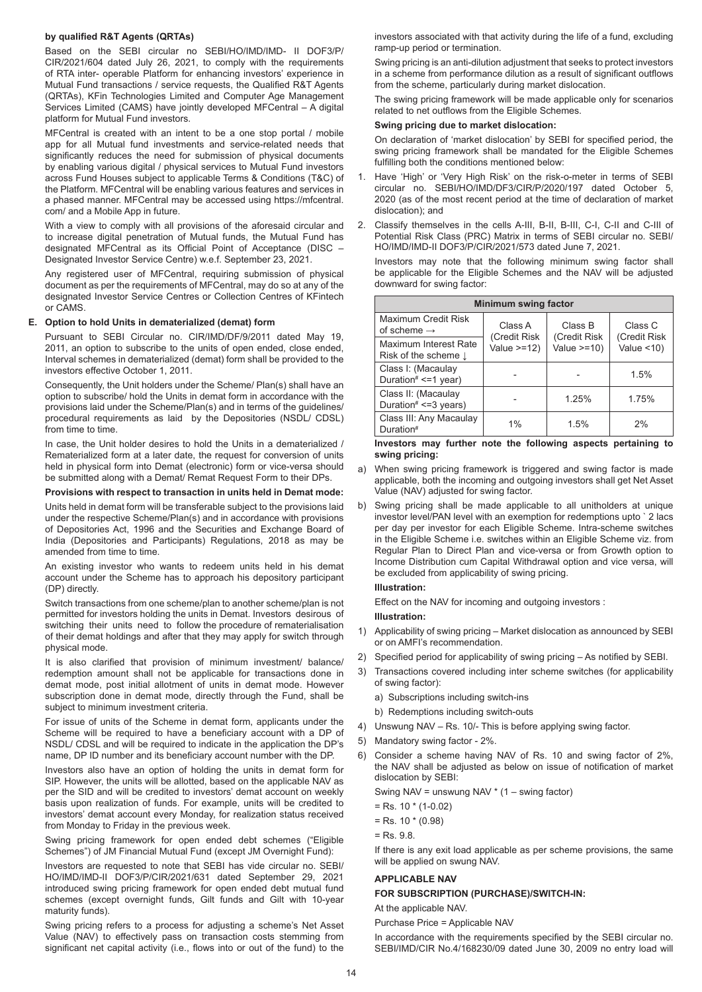## **by qualified R&T Agents (QRTAs)**

Based on the SEBI circular no SEBI/HO/IMD/IMD- II DOF3/P/ CIR/2021/604 dated July 26, 2021, to comply with the requirements of RTA inter- operable Platform for enhancing investors' experience in Mutual Fund transactions / service requests, the Qualified R&T Agents (QRTAs), KFin Technologies Limited and Computer Age Management Services Limited (CAMS) have jointly developed MFCentral – A digital platform for Mutual Fund investors.

MFCentral is created with an intent to be a one stop portal / mobile app for all Mutual fund investments and service-related needs that significantly reduces the need for submission of physical documents by enabling various digital / physical services to Mutual Fund investors across Fund Houses subject to applicable Terms & Conditions (T&C) of the Platform. MFCentral will be enabling various features and services in a phased manner. MFCentral may be accessed using https://mfcentral. com/ and a Mobile App in future.

With a view to comply with all provisions of the aforesaid circular and to increase digital penetration of Mutual funds, the Mutual Fund has designated MFCentral as its Official Point of Acceptance (DISC – Designated Investor Service Centre) w.e.f. September 23, 2021.

Any registered user of MFCentral, requiring submission of physical document as per the requirements of MFCentral, may do so at any of the designated Investor Service Centres or Collection Centres of KFintech or CAMS.

## **E. Option to hold Units in dematerialized (demat) form**

Pursuant to SEBI Circular no. CIR/IMD/DF/9/2011 dated May 19, 2011, an option to subscribe to the units of open ended, close ended, Interval schemes in dematerialized (demat) form shall be provided to the investors effective October 1, 2011.

Consequently, the Unit holders under the Scheme/ Plan(s) shall have an option to subscribe/ hold the Units in demat form in accordance with the provisions laid under the Scheme/Plan(s) and in terms of the guidelines/ procedural requirements as laid by the Depositories (NSDL/ CDSL) from time to time.

In case, the Unit holder desires to hold the Units in a dematerialized / Rematerialized form at a later date, the request for conversion of units held in physical form into Demat (electronic) form or vice-versa should be submitted along with a Demat/ Remat Request Form to their DPs.

#### **Provisions with respect to transaction in units held in Demat mode:**

Units held in demat form will be transferable subject to the provisions laid under the respective Scheme/Plan(s) and in accordance with provisions of Depositories Act, 1996 and the Securities and Exchange Board of India (Depositories and Participants) Regulations, 2018 as may be amended from time to time.

An existing investor who wants to redeem units held in his demat account under the Scheme has to approach his depository participant (DP) directly.

Switch transactions from one scheme/plan to another scheme/plan is not permitted for investors holding the units in Demat. Investors desirous of switching their units need to follow the procedure of rematerialisation of their demat holdings and after that they may apply for switch through physical mode.

It is also clarified that provision of minimum investment/ balance/ redemption amount shall not be applicable for transactions done in demat mode, post initial allotment of units in demat mode. However subscription done in demat mode, directly through the Fund, shall be subject to minimum investment criteria.

For issue of units of the Scheme in demat form, applicants under the Scheme will be required to have a beneficiary account with a DP of NSDL/ CDSL and will be required to indicate in the application the DP's name, DP ID number and its beneficiary account number with the DP.

Investors also have an option of holding the units in demat form for SIP. However, the units will be allotted, based on the applicable NAV as per the SID and will be credited to investors' demat account on weekly basis upon realization of funds. For example, units will be credited to investors' demat account every Monday, for realization status received from Monday to Friday in the previous week.

Swing pricing framework for open ended debt schemes ("Eligible Schemes") of JM Financial Mutual Fund (except JM Overnight Fund):

Investors are requested to note that SEBI has vide circular no. SEBI/ HO/IMD/IMD-II DOF3/P/CIR/2021/631 dated September 29, 2021 introduced swing pricing framework for open ended debt mutual fund schemes (except overnight funds, Gilt funds and Gilt with 10-year maturity funds).

Swing pricing refers to a process for adjusting a scheme's Net Asset Value (NAV) to effectively pass on transaction costs stemming from significant net capital activity (i.e., flows into or out of the fund) to the investors associated with that activity during the life of a fund, excluding ramp-up period or termination.

Swing pricing is an anti-dilution adjustment that seeks to protect investors in a scheme from performance dilution as a result of significant outflows from the scheme, particularly during market dislocation.

The swing pricing framework will be made applicable only for scenarios related to net outflows from the Eligible Schemes.

## **Swing pricing due to market dislocation:**

On declaration of 'market dislocation' by SEBI for specified period, the swing pricing framework shall be mandated for the Eligible Schemes fulfilling both the conditions mentioned below:

- 1. Have 'High' or 'Very High Risk' on the risk-o-meter in terms of SEBI circular no. SEBI/HO/IMD/DF3/CIR/P/2020/197 dated October 5, 2020 (as of the most recent period at the time of declaration of market dislocation); and
- 2. Classify themselves in the cells A-III, B-II, B-III, C-I, C-II and C-III of Potential Risk Class (PRC) Matrix in terms of SEBI circular no. SEBI/ HO/IMD/IMD-II DOF3/P/CIR/2021/573 dated June 7, 2021.

Investors may note that the following minimum swing factor shall be applicable for the Eligible Schemes and the NAV will be adjusted downward for swing factor:

| <b>Minimum swing factor</b>                       |                         |                         |                         |  |  |  |  |
|---------------------------------------------------|-------------------------|-------------------------|-------------------------|--|--|--|--|
| Maximum Credit Risk<br>of scheme $\rightarrow$    | Class A<br>(Credit Risk | Class B<br>(Credit Risk | Class C<br>(Credit Risk |  |  |  |  |
| Maximum Interest Rate<br>Risk of the scheme I     | Value $>=12$ )          | Value $>=10$ )          | Value $<$ 10)           |  |  |  |  |
| Class I: (Macaulay<br>Duration# $\leq$ =1 year)   |                         |                         | 1.5%                    |  |  |  |  |
| Class II: (Macaulay<br>Duration# $\leq$ =3 years) |                         | 1.25%                   | 1.75%                   |  |  |  |  |
| Class III: Any Macaulay<br>Duration <sup>#</sup>  | 1%                      | 1.5%                    | 2%                      |  |  |  |  |

### **Investors may further note the following aspects pertaining to swing pricing:**

- a) When swing pricing framework is triggered and swing factor is made applicable, both the incoming and outgoing investors shall get Net Asset Value (NAV) adjusted for swing factor.
- b) Swing pricing shall be made applicable to all unitholders at unique investor level/PAN level with an exemption for redemptions upto ` 2 lacs per day per investor for each Eligible Scheme. Intra-scheme switches in the Eligible Scheme i.e. switches within an Eligible Scheme viz. from Regular Plan to Direct Plan and vice-versa or from Growth option to Income Distribution cum Capital Withdrawal option and vice versa, will be excluded from applicability of swing pricing.

## **Illustration:**

Effect on the NAV for incoming and outgoing investors :

#### **Illustration:**

- 1) Applicability of swing pricing Market dislocation as announced by SEBI or on AMFI's recommendation.
- 2) Specified period for applicability of swing pricing As notified by SEBI.
- 3) Transactions covered including inter scheme switches (for applicability of swing factor):
	- a) Subscriptions including switch-ins
	- b) Redemptions including switch-outs
- 4) Unswung NAV Rs. 10/- This is before applying swing factor.
- 5) Mandatory swing factor 2%.
- 6) Consider a scheme having NAV of Rs. 10 and swing factor of 2%, the NAV shall be adjusted as below on issue of notification of market dislocation by SEBI:

Swing NAV = unswung NAV \* (1 – swing factor)

- $=$  Rs. 10  $*$  (1-0.02)
- $=$  Rs. 10  $*(0.98)$
- = Rs. 9.8.

If there is any exit load applicable as per scheme provisions, the same will be applied on swung NAV.

## **APPLICABLE NAV**

## **FOR SUBSCRIPTION (PURCHASE)/SWITCH-IN:**

At the applicable NAV.

Purchase Price = Applicable NAV

In accordance with the requirements specified by the SEBI circular no. SEBI/IMD/CIR No.4/168230/09 dated June 30, 2009 no entry load will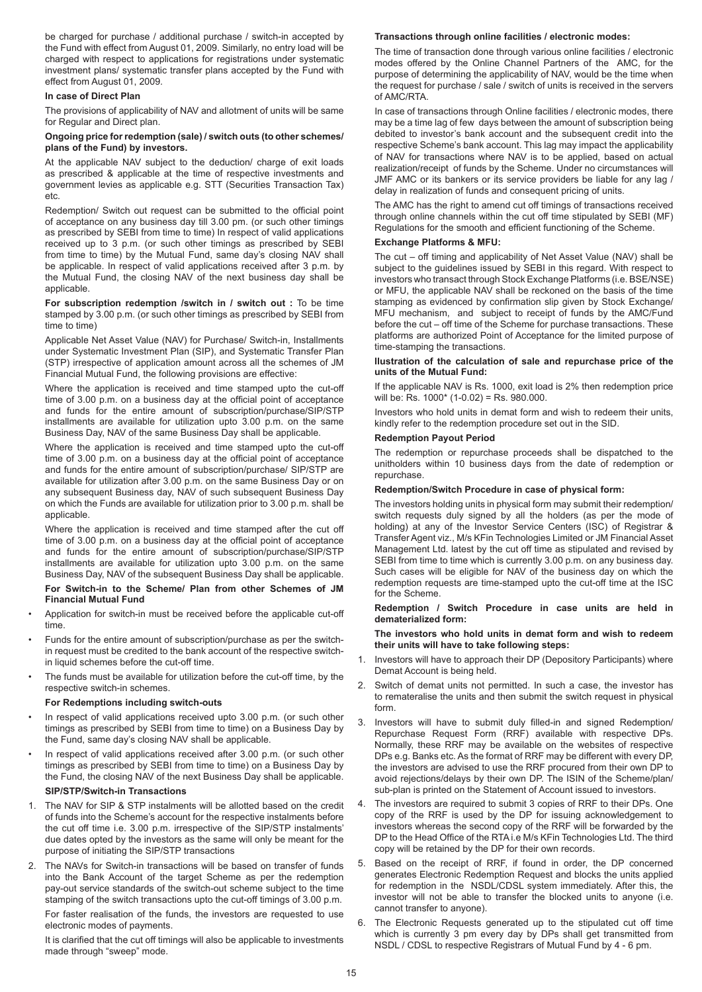be charged for purchase / additional purchase / switch-in accepted by the Fund with effect from August 01, 2009. Similarly, no entry load will be charged with respect to applications for registrations under systematic investment plans/ systematic transfer plans accepted by the Fund with effect from August 01, 2009.

## **In case of Direct Plan**

The provisions of applicability of NAV and allotment of units will be same for Regular and Direct plan.

## **Ongoing price for redemption (sale) / switch outs (to other schemes/ plans of the Fund) by investors.**

At the applicable NAV subject to the deduction/ charge of exit loads as prescribed & applicable at the time of respective investments and government levies as applicable e.g. STT (Securities Transaction Tax) etc.

Redemption/ Switch out request can be submitted to the official point of acceptance on any business day till 3.00 pm. (or such other timings as prescribed by SEBI from time to time) In respect of valid applications received up to 3 p.m. (or such other timings as prescribed by SEBI from time to time) by the Mutual Fund, same day's closing NAV shall be applicable. In respect of valid applications received after 3 p.m. by the Mutual Fund, the closing NAV of the next business day shall be applicable.

**For subscription redemption /switch in / switch out :** To be time stamped by 3.00 p.m. (or such other timings as prescribed by SEBI from time to time)

Applicable Net Asset Value (NAV) for Purchase/ Switch-in, Installments under Systematic Investment Plan (SIP), and Systematic Transfer Plan (STP) irrespective of application amount across all the schemes of JM Financial Mutual Fund, the following provisions are effective:

Where the application is received and time stamped upto the cut-off time of 3.00 p.m. on a business day at the official point of acceptance and funds for the entire amount of subscription/purchase/SIP/STP installments are available for utilization upto 3.00 p.m. on the same Business Day, NAV of the same Business Day shall be applicable.

Where the application is received and time stamped upto the cut-off time of 3.00 p.m. on a business day at the official point of acceptance and funds for the entire amount of subscription/purchase/ SIP/STP are available for utilization after 3.00 p.m. on the same Business Day or on any subsequent Business day, NAV of such subsequent Business Day on which the Funds are available for utilization prior to 3.00 p.m. shall be applicable.

Where the application is received and time stamped after the cut off time of 3.00 p.m. on a business day at the official point of acceptance and funds for the entire amount of subscription/purchase/SIP/STP installments are available for utilization upto 3.00 p.m. on the same Business Day, NAV of the subsequent Business Day shall be applicable.

## **For Switch-in to the Scheme/ Plan from other Schemes of JM Financial Mutual Fund**

- Application for switch-in must be received before the applicable cut-off time.
- Funds for the entire amount of subscription/purchase as per the switchin request must be credited to the bank account of the respective switchin liquid schemes before the cut-off time.
- The funds must be available for utilization before the cut-off time, by the respective switch-in schemes.

## **For Redemptions including switch-outs**

- In respect of valid applications received upto 3.00 p.m. (or such other timings as prescribed by SEBI from time to time) on a Business Day by the Fund, same day's closing NAV shall be applicable.
- In respect of valid applications received after 3.00 p.m. (or such other timings as prescribed by SEBI from time to time) on a Business Day by the Fund, the closing NAV of the next Business Day shall be applicable.

## **SIP/STP/Switch-in Transactions**

- 1. The NAV for SIP & STP instalments will be allotted based on the credit of funds into the Scheme's account for the respective instalments before the cut off time i.e. 3.00 p.m. irrespective of the SIP/STP instalments' due dates opted by the investors as the same will only be meant for the purpose of initiating the SIP/STP transactions
- 2. The NAVs for Switch-in transactions will be based on transfer of funds into the Bank Account of the target Scheme as per the redemption pay-out service standards of the switch-out scheme subject to the time stamping of the switch transactions upto the cut-off timings of 3.00 p.m.

For faster realisation of the funds, the investors are requested to use electronic modes of payments.

It is clarified that the cut off timings will also be applicable to investments made through "sweep" mode.

### **Transactions through online facilities / electronic modes:**

The time of transaction done through various online facilities / electronic modes offered by the Online Channel Partners of the AMC, for the purpose of determining the applicability of NAV, would be the time when the request for purchase / sale / switch of units is received in the servers of AMC/RTA.

In case of transactions through Online facilities / electronic modes, there may be a time lag of few days between the amount of subscription being debited to investor's bank account and the subsequent credit into the respective Scheme's bank account. This lag may impact the applicability of NAV for transactions where NAV is to be applied, based on actual realization/receipt of funds by the Scheme. Under no circumstances will JMF AMC or its bankers or its service providers be liable for any lag / delay in realization of funds and consequent pricing of units.

The AMC has the right to amend cut off timings of transactions received through online channels within the cut off time stipulated by SEBI (MF) Regulations for the smooth and efficient functioning of the Scheme.

### **Exchange Platforms & MFU:**

The cut – off timing and applicability of Net Asset Value (NAV) shall be subject to the quidelines issued by SEBI in this regard. With respect to investors who transact through Stock Exchange Platforms (i.e. BSE/NSE) or MFU, the applicable NAV shall be reckoned on the basis of the time stamping as evidenced by confirmation slip given by Stock Exchange/ MFU mechanism, and subject to receipt of funds by the AMC/Fund before the cut – off time of the Scheme for purchase transactions. These platforms are authorized Point of Acceptance for the limited purpose of time-stamping the transactions.

### **llustration of the calculation of sale and repurchase price of the units of the Mutual Fund:**

If the applicable NAV is Rs. 1000, exit load is 2% then redemption price will be: Rs. 1000\* (1-0.02) = Rs. 980.000.

Investors who hold units in demat form and wish to redeem their units, kindly refer to the redemption procedure set out in the SID.

## **Redemption Payout Period**

The redemption or repurchase proceeds shall be dispatched to the unitholders within 10 business days from the date of redemption or repurchase.

#### **Redemption/Switch Procedure in case of physical form:**

The investors holding units in physical form may submit their redemption/ switch requests duly signed by all the holders (as per the mode of holding) at any of the Investor Service Centers (ISC) of Registrar & Transfer Agent viz., M/s KFin Technologies Limited or JM Financial Asset Management Ltd. latest by the cut off time as stipulated and revised by SEBI from time to time which is currently 3.00 p.m. on any business day. Such cases will be eligible for NAV of the business day on which the redemption requests are time-stamped upto the cut-off time at the ISC for the Scheme.

## **Redemption / Switch Procedure in case units are held in dematerialized form:**

#### **The investors who hold units in demat form and wish to redeem their units will have to take following steps:**

- 1. Investors will have to approach their DP (Depository Participants) where Demat Account is being held.
- 2. Switch of demat units not permitted. In such a case, the investor has to remateralise the units and then submit the switch request in physical form.
- 3. Investors will have to submit duly filled-in and signed Redemption/ Repurchase Request Form (RRF) available with respective DPs. Normally, these RRF may be available on the websites of respective DPs e.g. Banks etc. As the format of RRF may be different with every DP, the investors are advised to use the RRF procured from their own DP to avoid rejections/delays by their own DP. The ISIN of the Scheme/plan/ sub-plan is printed on the Statement of Account issued to investors.
- 4. The investors are required to submit 3 copies of RRF to their DPs. One copy of the RRF is used by the DP for issuing acknowledgement to investors whereas the second copy of the RRF will be forwarded by the DP to the Head Office of the RTA i.e M/s KFin Technologies Ltd. The third copy will be retained by the DP for their own records.
- 5. Based on the receipt of RRF, if found in order, the DP concerned generates Electronic Redemption Request and blocks the units applied for redemption in the NSDL/CDSL system immediately. After this, the investor will not be able to transfer the blocked units to anyone (i.e. cannot transfer to anyone).
- 6. The Electronic Requests generated up to the stipulated cut off time which is currently 3 pm every day by DPs shall get transmitted from NSDL / CDSL to respective Registrars of Mutual Fund by 4 - 6 pm.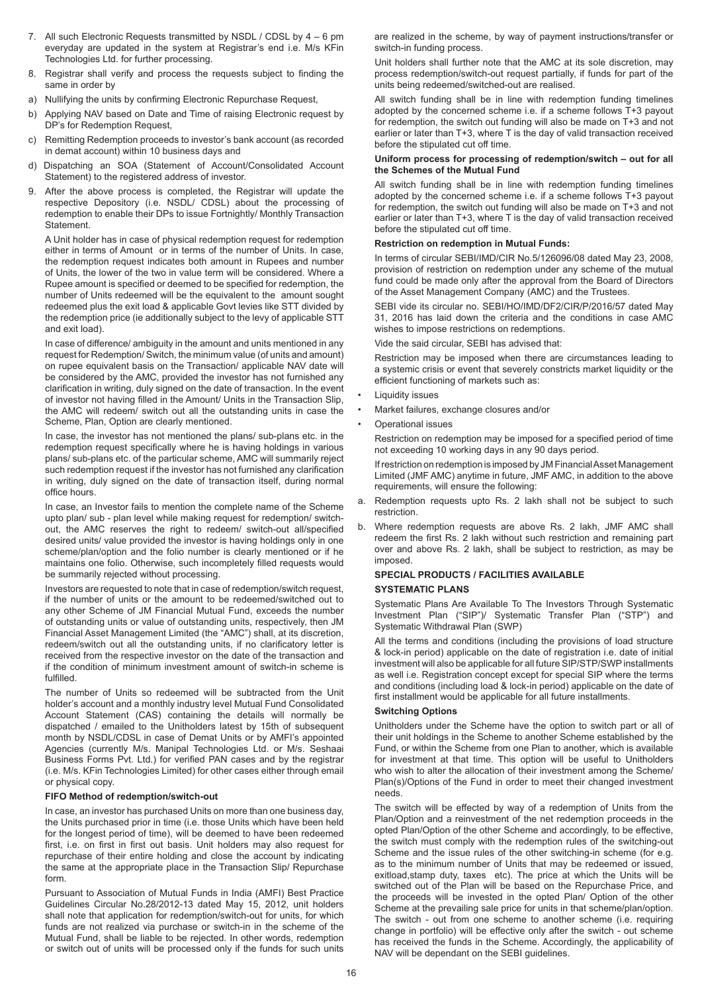- 7. All such Electronic Requests transmitted by NSDL / CDSL by 4 6 pm everyday are updated in the system at Registrar's end i.e. M/s KFin Technologies Ltd. for further processing.
- 8. Registrar shall verify and process the requests subject to finding the same in order by
- a) Nullifying the units by confirming Electronic Repurchase Request,
- b) Applying NAV based on Date and Time of raising Electronic request by DP's for Redemption Request,
- c) Remitting Redemption proceeds to investor's bank account (as recorded in demat account) within 10 business days and
- d) Dispatching an SOA (Statement of Account/Consolidated Account Statement) to the registered address of investor.
- 9. After the above process is completed, the Registrar will update the respective Depository (i.e. NSDL/ CDSL) about the processing of redemption to enable their DPs to issue Fortnightly/ Monthly Transaction **Statement**

A Unit holder has in case of physical redemption request for redemption either in terms of Amount or in terms of the number of Units. In case, the redemption request indicates both amount in Rupees and number of Units, the lower of the two in value term will be considered. Where a Rupee amount is specified or deemed to be specified for redemption, the number of Units redeemed will be the equivalent to the amount sought redeemed plus the exit load & applicable Govt levies like STT divided by the redemption price (ie additionally subject to the levy of applicable STT and exit load).

In case of difference/ ambiguity in the amount and units mentioned in any request for Redemption/ Switch, the minimum value (of units and amount) on rupee equivalent basis on the Transaction/ applicable NAV date will be considered by the AMC, provided the investor has not furnished any clarification in writing, duly signed on the date of transaction. In the event of investor not having filled in the Amount/ Units in the Transaction Slip, the AMC will redeem/ switch out all the outstanding units in case the Scheme, Plan, Option are clearly mentioned.

In case, the investor has not mentioned the plans/ sub-plans etc. in the redemption request specifically where he is having holdings in various plans/ sub-plans etc. of the particular scheme, AMC will summarily reject such redemption request if the investor has not furnished any clarification in writing, duly signed on the date of transaction itself, during normal office hours.

In case, an Investor fails to mention the complete name of the Scheme upto plan/ sub - plan level while making request for redemption/ switchout, the AMC reserves the right to redeem/ switch-out all/specified desired units/ value provided the investor is having holdings only in one scheme/plan/option and the folio number is clearly mentioned or if he maintains one folio. Otherwise, such incompletely filled requests would be summarily rejected without processing.

Investors are requested to note that in case of redemption/switch request, if the number of units or the amount to be redeemed/switched out to any other Scheme of JM Financial Mutual Fund, exceeds the number of outstanding units or value of outstanding units, respectively, then JM Financial Asset Management Limited (the "AMC") shall, at its discretion, redeem/switch out all the outstanding units, if no clarificatory letter is received from the respective investor on the date of the transaction and if the condition of minimum investment amount of switch-in scheme is fulfilled.

The number of Units so redeemed will be subtracted from the Unit holder's account and a monthly industry level Mutual Fund Consolidated Account Statement (CAS) containing the details will normally be dispatched / emailed to the Unitholders latest by 15th of subsequent month by NSDL/CDSL in case of Demat Units or by AMFI's appointed Agencies (currently M/s. Manipal Technologies Ltd. or M/s. Seshaai Business Forms Pvt. Ltd.) for verified PAN cases and by the registrar (i.e. M/s. KFin Technologies Limited) for other cases either through email or physical copy.

#### **FIFO Method of redemption/switch-out**

In case, an investor has purchased Units on more than one business day, the Units purchased prior in time (i.e. those Units which have been held for the longest period of time), will be deemed to have been redeemed first, i.e. on first in first out basis. Unit holders may also request for repurchase of their entire holding and close the account by indicating the same at the appropriate place in the Transaction Slip/ Repurchase form.

Pursuant to Association of Mutual Funds in India (AMFI) Best Practice Guidelines Circular No.28/2012-13 dated May 15, 2012, unit holders shall note that application for redemption/switch-out for units, for which funds are not realized via purchase or switch-in in the scheme of the Mutual Fund, shall be liable to be rejected. In other words, redemption or switch out of units will be processed only if the funds for such units are realized in the scheme, by way of payment instructions/transfer or switch-in funding process.

Unit holders shall further note that the AMC at its sole discretion, may process redemption/switch-out request partially, if funds for part of the units being redeemed/switched-out are realised.

All switch funding shall be in line with redemption funding timelines adopted by the concerned scheme i.e. if a scheme follows T+3 payout for redemption, the switch out funding will also be made on T+3 and not earlier or later than T+3, where T is the day of valid transaction received before the stipulated cut off time.

#### **Uniform process for processing of redemption/switch – out for all the Schemes of the Mutual Fund**

All switch funding shall be in line with redemption funding timelines adopted by the concerned scheme i.e. if a scheme follows T+3 payout for redemption, the switch out funding will also be made on T+3 and not earlier or later than T+3, where T is the day of valid transaction received before the stipulated cut off time.

#### **Restriction on redemption in Mutual Funds:**

In terms of circular SEBI/IMD/CIR No.5/126096/08 dated May 23, 2008, provision of restriction on redemption under any scheme of the mutual fund could be made only after the approval from the Board of Directors of the Asset Management Company (AMC) and the Trustees.

SEBI vide its circular no. SEBI/HO/IMD/DF2/CIR/P/2016/57 dated May 31, 2016 has laid down the criteria and the conditions in case AMC wishes to impose restrictions on redemptions.

Vide the said circular, SEBI has advised that:

Restriction may be imposed when there are circumstances leading to a systemic crisis or event that severely constricts market liquidity or the efficient functioning of markets such as:

- **Liquidity issues**
- Market failures, exchange closures and/or
- Operational issues

Restriction on redemption may be imposed for a specified period of time not exceeding 10 working days in any 90 days period.

If restriction on redemption is imposed by JM Financial Asset Management Limited (JMF AMC) anytime in future, JMF AMC, in addition to the above requirements, will ensure the following:

- a. Redemption requests upto Rs. 2 lakh shall not be subject to such restriction.
- b. Where redemption requests are above Rs. 2 lakh, JMF AMC shall redeem the first Rs. 2 lakh without such restriction and remaining part over and above Rs. 2 lakh, shall be subject to restriction, as may be imposed.

## **SPECIAL PRODUCTS / FACILITIES AVAILABLE SYSTEMATIC PLANS**

Systematic Plans Are Available To The Investors Through Systematic Investment Plan ("SIP")/ Systematic Transfer Plan ("STP") and Systematic Withdrawal Plan (SWP)

All the terms and conditions (including the provisions of load structure & lock-in period) applicable on the date of registration i.e. date of initial investment will also be applicable for all future SIP/STP/SWP installments as well i.e. Registration concept except for special SIP where the terms and conditions (including load & lock-in period) applicable on the date of first installment would be applicable for all future installments.

#### **Switching Options**

Unitholders under the Scheme have the option to switch part or all of their unit holdings in the Scheme to another Scheme established by the Fund, or within the Scheme from one Plan to another, which is available for investment at that time. This option will be useful to Unitholders who wish to alter the allocation of their investment among the Scheme/ Plan(s)/Options of the Fund in order to meet their changed investment needs.

The switch will be effected by way of a redemption of Units from the Plan/Option and a reinvestment of the net redemption proceeds in the opted Plan/Option of the other Scheme and accordingly, to be effective, the switch must comply with the redemption rules of the switching-out Scheme and the issue rules of the other switching-in scheme (for e.g. as to the minimum number of Units that may be redeemed or issued, exitload,stamp duty, taxes etc). The price at which the Units will be switched out of the Plan will be based on the Repurchase Price, and the proceeds will be invested in the opted Plan/ Option of the other Scheme at the prevailing sale price for units in that scheme/plan/option. The switch - out from one scheme to another scheme (i.e. requiring change in portfolio) will be effective only after the switch - out scheme has received the funds in the Scheme. Accordingly, the applicability of NAV will be dependant on the SEBI guidelines.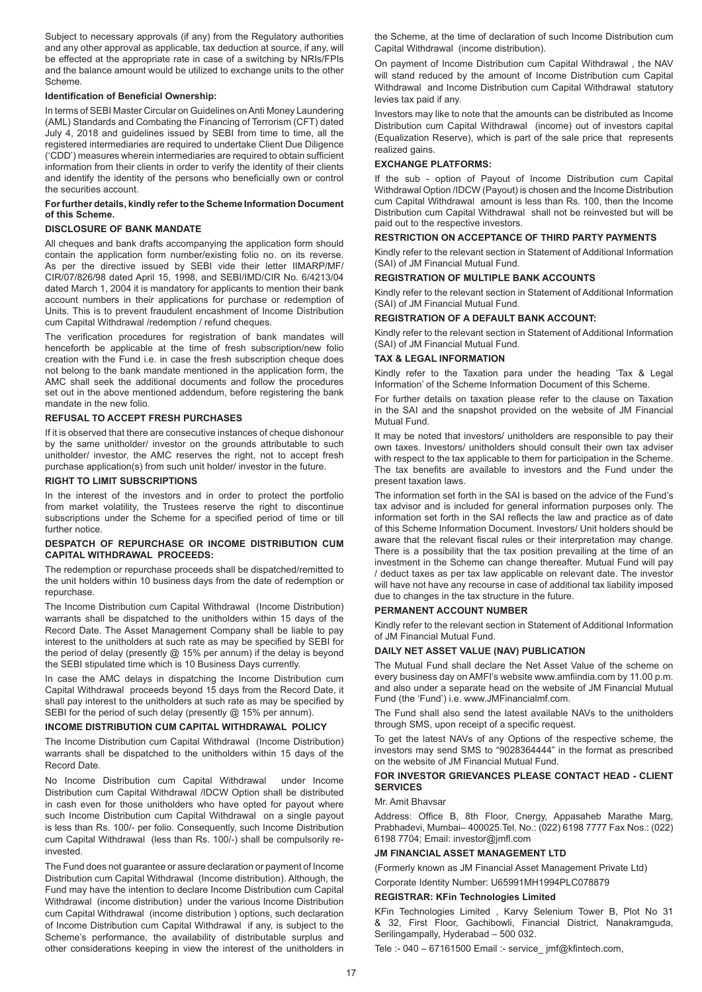Subject to necessary approvals (if any) from the Regulatory authorities and any other approval as applicable, tax deduction at source, if any, will be effected at the appropriate rate in case of a switching by NRIs/FPIs and the balance amount would be utilized to exchange units to the other Scheme.

## **Identification of Beneficial Ownership:**

In terms of SEBI Master Circular on Guidelines on Anti Money Laundering (AML) Standards and Combating the Financing of Terrorism (CFT) dated July 4, 2018 and guidelines issued by SEBI from time to time, all the registered intermediaries are required to undertake Client Due Diligence ('CDD') measures wherein intermediaries are required to obtain sufficient information from their clients in order to verify the identity of their clients and identify the identity of the persons who beneficially own or control the securities account.

### **For further details, kindly refer to the Scheme Information Document of this Scheme.**

## **DISCLOSURE OF BANK MANDATE**

All cheques and bank drafts accompanying the application form should contain the application form number/existing folio no. on its reverse. As per the directive issued by SEBI vide their letter IIMARP/MF/ CIR/07/826/98 dated April 15, 1998, and SEBI/IMD/CIR No. 6/4213/04 dated March 1, 2004 it is mandatory for applicants to mention their bank account numbers in their applications for purchase or redemption of Units. This is to prevent fraudulent encashment of Income Distribution cum Capital Withdrawal /redemption / refund cheques.

The verification procedures for registration of bank mandates will henceforth be applicable at the time of fresh subscription/new folio creation with the Fund i.e. in case the fresh subscription cheque does not belong to the bank mandate mentioned in the application form, the AMC shall seek the additional documents and follow the procedures set out in the above mentioned addendum, before registering the bank mandate in the new folio.

#### **REFUSAL TO ACCEPT FRESH PURCHASES**

If it is observed that there are consecutive instances of cheque dishonour by the same unitholder/ investor on the grounds attributable to such unitholder/ investor, the AMC reserves the right, not to accept fresh purchase application(s) from such unit holder/ investor in the future.

## **RIGHT TO LIMIT SUBSCRIPTIONS**

In the interest of the investors and in order to protect the portfolio from market volatility, the Trustees reserve the right to discontinue subscriptions under the Scheme for a specified period of time or till further notice.

## **DESPATCH OF REPURCHASE OR INCOME DISTRIBUTION CUM CAPITAL WITHDRAWAL PROCEEDS:**

The redemption or repurchase proceeds shall be dispatched/remitted to the unit holders within 10 business days from the date of redemption or repurchase.

The Income Distribution cum Capital Withdrawal (Income Distribution) warrants shall be dispatched to the unitholders within 15 days of the Record Date. The Asset Management Company shall be liable to pay interest to the unitholders at such rate as may be specified by SEBI for the period of delay (presently @ 15% per annum) if the delay is beyond the SEBI stipulated time which is 10 Business Days currently.

In case the AMC delays in dispatching the Income Distribution cum Capital Withdrawal proceeds beyond 15 days from the Record Date, it shall pay interest to the unitholders at such rate as may be specified by SEBI for the period of such delay (presently @ 15% per annum).

## **INCOME DISTRIBUTION CUM CAPITAL WITHDRAWAL POLICY**

The Income Distribution cum Capital Withdrawal (Income Distribution) warrants shall be dispatched to the unitholders within 15 days of the Record Date.

No Income Distribution cum Capital Withdrawal under Income Distribution cum Capital Withdrawal /IDCW Option shall be distributed in cash even for those unitholders who have opted for payout where such Income Distribution cum Capital Withdrawal on a single payout is less than Rs. 100/- per folio. Consequently, such Income Distribution cum Capital Withdrawal (less than Rs. 100/-) shall be compulsorily reinvested.

The Fund does not guarantee or assure declaration or payment of Income Distribution cum Capital Withdrawal (Income distribution). Although, the Fund may have the intention to declare Income Distribution cum Capital Withdrawal (income distribution) under the various Income Distribution cum Capital Withdrawal (income distribution ) options, such declaration of Income Distribution cum Capital Withdrawal if any, is subject to the Scheme's performance, the availability of distributable surplus and other considerations keeping in view the interest of the unitholders in

the Scheme, at the time of declaration of such Income Distribution cum Capital Withdrawal (income distribution).

On payment of Income Distribution cum Capital Withdrawal , the NAV will stand reduced by the amount of Income Distribution cum Capital Withdrawal and Income Distribution cum Capital Withdrawal statutory levies tax paid if any.

Investors may like to note that the amounts can be distributed as Income Distribution cum Capital Withdrawal (income) out of investors capital (Equalization Reserve), which is part of the sale price that represents realized gains.

#### **EXCHANGE PLATFORMS:**

If the sub - option of Payout of Income Distribution cum Capital Withdrawal Option /IDCW (Payout) is chosen and the Income Distribution cum Capital Withdrawal amount is less than Rs. 100, then the Income Distribution cum Capital Withdrawal shall not be reinvested but will be paid out to the respective investors.

## **RESTRICTION ON ACCEPTANCE OF THIRD PARTY PAYMENTS**

Kindly refer to the relevant section in Statement of Additional Information (SAI) of JM Financial Mutual Fund.

## **REGISTRATION OF MULTIPLE BANK ACCOUNTS**

Kindly refer to the relevant section in Statement of Additional Information (SAI) of JM Financial Mutual Fund.

## **REGISTRATION OF A DEFAULT BANK ACCOUNT:**

Kindly refer to the relevant section in Statement of Additional Information (SAI) of JM Financial Mutual Fund.

#### **TAX & LEGAL INFORMATION**

Kindly refer to the Taxation para under the heading 'Tax & Legal Information' of the Scheme Information Document of this Scheme.

For further details on taxation please refer to the clause on Taxation in the SAI and the snapshot provided on the website of JM Financial Mutual Fund.

It may be noted that investors/ unitholders are responsible to pay their own taxes. Investors/ unitholders should consult their own tax adviser with respect to the tax applicable to them for participation in the Scheme. The tax benefits are available to investors and the Fund under the present taxation laws.

The information set forth in the SAI is based on the advice of the Fund's tax advisor and is included for general information purposes only. The information set forth in the SAI reflects the law and practice as of date of this Scheme Information Document. Investors/ Unit holders should be aware that the relevant fiscal rules or their interpretation may change. There is a possibility that the tax position prevailing at the time of an investment in the Scheme can change thereafter. Mutual Fund will pay / deduct taxes as per tax law applicable on relevant date. The investor will have not have any recourse in case of additional tax liability imposed due to changes in the tax structure in the future.

#### **PERMANENT ACCOUNT NUMBER**

Kindly refer to the relevant section in Statement of Additional Information of JM Financial Mutual Fund.

## **DAILY NET ASSET VALUE (NAV) PUBLICATION**

The Mutual Fund shall declare the Net Asset Value of the scheme on every business day on AMFI's website www.amfiindia.com by 11.00 p.m. and also under a separate head on the website of JM Financial Mutual Fund (the 'Fund') i.e. www.JMFinancialmf.com.

The Fund shall also send the latest available NAVs to the unitholders through SMS, upon receipt of a specific request.

To get the latest NAVs of any Options of the respective scheme, the investors may send SMS to "9028364444" in the format as prescribed on the website of JM Financial Mutual Fund.

## **FOR INVESTOR GRIEVANCES PLEASE CONTACT HEAD - CLIENT SERVICES**

#### Mr. Amit Bhavsar

Address: Office B, 8th Floor, Cnergy, Appasaheb Marathe Marg, Prabhadevi, Mumbai– 400025.Tel. No.: (022) 6198 7777 Fax Nos.: (022) 6198 7704; Email: investor@jmfl.com

## **JM FINANCIAL ASSET MANAGEMENT LTD**

(Formerly known as JM Financial Asset Management Private Ltd)

Corporate Identity Number: U65991MH1994PLC078879

### **REGISTRAR: KFin Technologies Limited**

KFin Technologies Limited , Karvy Selenium Tower B, Plot No 31 & 32, First Floor, Gachibowli, Financial District, Nanakramguda, Serilingampally, Hyderabad – 500 032.

Tele :- 040 – 67161500 Email :- service\_ jmf@kfintech.com,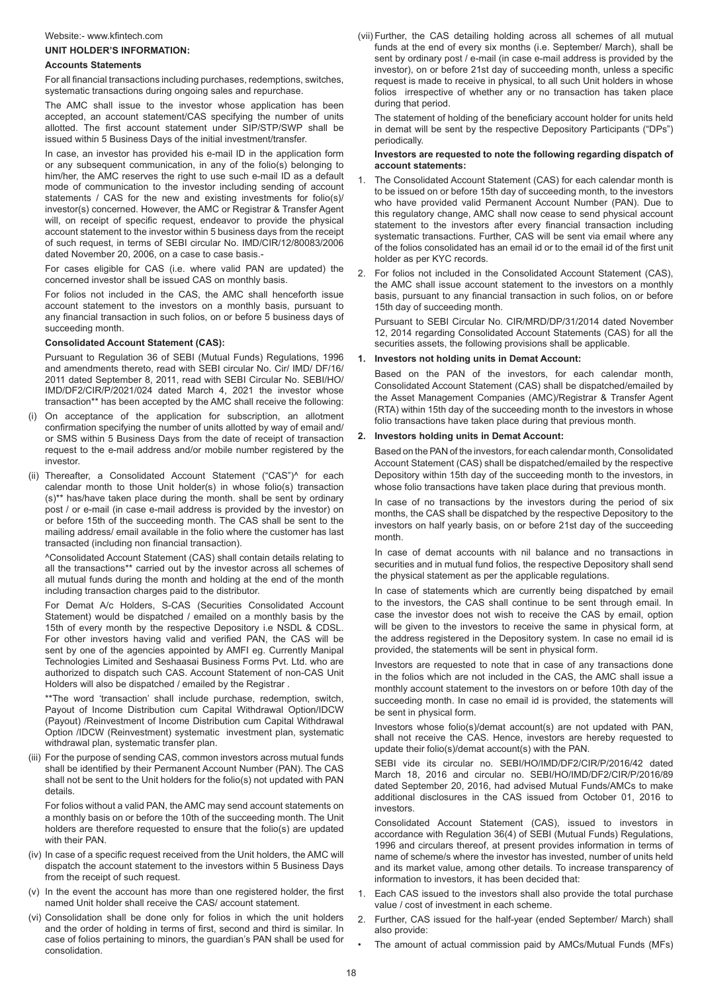#### Website:- www.kfintech.com

## **UNIT HOLDER'S INFORMATION:**

#### **Accounts Statements**

For all financial transactions including purchases, redemptions, switches, systematic transactions during ongoing sales and repurchase.

The AMC shall issue to the investor whose application has been accepted, an account statement/CAS specifying the number of units allotted. The first account statement under SIP/STP/SWP shall be issued within 5 Business Days of the initial investment/transfer.

In case, an investor has provided his e-mail ID in the application form or any subsequent communication, in any of the folio(s) belonging to him/her, the AMC reserves the right to use such e-mail ID as a default mode of communication to the investor including sending of account statements / CAS for the new and existing investments for folio(s)/ investor(s) concerned. However, the AMC or Registrar & Transfer Agent will, on receipt of specific request, endeavor to provide the physical account statement to the investor within 5 business days from the receipt of such request, in terms of SEBI circular No. IMD/CIR/12/80083/2006 dated November 20, 2006, on a case to case basis.-

For cases eligible for CAS (i.e. where valid PAN are updated) the concerned investor shall be issued CAS on monthly basis.

For folios not included in the CAS, the AMC shall henceforth issue account statement to the investors on a monthly basis, pursuant to any financial transaction in such folios, on or before 5 business days of succeeding month.

#### **Consolidated Account Statement (CAS):**

Pursuant to Regulation 36 of SEBI (Mutual Funds) Regulations, 1996 and amendments thereto, read with SEBI circular No. Cir/ IMD/ DF/16/ 2011 dated September 8, 2011, read with SEBI Circular No. SEBI/HO/ IMD/DF2/CIR/P/2021/024 dated March 4, 2021 the investor whose transaction\*\* has been accepted by the AMC shall receive the following:

- (i) On acceptance of the application for subscription, an allotment confirmation specifying the number of units allotted by way of email and/ or SMS within 5 Business Days from the date of receipt of transaction request to the e-mail address and/or mobile number registered by the investor.
- (ii) Thereafter, a Consolidated Account Statement ("CAS")^ for each calendar month to those Unit holder(s) in whose folio(s) transaction (s)\*\* has/have taken place during the month. shall be sent by ordinary post / or e-mail (in case e-mail address is provided by the investor) on or before 15th of the succeeding month. The CAS shall be sent to the mailing address/ email available in the folio where the customer has last transacted (including non financial transaction).

^Consolidated Account Statement (CAS) shall contain details relating to all the transactions\*\* carried out by the investor across all schemes of all mutual funds during the month and holding at the end of the month including transaction charges paid to the distributor.

For Demat A/c Holders, S-CAS (Securities Consolidated Account Statement) would be dispatched / emailed on a monthly basis by the 15th of every month by the respective Depository i.e NSDL & CDSL. For other investors having valid and verified PAN, the CAS will be sent by one of the agencies appointed by AMFI eg. Currently Manipal Technologies Limited and Seshaasai Business Forms Pvt. Ltd. who are authorized to dispatch such CAS. Account Statement of non-CAS Unit Holders will also be dispatched / emailed by the Registrar .

\*\*The word 'transaction' shall include purchase, redemption, switch, Payout of Income Distribution cum Capital Withdrawal Option/IDCW (Payout) /Reinvestment of Income Distribution cum Capital Withdrawal Option /IDCW (Reinvestment) systematic investment plan, systematic withdrawal plan, systematic transfer plan.

(iii) For the purpose of sending CAS, common investors across mutual funds shall be identified by their Permanent Account Number (PAN). The CAS shall not be sent to the Unit holders for the folio(s) not updated with PAN details.

For folios without a valid PAN, the AMC may send account statements on a monthly basis on or before the 10th of the succeeding month. The Unit holders are therefore requested to ensure that the folio(s) are updated with their PAN.

- (iv) In case of a specific request received from the Unit holders, the AMC will dispatch the account statement to the investors within 5 Business Days from the receipt of such request.
- (v) In the event the account has more than one registered holder, the first named Unit holder shall receive the CAS/ account statement.
- (vi) Consolidation shall be done only for folios in which the unit holders and the order of holding in terms of first, second and third is similar. In case of folios pertaining to minors, the guardian's PAN shall be used for consolidation.

(vii) Further, the CAS detailing holding across all schemes of all mutual funds at the end of every six months (i.e. September/ March), shall be sent by ordinary post / e-mail (in case e-mail address is provided by the investor), on or before 21st day of succeeding month, unless a specific request is made to receive in physical, to all such Unit holders in whose folios irrespective of whether any or no transaction has taken place during that period.

The statement of holding of the beneficiary account holder for units held in demat will be sent by the respective Depository Participants ("DPs") periodically.

#### **Investors are requested to note the following regarding dispatch of account statements:**

- 1. The Consolidated Account Statement (CAS) for each calendar month is to be issued on or before 15th day of succeeding month, to the investors who have provided valid Permanent Account Number (PAN). Due to this regulatory change, AMC shall now cease to send physical account statement to the investors after every financial transaction including systematic transactions. Further, CAS will be sent via email where any of the folios consolidated has an email id or to the email id of the first unit holder as per KYC records.
- 2. For folios not included in the Consolidated Account Statement (CAS), the AMC shall issue account statement to the investors on a monthly basis, pursuant to any financial transaction in such folios, on or before 15th day of succeeding month.

Pursuant to SEBI Circular No. CIR/MRD/DP/31/2014 dated November 12, 2014 regarding Consolidated Account Statements (CAS) for all the securities assets, the following provisions shall be applicable.

### **1. Investors not holding units in Demat Account:**

Based on the PAN of the investors, for each calendar month, Consolidated Account Statement (CAS) shall be dispatched/emailed by the Asset Management Companies (AMC)/Registrar & Transfer Agent (RTA) within 15th day of the succeeding month to the investors in whose folio transactions have taken place during that previous month.

#### **2. Investors holding units in Demat Account:**

Based on the PAN of the investors, for each calendar month, Consolidated Account Statement (CAS) shall be dispatched/emailed by the respective Depository within 15th day of the succeeding month to the investors, in whose folio transactions have taken place during that previous month.

In case of no transactions by the investors during the period of six months, the CAS shall be dispatched by the respective Depository to the investors on half yearly basis, on or before 21st day of the succeeding month.

In case of demat accounts with nil balance and no transactions in securities and in mutual fund folios, the respective Depository shall send the physical statement as per the applicable regulations.

In case of statements which are currently being dispatched by email to the investors, the CAS shall continue to be sent through email. In case the investor does not wish to receive the CAS by email, option will be given to the investors to receive the same in physical form, at the address registered in the Depository system. In case no email id is provided, the statements will be sent in physical form.

Investors are requested to note that in case of any transactions done in the folios which are not included in the CAS, the AMC shall issue a monthly account statement to the investors on or before 10th day of the succeeding month. In case no email id is provided, the statements will be sent in physical form.

Investors whose folio(s)/demat account(s) are not updated with PAN, shall not receive the CAS. Hence, investors are hereby requested to update their folio(s)/demat account(s) with the PAN.

SEBI vide its circular no. SEBI/HO/IMD/DF2/CIR/P/2016/42 dated March 18, 2016 and circular no. SEBI/HO/IMD/DF2/CIR/P/2016/89 dated September 20, 2016, had advised Mutual Funds/AMCs to make additional disclosures in the CAS issued from October 01, 2016 to investors.

Consolidated Account Statement (CAS), issued to investors in accordance with Regulation 36(4) of SEBI (Mutual Funds) Regulations, 1996 and circulars thereof, at present provides information in terms of name of scheme/s where the investor has invested, number of units held and its market value, among other details. To increase transparency of information to investors, it has been decided that:

- 1. Each CAS issued to the investors shall also provide the total purchase value / cost of investment in each scheme.
- 2. Further, CAS issued for the half-year (ended September/ March) shall also provide:
- The amount of actual commission paid by AMCs/Mutual Funds (MFs)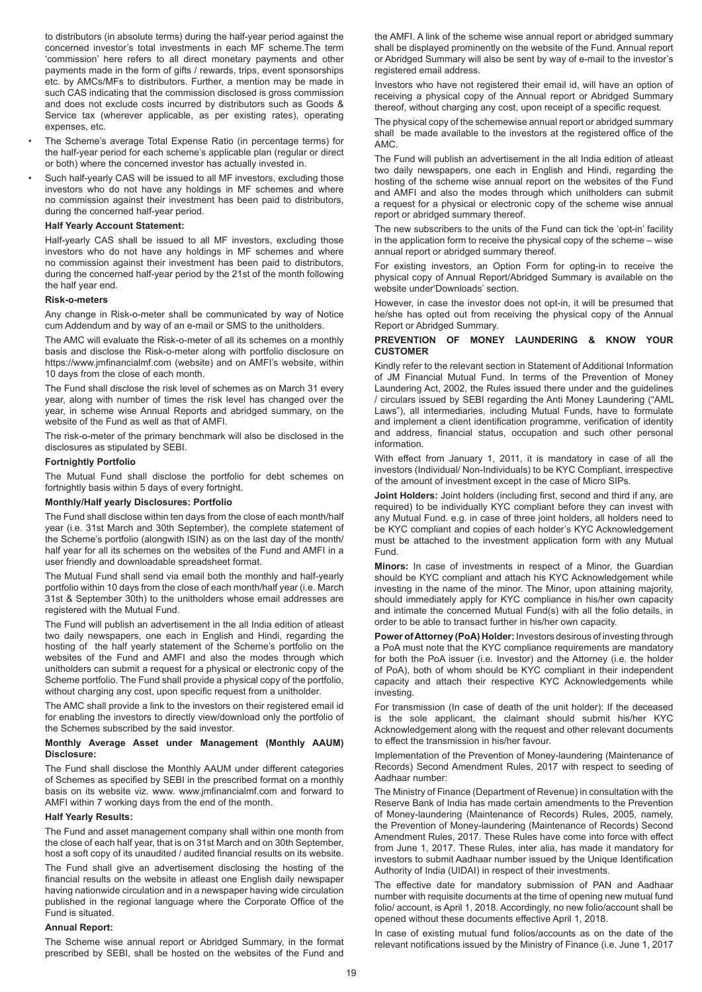to distributors (in absolute terms) during the half-year period against the concerned investor's total investments in each MF scheme.The term 'commission' here refers to all direct monetary payments and other payments made in the form of gifts / rewards, trips, event sponsorships etc. by AMCs/MFs to distributors. Further, a mention may be made in such CAS indicating that the commission disclosed is gross commission and does not exclude costs incurred by distributors such as Goods & Service tax (wherever applicable, as per existing rates), operating expenses, etc.

- The Scheme's average Total Expense Ratio (in percentage terms) for the half-year period for each scheme's applicable plan (regular or direct or both) where the concerned investor has actually invested in.
- Such half-yearly CAS will be issued to all MF investors, excluding those investors who do not have any holdings in MF schemes and where no commission against their investment has been paid to distributors, during the concerned half-year period.

## **Half Yearly Account Statement:**

Half-yearly CAS shall be issued to all MF investors, excluding those investors who do not have any holdings in MF schemes and where no commission against their investment has been paid to distributors, during the concerned half-year period by the 21st of the month following the half year end.

#### **Risk-o-meters**

Any change in Risk-o-meter shall be communicated by way of Notice cum Addendum and by way of an e-mail or SMS to the unitholders.

The AMC will evaluate the Risk-o-meter of all its schemes on a monthly basis and disclose the Risk-o-meter along with portfolio disclosure on https://www.jmfinancialmf.com (website) and on AMFI's website, within 10 days from the close of each month.

The Fund shall disclose the risk level of schemes as on March 31 every year, along with number of times the risk level has changed over the year, in scheme wise Annual Reports and abridged summary, on the website of the Fund as well as that of AMFI.

The risk-o-meter of the primary benchmark will also be disclosed in the disclosures as stipulated by SEBI.

#### **Fortnightly Portfolio**

The Mutual Fund shall disclose the portfolio for debt schemes on fortnightly basis within 5 days of every fortnight.

## **Monthly/Half yearly Disclosures: Portfolio**

The Fund shall disclose within ten days from the close of each month/half year (i.e. 31st March and 30th September), the complete statement of the Scheme's portfolio (alongwith ISIN) as on the last day of the month/ half year for all its schemes on the websites of the Fund and AMFI in a user friendly and downloadable spreadsheet format.

The Mutual Fund shall send via email both the monthly and half-yearly portfolio within 10 days from the close of each month/half year (i.e. March 31st & September 30th) to the unitholders whose email addresses are registered with the Mutual Fund.

The Fund will publish an advertisement in the all India edition of atleast two daily newspapers, one each in English and Hindi, regarding the hosting of the half yearly statement of the Scheme's portfolio on the websites of the Fund and AMFI and also the modes through which unitholders can submit a request for a physical or electronic copy of the Scheme portfolio. The Fund shall provide a physical copy of the portfolio, without charging any cost, upon specific request from a unitholder.

The AMC shall provide a link to the investors on their registered email id for enabling the investors to directly view/download only the portfolio of the Schemes subscribed by the said investor.

#### **Monthly Average Asset under Management (Monthly AAUM) Disclosure:**

The Fund shall disclose the Monthly AAUM under different categories of Schemes as specified by SEBI in the prescribed format on a monthly basis on its website viz. www. www.jmfinancialmf.com and forward to AMFI within 7 working days from the end of the month.

## **Half Yearly Results:**

The Fund and asset management company shall within one month from the close of each half year, that is on 31st March and on 30th September, host a soft copy of its unaudited / audited financial results on its website.

The Fund shall give an advertisement disclosing the hosting of the financial results on the website in atleast one English daily newspaper having nationwide circulation and in a newspaper having wide circulation published in the regional language where the Corporate Office of the Fund is situated.

## **Annual Report:**

The Scheme wise annual report or Abridged Summary, in the format prescribed by SEBI, shall be hosted on the websites of the Fund and the AMFI. A link of the scheme wise annual report or abridged summary shall be displayed prominently on the website of the Fund. Annual report or Abridged Summary will also be sent by way of e-mail to the investor's registered email address.

Investors who have not registered their email id, will have an option of receiving a physical copy of the Annual report or Abridged Summary thereof, without charging any cost, upon receipt of a specific request.

The physical copy of the schemewise annual report or abridged summary shall be made available to the investors at the registered office of the AMC.

The Fund will publish an advertisement in the all India edition of atleast two daily newspapers, one each in English and Hindi, regarding the hosting of the scheme wise annual report on the websites of the Fund and AMFI and also the modes through which unitholders can submit a request for a physical or electronic copy of the scheme wise annual report or abridged summary thereof.

The new subscribers to the units of the Fund can tick the 'opt-in' facility in the application form to receive the physical copy of the scheme – wise annual report or abridged summary thereof.

For existing investors, an Option Form for opting-in to receive the physical copy of Annual Report/Abridged Summary is available on the website under'Downloads' section.

However, in case the investor does not opt-in, it will be presumed that he/she has opted out from receiving the physical copy of the Annual Report or Abridged Summary.

## **PREVENTION OF MONEY LAUNDERING & KNOW YOUR CUSTOMER**

Kindly refer to the relevant section in Statement of Additional Information of JM Financial Mutual Fund. In terms of the Prevention of Money Laundering Act, 2002, the Rules issued there under and the guidelines / circulars issued by SEBI regarding the Anti Money Laundering ("AML Laws"), all intermediaries, including Mutual Funds, have to formulate and implement a client identification programme, verification of identity and address, financial status, occupation and such other personal information.

With effect from January 1, 2011, it is mandatory in case of all the investors (Individual/ Non-Individuals) to be KYC Compliant, irrespective of the amount of investment except in the case of Micro SIPs.

**Joint Holders:** Joint holders (including first, second and third if any, are required) to be individually KYC compliant before they can invest with any Mutual Fund. e.g. in case of three joint holders, all holders need to be KYC compliant and copies of each holder's KYC Acknowledgement must be attached to the investment application form with any Mutual Fund.

**Minors:** In case of investments in respect of a Minor, the Guardian should be KYC compliant and attach his KYC Acknowledgement while investing in the name of the minor. The Minor, upon attaining majority, should immediately apply for KYC compliance in his/her own capacity and intimate the concerned Mutual Fund(s) with all the folio details, in order to be able to transact further in his/her own capacity.

**Power of Attorney (PoA) Holder:** Investors desirous of investing through a PoA must note that the KYC compliance requirements are mandatory for both the PoA issuer (i.e. Investor) and the Attorney (i.e. the holder of PoA), both of whom should be KYC compliant in their independent capacity and attach their respective KYC Acknowledgements while investing.

For transmission (In case of death of the unit holder): If the deceased is the sole applicant, the claimant should submit his/her KYC Acknowledgement along with the request and other relevant documents to effect the transmission in his/her favour.

Implementation of the Prevention of Money-laundering (Maintenance of Records) Second Amendment Rules, 2017 with respect to seeding of Aadhaar number:

The Ministry of Finance (Department of Revenue) in consultation with the Reserve Bank of India has made certain amendments to the Prevention of Money-laundering (Maintenance of Records) Rules, 2005, namely, the Prevention of Money-laundering (Maintenance of Records) Second Amendment Rules, 2017. These Rules have come into force with effect from June 1, 2017. These Rules, inter alia, has made it mandatory for investors to submit Aadhaar number issued by the Unique Identification Authority of India (UIDAI) in respect of their investments.

The effective date for mandatory submission of PAN and Aadhaar number with requisite documents at the time of opening new mutual fund folio/ account, is April 1, 2018. Accordingly, no new folio/account shall be opened without these documents effective April 1, 2018.

In case of existing mutual fund folios/accounts as on the date of the relevant notifications issued by the Ministry of Finance (i.e. June 1, 2017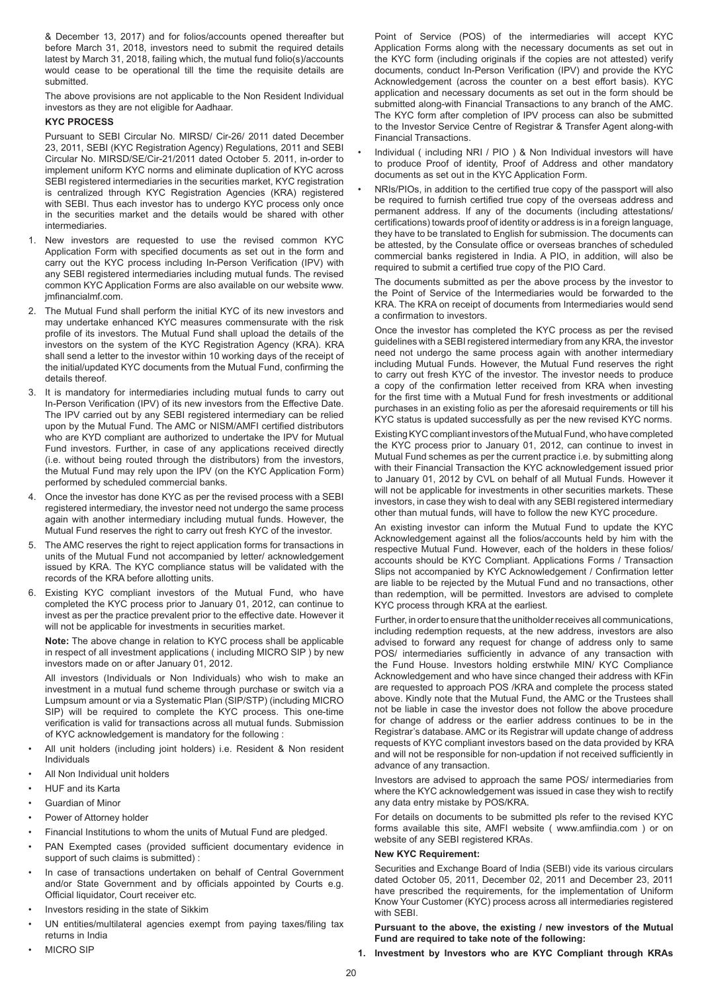& December 13, 2017) and for folios/accounts opened thereafter but before March 31, 2018, investors need to submit the required details latest by March 31, 2018, failing which, the mutual fund folio(s)/accounts would cease to be operational till the time the requisite details are submitted.

The above provisions are not applicable to the Non Resident Individual investors as they are not eligible for Aadhaar.

## **KYC PROCESS**

Pursuant to SEBI Circular No. MIRSD/ Cir-26/ 2011 dated December 23, 2011, SEBI (KYC Registration Agency) Regulations, 2011 and SEBI Circular No. MIRSD/SE/Cir-21/2011 dated October 5. 2011, in-order to implement uniform KYC norms and eliminate duplication of KYC across SEBI registered intermediaries in the securities market, KYC registration is centralized through KYC Registration Agencies (KRA) registered with SEBI. Thus each investor has to undergo KYC process only once in the securities market and the details would be shared with other intermediaries.

- 1. New investors are requested to use the revised common KYC Application Form with specified documents as set out in the form and carry out the KYC process including In-Person Verification (IPV) with any SEBI registered intermediaries including mutual funds. The revised common KYC Application Forms are also available on our website www. jmfinancialmf.com.
- 2. The Mutual Fund shall perform the initial KYC of its new investors and may undertake enhanced KYC measures commensurate with the risk profile of its investors. The Mutual Fund shall upload the details of the investors on the system of the KYC Registration Agency (KRA). KRA shall send a letter to the investor within 10 working days of the receipt of the initial/updated KYC documents from the Mutual Fund, confirming the details thereof.
- 3. It is mandatory for intermediaries including mutual funds to carry out In-Person Verification (IPV) of its new investors from the Effective Date. The IPV carried out by any SEBI registered intermediary can be relied upon by the Mutual Fund. The AMC or NISM/AMFI certified distributors who are KYD compliant are authorized to undertake the IPV for Mutual Fund investors. Further, in case of any applications received directly (i.e. without being routed through the distributors) from the investors, the Mutual Fund may rely upon the IPV (on the KYC Application Form) performed by scheduled commercial banks.
- 4. Once the investor has done KYC as per the revised process with a SEBI registered intermediary, the investor need not undergo the same process again with another intermediary including mutual funds. However, the Mutual Fund reserves the right to carry out fresh KYC of the investor.
- 5. The AMC reserves the right to reject application forms for transactions in units of the Mutual Fund not accompanied by letter/ acknowledgement issued by KRA. The KYC compliance status will be validated with the records of the KRA before allotting units.
- 6. Existing KYC compliant investors of the Mutual Fund, who have completed the KYC process prior to January 01, 2012, can continue to invest as per the practice prevalent prior to the effective date. However it will not be applicable for investments in securities market.

**Note:** The above change in relation to KYC process shall be applicable in respect of all investment applications ( including MICRO SIP ) by new investors made on or after January 01, 2012.

All investors (Individuals or Non Individuals) who wish to make an investment in a mutual fund scheme through purchase or switch via a Lumpsum amount or via a Systematic Plan (SIP/STP) (including MICRO SIP) will be required to complete the KYC process. This one-time verification is valid for transactions across all mutual funds. Submission of KYC acknowledgement is mandatory for the following :

- All unit holders (including joint holders) i.e. Resident & Non resident Individuals
- All Non Individual unit holders
- HUF and its Karta
- Guardian of Minor
- Power of Attorney holder
- Financial Institutions to whom the units of Mutual Fund are pledged.
- PAN Exempted cases (provided sufficient documentary evidence in support of such claims is submitted) :
- In case of transactions undertaken on behalf of Central Government and/or State Government and by officials appointed by Courts e.g. Official liquidator, Court receiver etc.
- Investors residing in the state of Sikkim
- UN entities/multilateral agencies exempt from paying taxes/filing tax returns in India
- MICRO SIP

Point of Service (POS) of the intermediaries will accept KYC Application Forms along with the necessary documents as set out in the KYC form (including originals if the copies are not attested) verify documents, conduct In-Person Verification (IPV) and provide the KYC Acknowledgement (across the counter on a best effort basis). KYC application and necessary documents as set out in the form should be submitted along-with Financial Transactions to any branch of the AMC. The KYC form after completion of IPV process can also be submitted to the Investor Service Centre of Registrar & Transfer Agent along-with Financial Transactions.

- Individual ( including NRI / PIO ) & Non Individual investors will have to produce Proof of identity, Proof of Address and other mandatory documents as set out in the KYC Application Form.
- NRIs/PIOs, in addition to the certified true copy of the passport will also be required to furnish certified true copy of the overseas address and permanent address. If any of the documents (including attestations/ certifications) towards proof of identity or address is in a foreign language, they have to be translated to English for submission. The documents can be attested, by the Consulate office or overseas branches of scheduled commercial banks registered in India. A PIO, in addition, will also be required to submit a certified true copy of the PIO Card.

The documents submitted as per the above process by the investor to the Point of Service of the Intermediaries would be forwarded to the KRA. The KRA on receipt of documents from Intermediaries would send a confirmation to investors.

Once the investor has completed the KYC process as per the revised guidelines with a SEBI registered intermediary from any KRA, the investor need not undergo the same process again with another intermediary including Mutual Funds. However, the Mutual Fund reserves the right to carry out fresh KYC of the investor. The investor needs to produce a copy of the confirmation letter received from KRA when investing for the first time with a Mutual Fund for fresh investments or additional purchases in an existing folio as per the aforesaid requirements or till his KYC status is updated successfully as per the new revised KYC norms.

Existing KYC compliant investors of the Mutual Fund, who have completed the KYC process prior to January 01, 2012, can continue to invest in Mutual Fund schemes as per the current practice i.e. by submitting along with their Financial Transaction the KYC acknowledgement issued prior to January 01, 2012 by CVL on behalf of all Mutual Funds. However it will not be applicable for investments in other securities markets. These investors, in case they wish to deal with any SEBI registered intermediary other than mutual funds, will have to follow the new KYC procedure.

An existing investor can inform the Mutual Fund to update the KYC Acknowledgement against all the folios/accounts held by him with the respective Mutual Fund. However, each of the holders in these folios/ accounts should be KYC Compliant. Applications Forms / Transaction Slips not accompanied by KYC Acknowledgement / Confirmation letter are liable to be rejected by the Mutual Fund and no transactions, other than redemption, will be permitted. Investors are advised to complete KYC process through KRA at the earliest.

Further, in order to ensure that the unitholder receives all communications, including redemption requests, at the new address, investors are also advised to forward any request for change of address only to same POS/ intermediaries sufficiently in advance of any transaction with the Fund House. Investors holding erstwhile MIN/ KYC Compliance Acknowledgement and who have since changed their address with KFin are requested to approach POS /KRA and complete the process stated above. Kindly note that the Mutual Fund, the AMC or the Trustees shall not be liable in case the investor does not follow the above procedure for change of address or the earlier address continues to be in the Registrar's database. AMC or its Registrar will update change of address requests of KYC compliant investors based on the data provided by KRA and will not be responsible for non-updation if not received sufficiently in advance of any transaction.

Investors are advised to approach the same POS/ intermediaries from where the KYC acknowledgement was issued in case they wish to rectify any data entry mistake by POS/KRA.

For details on documents to be submitted pls refer to the revised KYC forms available this site, AMFI website ( www.amfiindia.com ) or on website of any SEBI registered KRAs.

## **New KYC Requirement:**

Securities and Exchange Board of India (SEBI) vide its various circulars dated October 05, 2011, December 02, 2011 and December 23, 2011 have prescribed the requirements, for the implementation of Uniform Know Your Customer (KYC) process across all intermediaries registered with SFBI.

**Pursuant to the above, the existing / new investors of the Mutual Fund are required to take note of the following:**

**1. Investment by Investors who are KYC Compliant through KRAs**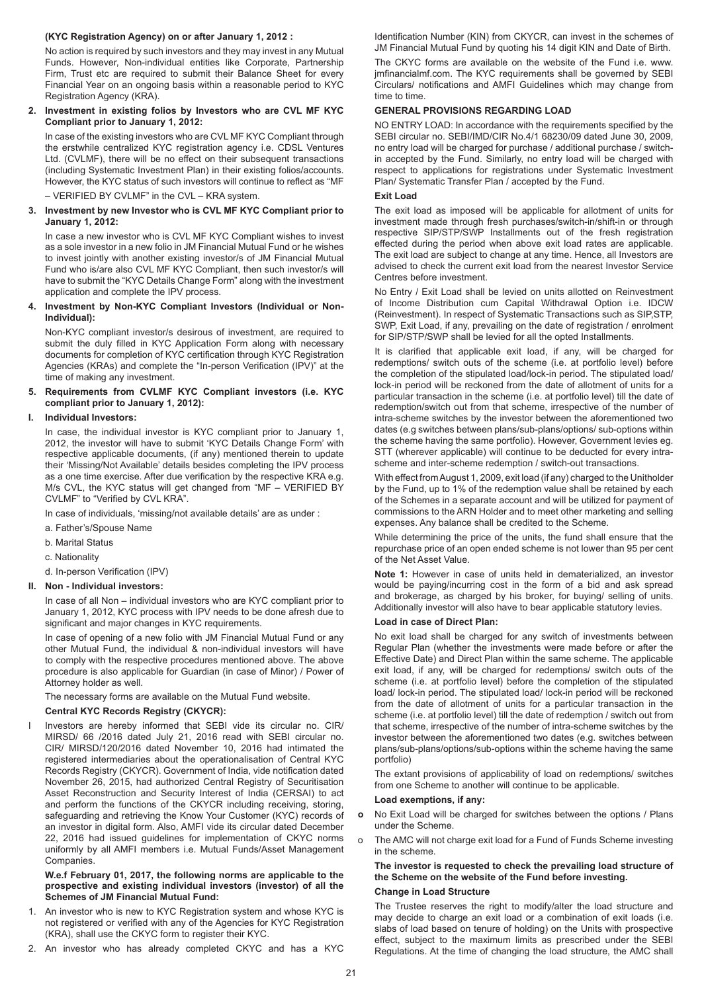## **(KYC Registration Agency) on or after January 1, 2012 :**

No action is required by such investors and they may invest in any Mutual Funds. However, Non-individual entities like Corporate, Partnership Firm, Trust etc are required to submit their Balance Sheet for every Financial Year on an ongoing basis within a reasonable period to KYC Registration Agency (KRA).

## **2. Investment in existing folios by Investors who are CVL MF KYC Compliant prior to January 1, 2012:**

In case of the existing investors who are CVL MF KYC Compliant through the erstwhile centralized KYC registration agency i.e. CDSL Ventures Ltd. (CVLMF), there will be no effect on their subsequent transactions (including Systematic Investment Plan) in their existing folios/accounts. However, the KYC status of such investors will continue to reflect as "MF – VERIFIED BY CVLMF" in the CVL – KRA system.

## **3. Investment by new Investor who is CVL MF KYC Compliant prior to January 1, 2012:**

In case a new investor who is CVL MF KYC Compliant wishes to invest as a sole investor in a new folio in JM Financial Mutual Fund or he wishes to invest jointly with another existing investor/s of JM Financial Mutual Fund who is/are also CVL MF KYC Compliant, then such investor/s will have to submit the "KYC Details Change Form" along with the investment application and complete the IPV process.

### **4. Investment by Non-KYC Compliant Investors (Individual or Non-Individual):**

Non-KYC compliant investor/s desirous of investment, are required to submit the duly filled in KYC Application Form along with necessary documents for completion of KYC certification through KYC Registration Agencies (KRAs) and complete the "In-person Verification (IPV)" at the time of making any investment.

## **5. Requirements from CVLMF KYC Compliant investors (i.e. KYC compliant prior to January 1, 2012):**

## **I. Individual Investors:**

In case, the individual investor is KYC compliant prior to January 1, 2012, the investor will have to submit 'KYC Details Change Form' with respective applicable documents, (if any) mentioned therein to update their 'Missing/Not Available' details besides completing the IPV process as a one time exercise. After due verification by the respective KRA e.g. M/s CVL, the KYC status will get changed from "MF – VERIFIED BY CVLMF" to "Verified by CVL KRA".

In case of individuals, 'missing/not available details' are as under :

- a. Father's/Spouse Name
- b. Marital Status

c. Nationality

d. In-person Verification (IPV)

## **II. Non - Individual investors:**

In case of all Non – individual investors who are KYC compliant prior to January 1, 2012, KYC process with IPV needs to be done afresh due to significant and major changes in KYC requirements.

In case of opening of a new folio with JM Financial Mutual Fund or any other Mutual Fund, the individual & non-individual investors will have to comply with the respective procedures mentioned above. The above procedure is also applicable for Guardian (in case of Minor) / Power of Attorney holder as well.

The necessary forms are available on the Mutual Fund website.

## **Central KYC Records Registry (CKYCR):**

Investors are hereby informed that SEBI vide its circular no. CIR/ MIRSD/ 66 /2016 dated July 21, 2016 read with SEBI circular no. CIR/ MIRSD/120/2016 dated November 10, 2016 had intimated the registered intermediaries about the operationalisation of Central KYC Records Registry (CKYCR). Government of India, vide notification dated November 26, 2015, had authorized Central Registry of Securitisation Asset Reconstruction and Security Interest of India (CERSAI) to act and perform the functions of the CKYCR including receiving, storing, safeguarding and retrieving the Know Your Customer (KYC) records of an investor in digital form. Also, AMFI vide its circular dated December 22, 2016 had issued guidelines for implementation of CKYC norms uniformly by all AMFI members i.e. Mutual Funds/Asset Management Companies.

## **W.e.f February 01, 2017, the following norms are applicable to the prospective and existing individual investors (investor) of all the Schemes of JM Financial Mutual Fund:**

- 1. An investor who is new to KYC Registration system and whose KYC is not registered or verified with any of the Agencies for KYC Registration (KRA), shall use the CKYC form to register their KYC.
- 2. An investor who has already completed CKYC and has a KYC

Identification Number (KIN) from CKYCR, can invest in the schemes of JM Financial Mutual Fund by quoting his 14 digit KIN and Date of Birth.

The CKYC forms are available on the website of the Fund i.e. www. imfinancialmf.com. The KYC requirements shall be governed by SEBI Circulars/ notifications and AMFI Guidelines which may change from time to time.

### **GENERAL PROVISIONS REGARDING LOAD**

NO ENTRY LOAD: In accordance with the requirements specified by the SEBI circular no. SEBI/IMD/CIR No.4/1 68230/09 dated June 30, 2009, no entry load will be charged for purchase / additional purchase / switchin accepted by the Fund. Similarly, no entry load will be charged with respect to applications for registrations under Systematic Investment Plan/ Systematic Transfer Plan / accepted by the Fund.

## **Exit Load**

The exit load as imposed will be applicable for allotment of units for investment made through fresh purchases/switch-in/shift-in or through respective SIP/STP/SWP Installments out of the fresh registration effected during the period when above exit load rates are applicable. The exit load are subject to change at any time. Hence, all Investors are advised to check the current exit load from the nearest Investor Service Centres before investment.

No Entry / Exit Load shall be levied on units allotted on Reinvestment of Income Distribution cum Capital Withdrawal Option i.e. IDCW (Reinvestment). In respect of Systematic Transactions such as SIP,STP, SWP, Exit Load, if any, prevailing on the date of registration / enrolment for SIP/STP/SWP shall be levied for all the opted Installments.

It is clarified that applicable exit load, if any, will be charged for redemptions/ switch outs of the scheme (i.e. at portfolio level) before the completion of the stipulated load/lock-in period. The stipulated load/ lock-in period will be reckoned from the date of allotment of units for a particular transaction in the scheme (i.e. at portfolio level) till the date of redemption/switch out from that scheme, irrespective of the number of intra-scheme switches by the investor between the aforementioned two dates (e.g switches between plans/sub-plans/options/ sub-options within the scheme having the same portfolio). However, Government levies eg. STT (wherever applicable) will continue to be deducted for every intrascheme and inter-scheme redemption / switch-out transactions.

With effect from August 1, 2009, exit load (if any) charged to the Unitholder by the Fund, up to 1% of the redemption value shall be retained by each of the Schemes in a separate account and will be utilized for payment of commissions to the ARN Holder and to meet other marketing and selling expenses. Any balance shall be credited to the Scheme.

While determining the price of the units, the fund shall ensure that the repurchase price of an open ended scheme is not lower than 95 per cent of the Net Asset Value.

**Note 1:** However in case of units held in dematerialized, an investor would be paying/incurring cost in the form of a bid and ask spread and brokerage, as charged by his broker, for buying/ selling of units. Additionally investor will also have to bear applicable statutory levies.

## **Load in case of Direct Plan:**

No exit load shall be charged for any switch of investments between Regular Plan (whether the investments were made before or after the Effective Date) and Direct Plan within the same scheme. The applicable exit load, if any, will be charged for redemptions/ switch outs of the scheme (i.e. at portfolio level) before the completion of the stipulated load/ lock-in period. The stipulated load/ lock-in period will be reckoned from the date of allotment of units for a particular transaction in the scheme (i.e. at portfolio level) till the date of redemption / switch out from that scheme, irrespective of the number of intra-scheme switches by the investor between the aforementioned two dates (e.g. switches between plans/sub-plans/options/sub-options within the scheme having the same portfolio)

The extant provisions of applicability of load on redemptions/ switches from one Scheme to another will continue to be applicable.

#### **Load exemptions, if any:**

- **o** No Exit Load will be charged for switches between the options / Plans under the Scheme.
- o The AMC will not charge exit load for a Fund of Funds Scheme investing in the scheme.

## **The investor is requested to check the prevailing load structure of the Scheme on the website of the Fund before investing. Change in Load Structure**

The Trustee reserves the right to modify/alter the load structure and may decide to charge an exit load or a combination of exit loads (i.e. slabs of load based on tenure of holding) on the Units with prospective effect, subject to the maximum limits as prescribed under the SEBI Regulations. At the time of changing the load structure, the AMC shall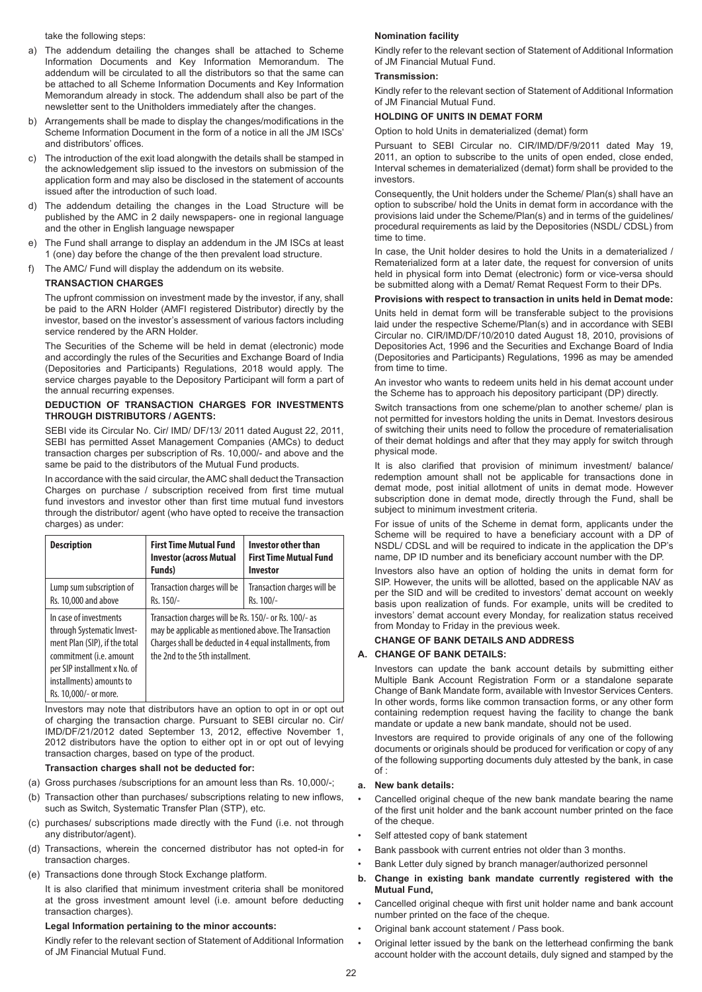take the following steps:

- a) The addendum detailing the changes shall be attached to Scheme Information Documents and Key Information Memorandum. The addendum will be circulated to all the distributors so that the same can be attached to all Scheme Information Documents and Key Information Memorandum already in stock. The addendum shall also be part of the newsletter sent to the Unitholders immediately after the changes.
- b) Arrangements shall be made to display the changes/modifications in the Scheme Information Document in the form of a notice in all the JM ISCs' and distributors' offices.
- c) The introduction of the exit load alongwith the details shall be stamped in the acknowledgement slip issued to the investors on submission of the application form and may also be disclosed in the statement of accounts issued after the introduction of such load.
- d) The addendum detailing the changes in the Load Structure will be published by the AMC in 2 daily newspapers- one in regional language and the other in English language newspaper
- e) The Fund shall arrange to display an addendum in the JM ISCs at least 1 (one) day before the change of the then prevalent load structure.
- f) The AMC/ Fund will display the addendum on its website.

## **TRANSACTION CHARGES**

The upfront commission on investment made by the investor, if any, shall be paid to the ARN Holder (AMFI registered Distributor) directly by the investor, based on the investor's assessment of various factors including service rendered by the ARN Holder.

The Securities of the Scheme will be held in demat (electronic) mode and accordingly the rules of the Securities and Exchange Board of India (Depositories and Participants) Regulations, 2018 would apply. The service charges payable to the Depository Participant will form a part of the annual recurring expenses.

## **DEDUCTION OF TRANSACTION CHARGES FOR INVESTMENTS THROUGH DISTRIBUTORS / AGENTS:**

SEBI vide its Circular No. Cir/ IMD/ DF/13/ 2011 dated August 22, 2011, SEBI has permitted Asset Management Companies (AMCs) to deduct transaction charges per subscription of Rs. 10,000/- and above and the same be paid to the distributors of the Mutual Fund products.

In accordance with the said circular, the AMC shall deduct the Transaction Charges on purchase / subscription received from first time mutual fund investors and investor other than first time mutual fund investors through the distributor/ agent (who have opted to receive the transaction charges) as under:

| <b>Description</b>                                                                                                                                                                                    | <b>First Time Mutual Fund</b><br><b>Investor (across Mutual</b><br>Funds)                                                                                                                                    | <b>Investor other than</b><br><b>First Time Mutual Fund</b><br><b>Investor</b> |
|-------------------------------------------------------------------------------------------------------------------------------------------------------------------------------------------------------|--------------------------------------------------------------------------------------------------------------------------------------------------------------------------------------------------------------|--------------------------------------------------------------------------------|
| Lump sum subscription of<br>Rs. 10,000 and above                                                                                                                                                      | Transaction charges will be<br>Rs. 150/-                                                                                                                                                                     | Transaction charges will be<br>Rs. 100/-                                       |
| In case of investments<br>through Systematic Invest-<br>ment Plan (SIP), if the total<br>commitment (i.e. amount<br>per SIP installment x No. of<br>installments) amounts to<br>Rs. 10,000/- or more. | Transaction charges will be Rs. 150/- or Rs. 100/- as<br>may be applicable as mentioned above. The Transaction<br>Charges shall be deducted in 4 equal installments, from<br>the 2nd to the 5th installment. |                                                                                |

Investors may note that distributors have an option to opt in or opt out of charging the transaction charge. Pursuant to SEBI circular no. Cir/ IMD/DF/21/2012 dated September 13, 2012, effective November 1, 2012 distributors have the option to either opt in or opt out of levying transaction charges, based on type of the product.

## **Transaction charges shall not be deducted for:**

- (a) Gross purchases /subscriptions for an amount less than Rs. 10,000/-;
- (b) Transaction other than purchases/ subscriptions relating to new inflows,
- such as Switch, Systematic Transfer Plan (STP), etc. (c) purchases/ subscriptions made directly with the Fund (i.e. not through any distributor/agent).
- (d) Transactions, wherein the concerned distributor has not opted-in for transaction charges.
- (e) Transactions done through Stock Exchange platform.

It is also clarified that minimum investment criteria shall be monitored at the gross investment amount level (i.e. amount before deducting transaction charges).

## **Legal Information pertaining to the minor accounts:**

Kindly refer to the relevant section of Statement of Additional Information of JM Financial Mutual Fund.

## **Nomination facility**

Kindly refer to the relevant section of Statement of Additional Information of JM Financial Mutual Fund.

## **Transmission:**

Kindly refer to the relevant section of Statement of Additional Information of JM Financial Mutual Fund.

## **HOLDING OF UNITS IN DEMAT FORM**

Option to hold Units in dematerialized (demat) form

Pursuant to SEBI Circular no. CIR/IMD/DF/9/2011 dated May 19, 2011, an option to subscribe to the units of open ended, close ended, Interval schemes in dematerialized (demat) form shall be provided to the investors.

Consequently, the Unit holders under the Scheme/ Plan(s) shall have an option to subscribe/ hold the Units in demat form in accordance with the provisions laid under the Scheme/Plan(s) and in terms of the guidelines/ procedural requirements as laid by the Depositories (NSDL/ CDSL) from time to time.

In case, the Unit holder desires to hold the Units in a dematerialized / Rematerialized form at a later date, the request for conversion of units held in physical form into Demat (electronic) form or vice-versa should be submitted along with a Demat/ Remat Request Form to their DPs.

#### **Provisions with respect to transaction in units held in Demat mode:**

Units held in demat form will be transferable subject to the provisions laid under the respective Scheme/Plan(s) and in accordance with SEBI Circular no. CIR/IMD/DF/10/2010 dated August 18, 2010, provisions of Depositories Act, 1996 and the Securities and Exchange Board of India (Depositories and Participants) Regulations, 1996 as may be amended from time to time.

An investor who wants to redeem units held in his demat account under the Scheme has to approach his depository participant (DP) directly.

Switch transactions from one scheme/plan to another scheme/ plan is not permitted for investors holding the units in Demat. Investors desirous of switching their units need to follow the procedure of rematerialisation of their demat holdings and after that they may apply for switch through physical mode.

It is also clarified that provision of minimum investment/ balance/ redemption amount shall not be applicable for transactions done in demat mode, post initial allotment of units in demat mode. However subscription done in demat mode, directly through the Fund, shall be subject to minimum investment criteria.

For issue of units of the Scheme in demat form, applicants under the Scheme will be required to have a beneficiary account with a DP of NSDL/ CDSL and will be required to indicate in the application the DP's name, DP ID number and its beneficiary account number with the DP.

Investors also have an option of holding the units in demat form for SIP. However, the units will be allotted, based on the applicable NAV as per the SID and will be credited to investors' demat account on weekly basis upon realization of funds. For example, units will be credited to investors' demat account every Monday, for realization status received from Monday to Friday in the previous week.

## **CHANGE OF BANK DETAILS AND ADDRESS**

## **A. CHANGE OF BANK DETAILS:**

Investors can update the bank account details by submitting either Multiple Bank Account Registration Form or a standalone separate Change of Bank Mandate form, available with Investor Services Centers. In other words, forms like common transaction forms, or any other form containing redemption request having the facility to change the bank mandate or update a new bank mandate, should not be used.

Investors are required to provide originals of any one of the following documents or originals should be produced for verification or copy of any of the following supporting documents duly attested by the bank, in case  $\bigcap_{i=1}^{n}$ 

#### **a. New bank details:**

- Cancelled original cheque of the new bank mandate bearing the name of the first unit holder and the bank account number printed on the face of the cheque.
- Self attested copy of bank statement
- Bank passbook with current entries not older than 3 months.
- Bank Letter duly signed by branch manager/authorized personnel
- **b. Change in existing bank mandate currently registered with the Mutual Fund,**
- Cancelled original cheque with first unit holder name and bank account number printed on the face of the cheque.
- Original bank account statement / Pass book.
- Original letter issued by the bank on the letterhead confirming the bank account holder with the account details, duly signed and stamped by the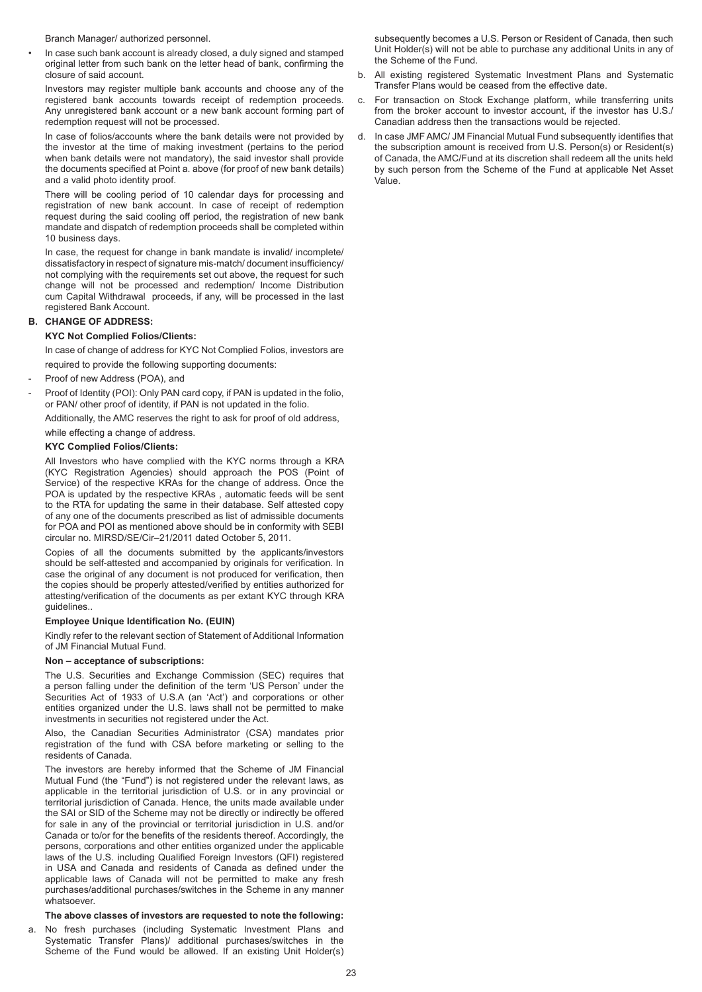Branch Manager/ authorized personnel.

• In case such bank account is already closed, a duly signed and stamped original letter from such bank on the letter head of bank, confirming the closure of said account.

Investors may register multiple bank accounts and choose any of the registered bank accounts towards receipt of redemption proceeds. Any unregistered bank account or a new bank account forming part of redemption request will not be processed.

In case of folios/accounts where the bank details were not provided by the investor at the time of making investment (pertains to the period when bank details were not mandatory), the said investor shall provide the documents specified at Point a. above (for proof of new bank details) and a valid photo identity proof.

There will be cooling period of 10 calendar days for processing and registration of new bank account. In case of receipt of redemption request during the said cooling off period, the registration of new bank mandate and dispatch of redemption proceeds shall be completed within 10 business days.

In case, the request for change in bank mandate is invalid/ incomplete/ dissatisfactory in respect of signature mis-match/ document insufficiency/ not complying with the requirements set out above, the request for such change will not be processed and redemption/ Income Distribution cum Capital Withdrawal proceeds, if any, will be processed in the last registered Bank Account.

## **B. CHANGE OF ADDRESS:**

## **KYC Not Complied Folios/Clients:**

In case of change of address for KYC Not Complied Folios, investors are required to provide the following supporting documents:

- Proof of new Address (POA), and
- Proof of Identity (POI): Only PAN card copy, if PAN is updated in the folio, or PAN/ other proof of identity, if PAN is not updated in the folio.

Additionally, the AMC reserves the right to ask for proof of old address,

while effecting a change of address.

#### **KYC Complied Folios/Clients:**

All Investors who have complied with the KYC norms through a KRA (KYC Registration Agencies) should approach the POS (Point of Service) of the respective KRAs for the change of address. Once the POA is updated by the respective KRAs , automatic feeds will be sent to the RTA for updating the same in their database. Self attested copy of any one of the documents prescribed as list of admissible documents for POA and POI as mentioned above should be in conformity with SEBI circular no. MIRSD/SE/Cir–21/2011 dated October 5, 2011.

Copies of all the documents submitted by the applicants/investors should be self-attested and accompanied by originals for verification. In case the original of any document is not produced for verification, then the copies should be properly attested/verified by entities authorized for attesting/verification of the documents as per extant KYC through KRA guidelines..

#### **Employee Unique Identification No. (EUIN)**

Kindly refer to the relevant section of Statement of Additional Information of JM Financial Mutual Fund.

#### **Non – acceptance of subscriptions:**

The U.S. Securities and Exchange Commission (SEC) requires that a person falling under the definition of the term 'US Person' under the Securities Act of 1933 of U.S.A (an 'Act') and corporations or other entities organized under the U.S. laws shall not be permitted to make investments in securities not registered under the Act.

Also, the Canadian Securities Administrator (CSA) mandates prior registration of the fund with CSA before marketing or selling to the residents of Canada.

The investors are hereby informed that the Scheme of JM Financial Mutual Fund (the "Fund") is not registered under the relevant laws, as applicable in the territorial jurisdiction of U.S. or in any provincial or territorial jurisdiction of Canada. Hence, the units made available under the SAI or SID of the Scheme may not be directly or indirectly be offered for sale in any of the provincial or territorial jurisdiction in U.S. and/or Canada or to/or for the benefits of the residents thereof. Accordingly, the persons, corporations and other entities organized under the applicable laws of the U.S. including Qualified Foreign Investors (QFI) registered in USA and Canada and residents of Canada as defined under the applicable laws of Canada will not be permitted to make any fresh purchases/additional purchases/switches in the Scheme in any manner whatsoever.

#### **The above classes of investors are requested to note the following:**

a. No fresh purchases (including Systematic Investment Plans and Systematic Transfer Plans)/ additional purchases/switches in the Scheme of the Fund would be allowed. If an existing Unit Holder(s)

subsequently becomes a U.S. Person or Resident of Canada, then such Unit Holder(s) will not be able to purchase any additional Units in any of the Scheme of the Fund.

- b. All existing registered Systematic Investment Plans and Systematic Transfer Plans would be ceased from the effective date.
- c. For transaction on Stock Exchange platform, while transferring units from the broker account to investor account, if the investor has U.S./ Canadian address then the transactions would be rejected.
- d. In case JMF AMC/ JM Financial Mutual Fund subsequently identifies that the subscription amount is received from U.S. Person(s) or Resident(s) of Canada, the AMC/Fund at its discretion shall redeem all the units held by such person from the Scheme of the Fund at applicable Net Asset Value.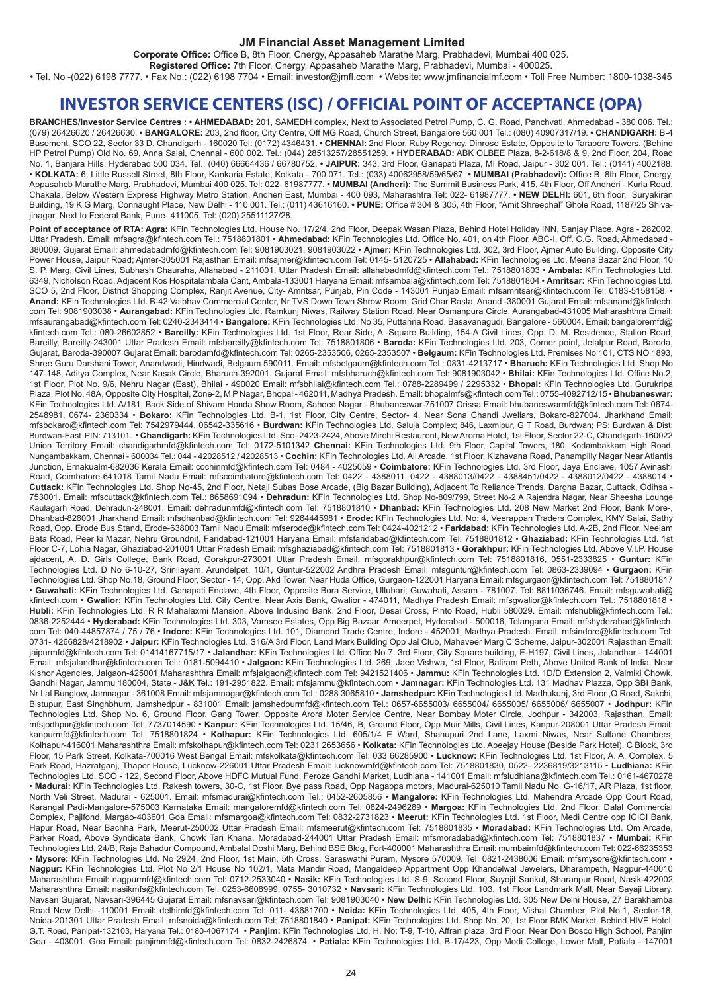## **JM Financial Asset Management Limited**

**Corporate Office:** Office B, 8th Floor, Cnergy, Appasaheb Marathe Marg, Prabhadevi, Mumbai 400 025.

**Registered Office:** 7th Floor, Cnergy, Appasaheb Marathe Marg, Prabhadevi, Mumbai - 400025.

• Tel. No -(022) 6198 7777. • Fax No.: (022) 6198 7704 • Email: investor@jmfl.com • Website: www.jmfinancialmf.com • Toll Free Number: 1800-1038-345

# **INVESTOR SERVICE CENTERS (ISC) / OFFICIAL POINT OF ACCEPTANCE (OPA)**

**BRANCHES/Investor Service Centres : • AHMEDABAD:** 201, SAMEDH complex, Next to Associated Petrol Pump, C. G. Road, Panchvati, Ahmedabad - 380 006. Tel.: (079) 26426620 / 26426630. **• BANGALORE:** 203, 2nd floor, City Centre, Off MG Road, Church Street, Bangalore 560 001 Tel.: (080) 40907317/19. **• CHANDIGARH:** B-4 Basement, SCO 22, Sector 33 D, Chandigarh - 160020 Tel: (0172) 4346431. **• CHENNAI:** 2nd Floor, Ruby Regency, Dinrose Estate, Opposite to Tarapore Towers, (Behind HP Petrol Pump) Old No. 69, Anna Salai, Chennai - 600 002. Tel.: (044) 28513257/28551259. **• HYDERABAD:** ABK OLBEE Plaza, 8-2-618/8 & 9, 2nd Floor, 204, Road No. 1, Banjara Hills, Hyderabad 500 034. Tel.: (040) 66664436 / 66780752. **• JAIPUR:** 343, 3rd Floor, Ganapati Plaza, MI Road, Jaipur - 302 001. Tel.: (0141) 4002188. • **KOLKATA:** 6, Little Russell Street, 8th Floor, Kankaria Estate, Kolkata - 700 071. Tel.: (033) 40062958/59/65/67. **• MUMBAI (Prabhadevi):** Office B, 8th Floor, Cnergy, Appasaheb Marathe Marg, Prabhadevi, Mumbai 400 025. Tel: 022- 61987777. **• MUMBAI (Andheri):** The Summit Business Park, 415, 4th Floor, Off Andheri - Kurla Road, Chakala, Below Western Express Highway Metro Station, Andheri East, Mumbai - 400 093, Maharashtra Tel: 022- 61987777. **• NEW DELHI:** 601, 6th floor, Suryakiran Building, 19 K G Marg, Connaught Place, New Delhi - 110 001. Tel.: (011) 43616160. **• PUNE:** Office # 304 & 305, 4th Floor, "Amit Shreephal" Ghole Road, 1187/25 Shivajinagar, Next to Federal Bank, Pune- 411005. Tel: (020) 25511127/28.

Point of acceptance of RTA: Agra: KFin Technologies Ltd. House No. 17/2/4, 2nd Floor, Deepak Wasan Plaza, Behind Hotel Holiday INN, Sanjay Place, Agra - 282002, Uttar Pradesh. Email: mfsagra@kfintech.com Tel.: 7518801801 • **Ahmedabad:** KFin Technologies Ltd. Office No. 401, on 4th Floor, ABC-I, Off. C.G. Road, Ahmedabad - 380009. Gujarat Email: ahmedabadmfd@kfintech.com Tel: 9081903021, 9081903022 • **Ajmer:** KFin Technologies Ltd. 302, 3rd Floor, Ajmer Auto Building, Opposite City Power House, Jaipur Road; Ajmer-305001 Rajasthan Email: mfsajmer@kfintech.com Tel: 0145- 5120725 • **Allahabad:** KFin Technologies Ltd. Meena Bazar 2nd Floor, 10 S. P. Marg, Civil Lines, Subhash Chauraha, Allahabad - 211001, Uttar Pradesh Email: allahabadmfd@kfintech.com Tel.: 7518801803 • **Ambala:** KFin Technologies Ltd. 6349, Nicholson Road, Adjacent Kos Hospitalambala Cant, Ambala-133001 Haryana Email: mfsambala@kfintech.com Tel: 7518801804 • **Amritsar:** KFin Technologies Ltd. SCO 5, 2nd Floor, District Shopping Complex, Ranjit Avenue, City- Amritsar, Punjab, Pin Code - 143001 Punjab Email: mfsamritsar@kfintech.com Tel: 0183-5158158. • **Anand:** KFin Technologies Ltd. B-42 Vaibhav Commercial Center, Nr TVS Down Town Shrow Room, Grid Char Rasta, Anand -380001 Gujarat Email: mfsanand@kfintech. com Tel: 9081903038 • **Aurangabad:** KFin Technologies Ltd. Ramkunj Niwas, Railway Station Road, Near Osmanpura Circle, Aurangabad-431005 Maharashthra Email: mfsaurangabad@kfintech.com Tel: 0240-2343414 • **Bangalore:** KFin Technologies Ltd. No 35, Puttanna Road, Basavanagudi, Bangalore - 560004. Email: bangaloremfd@ kfintech.com Tel.: 080-26602852 • **Bareilly:** KFin Technologies Ltd. 1st Floor, Rear Side, A -Square Building, 154-A Civil Lines, Opp. D. M. Residence, Station Road, Bareilly, Bareilly-243001 Uttar Pradesh Email: mfsbareilly@kfintech.com Tel: 7518801806 • **Baroda:** KFin Technologies Ltd. 203, Corner point, Jetalpur Road, Baroda, Gujarat, Baroda-390007 Gujarat Email: barodamfd@kfintech.com Tel: 0265-2353506, 0265-2353507 • **Belgaum:** KFin Technologies Ltd. Premises No 101, CTS NO 1893, Shree Guru Darshani Tower, Anandwadi, Hindwadi, Belgaum 590011. Email: mfsbelgaum@kfintech.com Tel.: 0831-4213717 • **Bharuch:** KFin Technologies Ltd. Shop No 147-148, Aditya Complex, Near Kasak Circle, Bharuch-392001. Gujarat Email: mfsbharuch@kfintech.com Tel: 9081903042 • **Bhilai:** KFin Technologies Ltd. Office No.2, 1st Floor, Plot No. 9/6, Nehru Nagar (East), Bhilai - 490020 Email: mfsbhilai@kfintech.com Tel.: 0788-2289499 / 2295332 • **Bhopal:** KFin Technologies Ltd. Gurukripa Plaza, Plot No. 48A, Opposite City Hospital, Zone-2, M P Nagar, Bhopal - 462011, Madhya Pradesh. Email: bhopalmfs@kfintech.com Tel.: 0755-4092712/15 • **Bhubaneswar:**  KFin Technologies Ltd. A/181, Back Side of Shivam Honda Show Room, Saheed Nagar - Bhubaneswar-751007 Orissa Email: bhubaneswarmfd@kfintech.com Tel: 0674- 2548981, 0674- 2360334 • **Bokaro:** KFin Technologies Ltd. B-1, 1st Floor, City Centre, Sector- 4, Near Sona Chandi Jwellars, Bokaro-827004. Jharkhand Email: mfsbokaro@kfintech.com Tel: 7542979444, 06542-335616 • **Burdwan:** KFin Technologies Ltd. Saluja Complex; 846, Laxmipur, G T Road, Burdwan; PS: Burdwan & Dist: Burdwan-East PIN: 713101. • **Chandigarh:** KFin Technologies Ltd. Sco- 2423-2424, Above Mirchi Restaurent, New Aroma Hotel, 1st Floor, Sector 22-C, Chandigarh-160022 Union Territory Email: chandigarhmfd@kfintech.com Tel: 0172-5101342 **Chennai:** KFin Technologies Ltd. 9th Floor, Capital Towers, 180, Kodambakkam High Road, Nungambakkam, Chennai - 600034 Tel.: 044 - 42028512 / 42028513 • **Cochin:** KFin Technologies Ltd. Ali Arcade, 1st Floor, Kizhavana Road, Panampilly Nagar Near Atlantis Junction, Ernakualm-682036 Kerala Email: cochinmfd@kfintech.com Tel: 0484 - 4025059 • **Coimbatore:** KFin Technologies Ltd. 3rd Floor, Jaya Enclave, 1057 Avinashi Road, Coimbatore-641018 Tamil Nadu Email: mfscoimbatore@kfintech.com Tel: 0422 - 4388011, 0422 - 4388013/0422 - 4388451/0422 - 4388012/0422 - 4388014 • **Cuttack:** KFin Technologies Ltd. Shop No-45, 2nd Floor, Netaji Subas Bose Arcade, (Big Bazar Building), Adjacent To Reliance Trends, Dargha Bazar, Cuttack, Odihsa - 753001. Email: mfscuttack@kfintech.com Tel.: 8658691094 • **Dehradun:** KFin Technologies Ltd. Shop No-809/799, Street No-2 A Rajendra Nagar, Near Sheesha Lounge Kaulagarh Road, Dehradun-248001. Email: dehradunmfd@kfintech.com Tel: 7518801810 • **Dhanbad:** KFin Technologies Ltd. 208 New Market 2nd Floor, Bank More-, Dhanbad-826001 Jharkhand Email: mfsdhanbad@kfintech.com Tel: 9264445981 • **Erode:** KFin Technologies Ltd. No: 4, Veerappan Traders Complex, KMY Salai, Sathy Road, Opp. Erode Bus Stand, Erode-638003 Tamil Nadu Email: mfserode@kfintech.com Tel: 0424-4021212 • **Faridabad:** KFin Technologies Ltd. A-2B, 2nd Floor, Neelam Bata Road, Peer ki Mazar, Nehru Groundnit, Faridabad-121001 Haryana Email: mfsfaridabad@kfintech.com Tel: 7518801812 • **Ghaziabad:** KFin Technologies Ltd. 1st Floor C-7, Lohia Nagar, Ghaziabad-201001 Uttar Pradesh Email: mfsghaziabad@kfintech.com Tel: 7518801813 • **Gorakhpur:** KFin Technologies Ltd. Above V.I.P. House ajdacent, A. D. Girls College, Bank Road, Gorakpur-273001 Uttar Pradesh Email: mfsgorakhpur@kfintech.com Tel: 7518801816, 0551-2333825 • **Guntur:** KFin Technologies Ltd. D No 6-10-27, Srinilayam, Arundelpet, 10/1, Guntur-522002 Andhra Pradesh Email: mfsguntur@kfintech.com Tel: 0863-2339094 • **Gurgaon:** KFin Technologies Ltd. Shop No.18, Ground Floor, Sector - 14, Opp. Akd Tower, Near Huda Office, Gurgaon-122001 Haryana Email: mfsgurgaon@kfintech.com Tel: 7518801817 • **Guwahati:** KFin Technologies Ltd. Ganapati Enclave, 4th Floor, Opposite Bora Service, Ullubari, Guwahati, Assam - 781007. Tel: 8811036746. Email: mfsguwahati@ kfintech.com • Gwalior: KFin Technologies Ltd. City Centre, Near Axis Bank, Gwalior - 474011, Madhya Pradesh Email: mfsgwalior@kfintech.com Tel.: 7518801818 • **Hubli:** KFin Technologies Ltd. R R Mahalaxmi Mansion, Above Indusind Bank, 2nd Floor, Desai Cross, Pinto Road, Hubli 580029. Email: mfshubli@kfintech.com Tel.: 0836-2252444 • **Hyderabad:** KFin Technologies Ltd. 303, Vamsee Estates, Opp Big Bazaar, Ameerpet, Hyderabad - 500016, Telangana Email: mfshyderabad@kfintech. com Tel: 040-44857874 / 75 / 76 • **Indore:** KFin Technologies Ltd. 101, Diamond Trade Centre, Indore - 452001, Madhya Pradesh. Email: mfsindore@kfintech.com Tel: 0731- 4266828/4218902 • **Jaipur:** KFin Technologies Ltd. S16/A 3rd Floor, Land Mark Building Opp Jai Club, Mahaveer Marg C Scheme, Jaipur-302001 Rajasthan Email: jaipurmfd@kfintech.com Tel: 01414167715/17 • **Jalandhar:** KFin Technologies Ltd. Office No 7, 3rd Floor, City Square building, E-H197, Civil Lines, Jalandhar - 144001 Email: mfsjalandhar@kfintech.com Tel.: 0181-5094410 • **Jalgaon:** KFin Technologies Ltd. 269, Jaee Vishwa, 1st Floor, Baliram Peth, Above United Bank of India, Near Kishor Agencies, Jalgaon-425001 Maharashthra Email: mfsjalgaon@kfintech.com Tel: 9421521406 • **Jammu:** KFin Technologies Ltd. 1D/D Extension 2, Valmiki Chowk, Gandhi Nagar, Jammu 180004, State - J&K Tel.: 191-2951822. Email: mfsjammu@kfintech.com • **Jamnagar:** KFin Technologies Ltd. 131 Madhav Plazza, Opp SBI Bank, Nr Lal Bunglow, Jamnagar - 361008 Email: mfsjamnagar@kfintech.com Tel.: 0288 3065810 • **Jamshedpur:** KFin Technologies Ltd. Madhukunj, 3rd Floor ,Q Road, Sakchi, Bistupur, East Singhbhum, Jamshedpur - 831001 Email: jamshedpurmfd@kfintech.com Tel.: 0657-6655003/ 6655004/ 6655005/ 6655006/ 6655007 • **Jodhpur:** KFin Technologies Ltd. Shop No. 6, Ground Floor, Gang Tower, Opposite Arora Moter Service Centre, Near Bombay Moter Circle, Jodhpur - 342003, Rajasthan. Email: mfsjodhpur@kfintech.com Tel: 7737014590 • **Kanpur:** KFin Technologies Ltd. 15/46, B, Ground Floor, Opp Muir Mills, Civil Lines, Kanpur-208001 Uttar Pradesh Email: kanpurmfd@kfintech.com Tel: 7518801824 • **Kolhapur:** KFin Technologies Ltd. 605/1/4 E Ward, Shahupuri 2nd Lane, Laxmi Niwas, Near Sultane Chambers, Kolhapur-416001 Maharashthra Email: mfskolhapur@kfintech.com Tel: 0231 2653656 • **Kolkata:** KFin Technologies Ltd. Apeejay House (Beside Park Hotel), C Block, 3rd Floor, 15 Park Street, Kolkata-700016 West Bengal Email: mfskolkata@kfintech.com Tel: 033 66285900 • **Lucknow:** KFin Technologies Ltd. 1st Floor, A. A. Complex, 5 Park Road, Hazratganj, Thaper House, Lucknow-226001 Uttar Pradesh Email: lucknowmfd@kfintech.com Tel: 7518801830, 0522- 2236819/3213115 • **Ludhiana:** KFin Technologies Ltd. SCO - 122, Second Floor, Above HDFC Mutual Fund, Feroze Gandhi Market, Ludhiana - 141001 Email: mfsludhiana@kfintech.com Tel.: 0161-4670278 • **Madurai:** KFin Technologies Ltd. Rakesh towers, 30-C, 1st Floor, Bye pass Road, Opp Nagappa motors, Madurai-625010 Tamil Nadu No. G-16/17, AR Plaza, 1st floor, North Veli Street, Madurai - 625001. Email: mfsmadurai@kfintech.com Tel.: 0452-2605856 • **Mangalore:** KFin Technologies Ltd. Mahendra Arcade Opp Court Road, Karangal Padi-Mangalore-575003 Karnataka Email: mangaloremfd@kfintech.com Tel: 0824-2496289 • **Margoa:** KFin Technologies Ltd. 2nd Floor, Dalal Commercial Complex, Pajifond, Margao-403601 Goa Email: mfsmargoa@kfintech.com Tel: 0832-2731823 • **Meerut:** KFin Technologies Ltd. 1st Floor, Medi Centre opp ICICI Bank, Hapur Road, Near Bachha Park, Meerut-250002 Uttar Pradesh Email: mfsmeerut@kfintech.com Tel: 7518801835 • **Moradabad:** KFin Technologies Ltd. Om Arcade, Parker Road, Above Syndicate Bank, Chowk Tari Khana, Moradabad-244001 Uttar Pradesh Email: mfsmoradabad@kfintech.com Tel: 7518801837 • **Mumbai:** KFin Technologies Ltd. 24/B, Raja Bahadur Compound, Ambalal Doshi Marg, Behind BSE Bldg, Fort-400001 Maharashthra Email: mumbaimfd@kfintech.com Tel: 022-66235353 • **Mysore:** KFin Technologies Ltd. No 2924, 2nd Floor, 1st Main, 5th Cross, Saraswathi Puram, Mysore 570009. Tel: 0821-2438006 Email: mfsmysore@kfintech.com • **Nagpur:** KFin Technologies Ltd. Plot No 2/1 House No 102/1, Mata Mandir Road, Mangaldeep Appartment Opp Khandelwal Jewelers, Dharampeth, Nagpur-440010 Maharashthra Email: nagpurmfd@kfintech.com Tel: 0712-2533040 • **Nasik:** KFin Technologies Ltd. S-9, Second Floor, Suyojit Sankul, Sharanpur Road, Nasik-422002 Maharashthra Email: nasikmfs@kfintech.com Tel: 0253-6608999, 0755- 3010732 • **Navsari:** KFin Technologies Ltd. 103, 1st Floor Landmark Mall, Near Sayaji Library, Navsari Gujarat, Navsari-396445 Gujarat Email: mfsnavsari@kfintech.com Tel: 9081903040 • **New Delhi:** KFin Technologies Ltd. 305 New Delhi House, 27 Barakhamba Road New Delhi -110001 Email: delhimfd@kfintech.com Tel: 011- 43681700 • **Noida:** KFin Technologies Ltd. 405, 4th Floor, Vishal Chamber, Plot No.1, Sector-18, Noida-201301 Uttar Pradesh Email: mfsnoida@kfintech.com Tel: 7518801840 • **Panipat:** KFin Technologies Ltd. Shop No. 20, 1st Floor BMK Market, Behind HIVE Hotel, G.T. Road, Panipat-132103, Haryana Tel.: 0180-4067174 • **Panjim:** KFin Technologies Ltd. H. No: T-9, T-10, Affran plaza, 3rd Floor, Near Don Bosco High School, Panjim Goa - 403001. Goa Email: panjimmfd@kfintech.com Tel: 0832-2426874. • **Patiala:** KFin Technologies Ltd. B-17/423, Opp Modi College, Lower Mall, Patiala - 147001